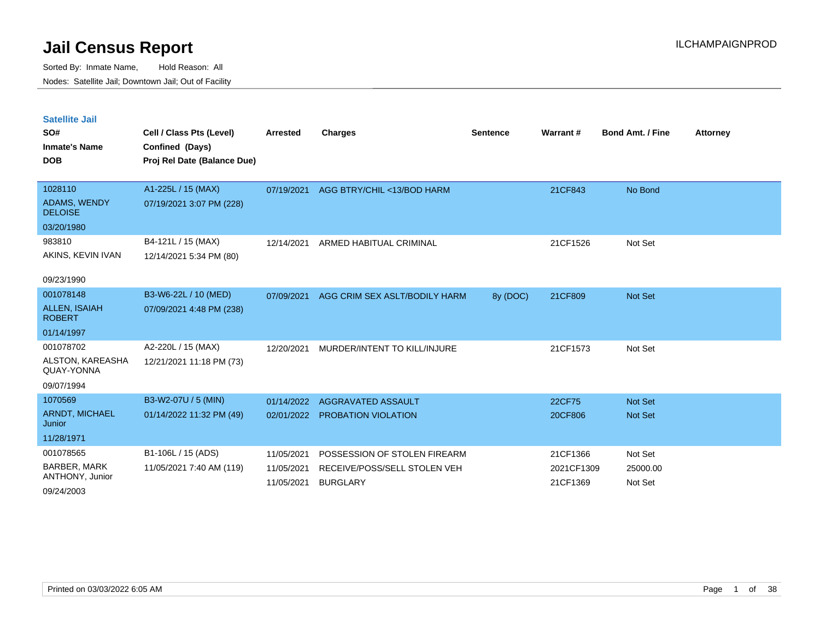Sorted By: Inmate Name, Hold Reason: All Nodes: Satellite Jail; Downtown Jail; Out of Facility

| <b>Satellite Jail</b><br>SO#<br><b>Inmate's Name</b><br><b>DOB</b> | Cell / Class Pts (Level)<br>Confined (Days)<br>Proj Rel Date (Balance Due) | <b>Arrested</b> | <b>Charges</b>                | <b>Sentence</b> | Warrant#   | <b>Bond Amt. / Fine</b> | <b>Attorney</b> |
|--------------------------------------------------------------------|----------------------------------------------------------------------------|-----------------|-------------------------------|-----------------|------------|-------------------------|-----------------|
| 1028110                                                            | A1-225L / 15 (MAX)                                                         | 07/19/2021      | AGG BTRY/CHIL <13/BOD HARM    |                 | 21CF843    | No Bond                 |                 |
| <b>ADAMS, WENDY</b><br><b>DELOISE</b>                              | 07/19/2021 3:07 PM (228)                                                   |                 |                               |                 |            |                         |                 |
| 03/20/1980                                                         |                                                                            |                 |                               |                 |            |                         |                 |
| 983810                                                             | B4-121L / 15 (MAX)                                                         | 12/14/2021      | ARMED HABITUAL CRIMINAL       |                 | 21CF1526   | Not Set                 |                 |
| AKINS, KEVIN IVAN                                                  | 12/14/2021 5:34 PM (80)                                                    |                 |                               |                 |            |                         |                 |
| 09/23/1990                                                         |                                                                            |                 |                               |                 |            |                         |                 |
| 001078148                                                          | B3-W6-22L / 10 (MED)                                                       | 07/09/2021      | AGG CRIM SEX ASLT/BODILY HARM | 8y (DOC)        | 21CF809    | Not Set                 |                 |
| <b>ALLEN, ISAIAH</b><br><b>ROBERT</b>                              | 07/09/2021 4:48 PM (238)                                                   |                 |                               |                 |            |                         |                 |
| 01/14/1997                                                         |                                                                            |                 |                               |                 |            |                         |                 |
| 001078702                                                          | A2-220L / 15 (MAX)                                                         | 12/20/2021      | MURDER/INTENT TO KILL/INJURE  |                 | 21CF1573   | Not Set                 |                 |
| ALSTON, KAREASHA<br>QUAY-YONNA                                     | 12/21/2021 11:18 PM (73)                                                   |                 |                               |                 |            |                         |                 |
| 09/07/1994                                                         |                                                                            |                 |                               |                 |            |                         |                 |
| 1070569                                                            | B3-W2-07U / 5 (MIN)                                                        | 01/14/2022      | AGGRAVATED ASSAULT            |                 | 22CF75     | <b>Not Set</b>          |                 |
| ARNDT, MICHAEL<br>Junior                                           | 01/14/2022 11:32 PM (49)                                                   | 02/01/2022      | PROBATION VIOLATION           |                 | 20CF806    | <b>Not Set</b>          |                 |
| 11/28/1971                                                         |                                                                            |                 |                               |                 |            |                         |                 |
| 001078565                                                          | B1-106L / 15 (ADS)                                                         | 11/05/2021      | POSSESSION OF STOLEN FIREARM  |                 | 21CF1366   | Not Set                 |                 |
| <b>BARBER, MARK</b>                                                | 11/05/2021 7:40 AM (119)                                                   | 11/05/2021      | RECEIVE/POSS/SELL STOLEN VEH  |                 | 2021CF1309 | 25000.00                |                 |
| ANTHONY, Junior                                                    |                                                                            | 11/05/2021      | <b>BURGLARY</b>               |                 | 21CF1369   | Not Set                 |                 |

09/24/2003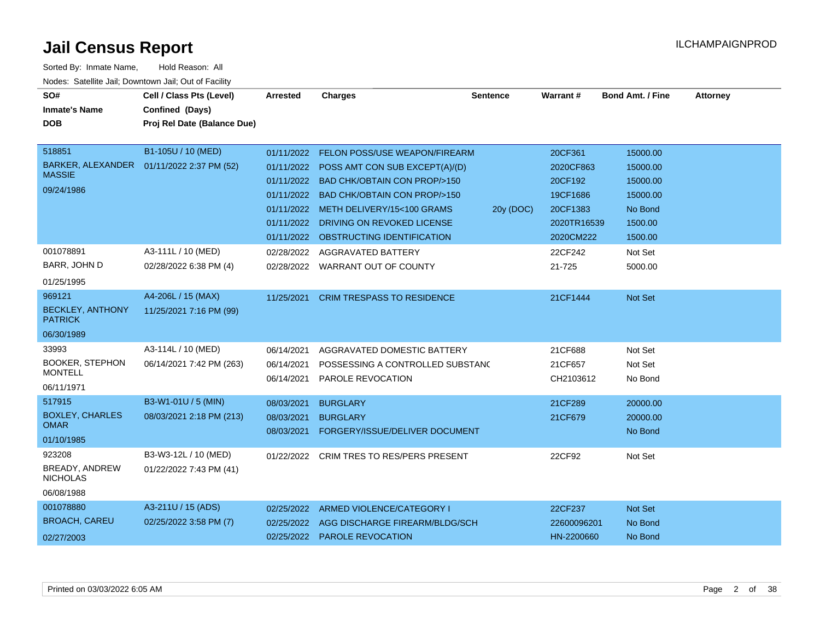| SO#<br><b>Inmate's Name</b><br><b>DOB</b><br>518851<br><b>MASSIE</b><br>09/24/1986 | Cell / Class Pts (Level)<br>Confined (Days)<br>Proj Rel Date (Balance Due)<br>B1-105U / 10 (MED)<br>BARKER, ALEXANDER  01/11/2022 2:37 PM (52) | <b>Arrested</b><br>01/11/2022<br>01/11/2022<br>01/11/2022<br>01/11/2022 | <b>Charges</b><br><b>FELON POSS/USE WEAPON/FIREARM</b><br>POSS AMT CON SUB EXCEPT(A)/(D)<br><b>BAD CHK/OBTAIN CON PROP/&gt;150</b><br><b>BAD CHK/OBTAIN CON PROP/&gt;150</b><br>01/11/2022 METH DELIVERY/15<100 GRAMS | <b>Sentence</b><br>20y (DOC) | Warrant#<br>20CF361<br>2020CF863<br>20CF192<br>19CF1686<br>20CF1383 | <b>Bond Amt. / Fine</b><br>15000.00<br>15000.00<br>15000.00<br>15000.00<br>No Bond | <b>Attorney</b> |
|------------------------------------------------------------------------------------|------------------------------------------------------------------------------------------------------------------------------------------------|-------------------------------------------------------------------------|-----------------------------------------------------------------------------------------------------------------------------------------------------------------------------------------------------------------------|------------------------------|---------------------------------------------------------------------|------------------------------------------------------------------------------------|-----------------|
|                                                                                    |                                                                                                                                                | 01/11/2022<br>01/11/2022                                                | DRIVING ON REVOKED LICENSE<br>OBSTRUCTING IDENTIFICATION                                                                                                                                                              |                              | 2020TR16539<br>2020CM222                                            | 1500.00<br>1500.00                                                                 |                 |
| 001078891<br>BARR, JOHN D<br>01/25/1995                                            | A3-111L / 10 (MED)<br>02/28/2022 6:38 PM (4)                                                                                                   | 02/28/2022<br>02/28/2022                                                | AGGRAVATED BATTERY<br><b>WARRANT OUT OF COUNTY</b>                                                                                                                                                                    |                              | 22CF242<br>21-725                                                   | Not Set<br>5000.00                                                                 |                 |
| 969121<br><b>BECKLEY, ANTHONY</b><br><b>PATRICK</b><br>06/30/1989                  | A4-206L / 15 (MAX)<br>11/25/2021 7:16 PM (99)                                                                                                  | 11/25/2021                                                              | <b>CRIM TRESPASS TO RESIDENCE</b>                                                                                                                                                                                     |                              | 21CF1444                                                            | Not Set                                                                            |                 |
| 33993<br><b>BOOKER, STEPHON</b><br><b>MONTELL</b><br>06/11/1971                    | A3-114L / 10 (MED)<br>06/14/2021 7:42 PM (263)                                                                                                 | 06/14/2021<br>06/14/2021<br>06/14/2021                                  | AGGRAVATED DOMESTIC BATTERY<br>POSSESSING A CONTROLLED SUBSTANC<br>PAROLE REVOCATION                                                                                                                                  |                              | 21CF688<br>21CF657<br>CH2103612                                     | Not Set<br>Not Set<br>No Bond                                                      |                 |
| 517915<br><b>BOXLEY, CHARLES</b><br><b>OMAR</b><br>01/10/1985                      | B3-W1-01U / 5 (MIN)<br>08/03/2021 2:18 PM (213)                                                                                                | 08/03/2021<br>08/03/2021<br>08/03/2021                                  | <b>BURGLARY</b><br><b>BURGLARY</b><br>FORGERY/ISSUE/DELIVER DOCUMENT                                                                                                                                                  |                              | 21CF289<br>21CF679                                                  | 20000.00<br>20000.00<br>No Bond                                                    |                 |
| 923208<br>BREADY, ANDREW<br><b>NICHOLAS</b><br>06/08/1988                          | B3-W3-12L / 10 (MED)<br>01/22/2022 7:43 PM (41)                                                                                                | 01/22/2022                                                              | <b>CRIM TRES TO RES/PERS PRESENT</b>                                                                                                                                                                                  |                              | 22CF92                                                              | Not Set                                                                            |                 |
| 001078880<br><b>BROACH, CAREU</b><br>02/27/2003                                    | A3-211U / 15 (ADS)<br>02/25/2022 3:58 PM (7)                                                                                                   | 02/25/2022<br>02/25/2022<br>02/25/2022                                  | ARMED VIOLENCE/CATEGORY I<br>AGG DISCHARGE FIREARM/BLDG/SCH<br><b>PAROLE REVOCATION</b>                                                                                                                               |                              | 22CF237<br>22600096201<br>HN-2200660                                | Not Set<br>No Bond<br>No Bond                                                      |                 |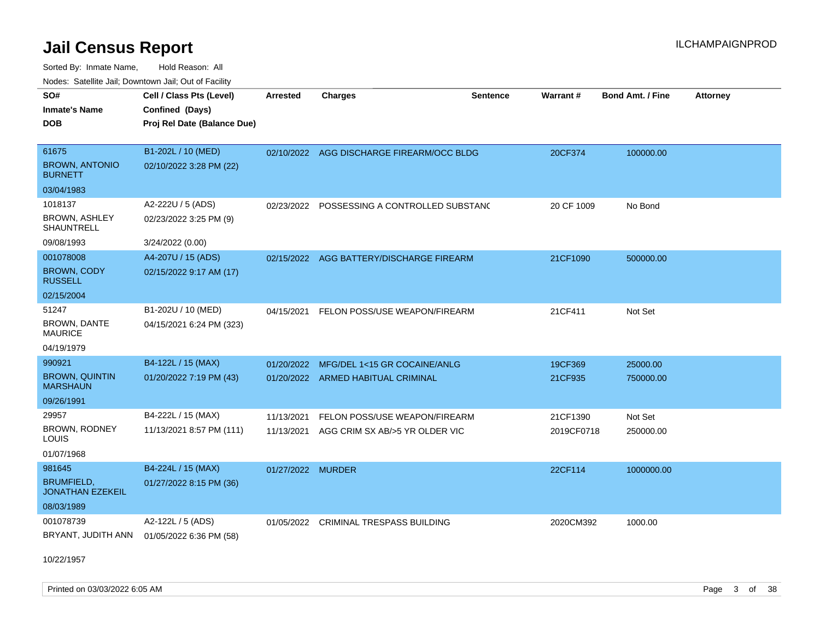Sorted By: Inmate Name, Hold Reason: All Nodes: Satellite Jail; Downtown Jail; Out of Facility

| SO#                                          | Cell / Class Pts (Level)    | <b>Arrested</b>   | <b>Charges</b>                              | <b>Sentence</b> | Warrant#   | <b>Bond Amt. / Fine</b> | <b>Attorney</b> |
|----------------------------------------------|-----------------------------|-------------------|---------------------------------------------|-----------------|------------|-------------------------|-----------------|
| <b>Inmate's Name</b>                         | Confined (Days)             |                   |                                             |                 |            |                         |                 |
| <b>DOB</b>                                   | Proj Rel Date (Balance Due) |                   |                                             |                 |            |                         |                 |
|                                              |                             |                   |                                             |                 |            |                         |                 |
| 61675                                        | B1-202L / 10 (MED)          |                   | 02/10/2022 AGG DISCHARGE FIREARM/OCC BLDG   |                 | 20CF374    | 100000.00               |                 |
| <b>BROWN, ANTONIO</b><br><b>BURNETT</b>      | 02/10/2022 3:28 PM (22)     |                   |                                             |                 |            |                         |                 |
| 03/04/1983                                   |                             |                   |                                             |                 |            |                         |                 |
| 1018137                                      | A2-222U / 5 (ADS)           |                   | 02/23/2022 POSSESSING A CONTROLLED SUBSTANC |                 | 20 CF 1009 | No Bond                 |                 |
| <b>BROWN, ASHLEY</b><br><b>SHAUNTRELL</b>    | 02/23/2022 3:25 PM (9)      |                   |                                             |                 |            |                         |                 |
| 09/08/1993                                   | 3/24/2022 (0.00)            |                   |                                             |                 |            |                         |                 |
| 001078008                                    | A4-207U / 15 (ADS)          |                   | 02/15/2022 AGG BATTERY/DISCHARGE FIREARM    |                 | 21CF1090   | 500000.00               |                 |
| <b>BROWN, CODY</b><br><b>RUSSELL</b>         | 02/15/2022 9:17 AM (17)     |                   |                                             |                 |            |                         |                 |
| 02/15/2004                                   |                             |                   |                                             |                 |            |                         |                 |
| 51247                                        | B1-202U / 10 (MED)          | 04/15/2021        | FELON POSS/USE WEAPON/FIREARM               |                 | 21CF411    | Not Set                 |                 |
| BROWN, DANTE<br><b>MAURICE</b>               | 04/15/2021 6:24 PM (323)    |                   |                                             |                 |            |                         |                 |
| 04/19/1979                                   |                             |                   |                                             |                 |            |                         |                 |
| 990921                                       | B4-122L / 15 (MAX)          | 01/20/2022        | MFG/DEL 1<15 GR COCAINE/ANLG                |                 | 19CF369    | 25000.00                |                 |
| <b>BROWN, QUINTIN</b><br><b>MARSHAUN</b>     | 01/20/2022 7:19 PM (43)     |                   | 01/20/2022 ARMED HABITUAL CRIMINAL          |                 | 21CF935    | 750000.00               |                 |
| 09/26/1991                                   |                             |                   |                                             |                 |            |                         |                 |
| 29957                                        | B4-222L / 15 (MAX)          | 11/13/2021        | FELON POSS/USE WEAPON/FIREARM               |                 | 21CF1390   | Not Set                 |                 |
| BROWN, RODNEY<br>LOUIS                       | 11/13/2021 8:57 PM (111)    | 11/13/2021        | AGG CRIM SX AB/>5 YR OLDER VIC              |                 | 2019CF0718 | 250000.00               |                 |
| 01/07/1968                                   |                             |                   |                                             |                 |            |                         |                 |
| 981645                                       | B4-224L / 15 (MAX)          | 01/27/2022 MURDER |                                             |                 | 22CF114    | 1000000.00              |                 |
| <b>BRUMFIELD.</b><br><b>JONATHAN EZEKEIL</b> | 01/27/2022 8:15 PM (36)     |                   |                                             |                 |            |                         |                 |
| 08/03/1989                                   |                             |                   |                                             |                 |            |                         |                 |
| 001078739                                    | A2-122L / 5 (ADS)           | 01/05/2022        | <b>CRIMINAL TRESPASS BUILDING</b>           |                 | 2020CM392  | 1000.00                 |                 |
| BRYANT, JUDITH ANN                           | 01/05/2022 6:36 PM (58)     |                   |                                             |                 |            |                         |                 |

10/22/1957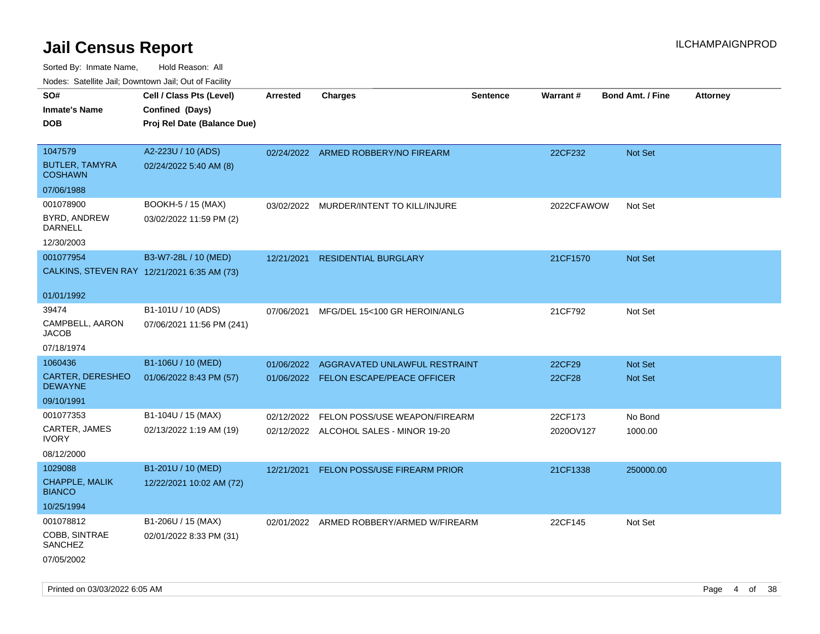| roaco. Catolino dall, Downtown dall, Out of Fability |                             |            |                                          |                 |                 |                         |                 |
|------------------------------------------------------|-----------------------------|------------|------------------------------------------|-----------------|-----------------|-------------------------|-----------------|
| SO#                                                  | Cell / Class Pts (Level)    | Arrested   | <b>Charges</b>                           | <b>Sentence</b> | <b>Warrant#</b> | <b>Bond Amt. / Fine</b> | <b>Attorney</b> |
| <b>Inmate's Name</b>                                 | Confined (Days)             |            |                                          |                 |                 |                         |                 |
| <b>DOB</b>                                           | Proj Rel Date (Balance Due) |            |                                          |                 |                 |                         |                 |
|                                                      |                             |            |                                          |                 |                 |                         |                 |
| 1047579                                              | A2-223U / 10 (ADS)          |            | 02/24/2022 ARMED ROBBERY/NO FIREARM      |                 | 22CF232         | Not Set                 |                 |
| <b>BUTLER, TAMYRA</b><br><b>COSHAWN</b>              | 02/24/2022 5:40 AM (8)      |            |                                          |                 |                 |                         |                 |
| 07/06/1988                                           |                             |            |                                          |                 |                 |                         |                 |
| 001078900                                            | BOOKH-5 / 15 (MAX)          | 03/02/2022 | MURDER/INTENT TO KILL/INJURE             |                 | 2022CFAWOW      | Not Set                 |                 |
| BYRD, ANDREW<br>DARNELL                              | 03/02/2022 11:59 PM (2)     |            |                                          |                 |                 |                         |                 |
| 12/30/2003                                           |                             |            |                                          |                 |                 |                         |                 |
| 001077954                                            | B3-W7-28L / 10 (MED)        | 12/21/2021 | <b>RESIDENTIAL BURGLARY</b>              |                 | 21CF1570        | <b>Not Set</b>          |                 |
| CALKINS, STEVEN RAY 12/21/2021 6:35 AM (73)          |                             |            |                                          |                 |                 |                         |                 |
|                                                      |                             |            |                                          |                 |                 |                         |                 |
| 01/01/1992                                           |                             |            |                                          |                 |                 |                         |                 |
| 39474                                                | B1-101U / 10 (ADS)          | 07/06/2021 | MFG/DEL 15<100 GR HEROIN/ANLG            |                 | 21CF792         | Not Set                 |                 |
| CAMPBELL, AARON<br>JACOB                             | 07/06/2021 11:56 PM (241)   |            |                                          |                 |                 |                         |                 |
| 07/18/1974                                           |                             |            |                                          |                 |                 |                         |                 |
| 1060436                                              | B1-106U / 10 (MED)          | 01/06/2022 | AGGRAVATED UNLAWFUL RESTRAINT            |                 | 22CF29          | <b>Not Set</b>          |                 |
| <b>CARTER, DERESHEO</b><br><b>DEWAYNE</b>            | 01/06/2022 8:43 PM (57)     | 01/06/2022 | <b>FELON ESCAPE/PEACE OFFICER</b>        |                 | 22CF28          | <b>Not Set</b>          |                 |
| 09/10/1991                                           |                             |            |                                          |                 |                 |                         |                 |
| 001077353                                            | B1-104U / 15 (MAX)          | 02/12/2022 | FELON POSS/USE WEAPON/FIREARM            |                 | 22CF173         | No Bond                 |                 |
| CARTER, JAMES<br><b>IVORY</b>                        | 02/13/2022 1:19 AM (19)     |            | 02/12/2022 ALCOHOL SALES - MINOR 19-20   |                 | 2020OV127       | 1000.00                 |                 |
| 08/12/2000                                           |                             |            |                                          |                 |                 |                         |                 |
| 1029088                                              | B1-201U / 10 (MED)          | 12/21/2021 | <b>FELON POSS/USE FIREARM PRIOR</b>      |                 | 21CF1338        | 250000.00               |                 |
| <b>CHAPPLE, MALIK</b><br><b>BIANCO</b>               | 12/22/2021 10:02 AM (72)    |            |                                          |                 |                 |                         |                 |
| 10/25/1994                                           |                             |            |                                          |                 |                 |                         |                 |
| 001078812                                            | B1-206U / 15 (MAX)          |            | 02/01/2022 ARMED ROBBERY/ARMED W/FIREARM |                 | 22CF145         | Not Set                 |                 |
| COBB, SINTRAE<br><b>SANCHEZ</b>                      | 02/01/2022 8:33 PM (31)     |            |                                          |                 |                 |                         |                 |
| 07/05/2002                                           |                             |            |                                          |                 |                 |                         |                 |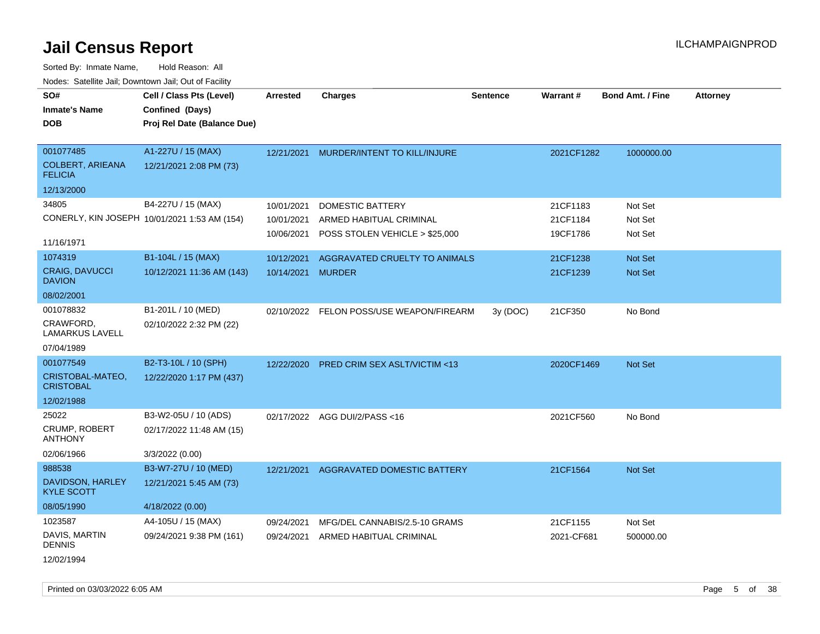Sorted By: Inmate Name, Hold Reason: All Nodes: Satellite Jail; Downtown Jail; Out of Facility

| SO#                                       | Cell / Class Pts (Level)                     | <b>Arrested</b>   | <b>Charges</b>                           | <b>Sentence</b> | <b>Warrant#</b> | Bond Amt. / Fine | <b>Attorney</b> |
|-------------------------------------------|----------------------------------------------|-------------------|------------------------------------------|-----------------|-----------------|------------------|-----------------|
| <b>Inmate's Name</b>                      | Confined (Days)                              |                   |                                          |                 |                 |                  |                 |
| <b>DOB</b>                                | Proj Rel Date (Balance Due)                  |                   |                                          |                 |                 |                  |                 |
|                                           |                                              |                   |                                          |                 |                 |                  |                 |
| 001077485                                 | A1-227U / 15 (MAX)                           | 12/21/2021        | MURDER/INTENT TO KILL/INJURE             |                 | 2021CF1282      | 1000000.00       |                 |
| <b>COLBERT, ARIEANA</b><br><b>FELICIA</b> | 12/21/2021 2:08 PM (73)                      |                   |                                          |                 |                 |                  |                 |
| 12/13/2000                                |                                              |                   |                                          |                 |                 |                  |                 |
| 34805                                     | B4-227U / 15 (MAX)                           | 10/01/2021        | <b>DOMESTIC BATTERY</b>                  |                 | 21CF1183        | Not Set          |                 |
|                                           | CONERLY, KIN JOSEPH 10/01/2021 1:53 AM (154) | 10/01/2021        | ARMED HABITUAL CRIMINAL                  |                 | 21CF1184        | Not Set          |                 |
|                                           |                                              | 10/06/2021        | POSS STOLEN VEHICLE > \$25,000           |                 | 19CF1786        | Not Set          |                 |
| 11/16/1971                                |                                              |                   |                                          |                 |                 |                  |                 |
| 1074319                                   | B1-104L / 15 (MAX)                           | 10/12/2021        | AGGRAVATED CRUELTY TO ANIMALS            |                 | 21CF1238        | Not Set          |                 |
| CRAIG, DAVUCCI<br><b>DAVION</b>           | 10/12/2021 11:36 AM (143)                    | 10/14/2021 MURDER |                                          |                 | 21CF1239        | Not Set          |                 |
| 08/02/2001                                |                                              |                   |                                          |                 |                 |                  |                 |
| 001078832                                 | B1-201L / 10 (MED)                           |                   | 02/10/2022 FELON POSS/USE WEAPON/FIREARM | 3y (DOC)        | 21CF350         | No Bond          |                 |
| CRAWFORD,<br><b>LAMARKUS LAVELL</b>       | 02/10/2022 2:32 PM (22)                      |                   |                                          |                 |                 |                  |                 |
| 07/04/1989                                |                                              |                   |                                          |                 |                 |                  |                 |
| 001077549                                 | B2-T3-10L / 10 (SPH)                         | 12/22/2020        | PRED CRIM SEX ASLT/VICTIM <13            |                 | 2020CF1469      | Not Set          |                 |
| CRISTOBAL-MATEO,<br><b>CRISTOBAL</b>      | 12/22/2020 1:17 PM (437)                     |                   |                                          |                 |                 |                  |                 |
| 12/02/1988                                |                                              |                   |                                          |                 |                 |                  |                 |
| 25022                                     | B3-W2-05U / 10 (ADS)                         |                   | 02/17/2022 AGG DUI/2/PASS<16             |                 | 2021CF560       | No Bond          |                 |
| <b>CRUMP, ROBERT</b><br><b>ANTHONY</b>    | 02/17/2022 11:48 AM (15)                     |                   |                                          |                 |                 |                  |                 |
| 02/06/1966                                | 3/3/2022 (0.00)                              |                   |                                          |                 |                 |                  |                 |
| 988538                                    | B3-W7-27U / 10 (MED)                         | 12/21/2021        | AGGRAVATED DOMESTIC BATTERY              |                 | 21CF1564        | Not Set          |                 |
| DAVIDSON, HARLEY<br><b>KYLE SCOTT</b>     | 12/21/2021 5:45 AM (73)                      |                   |                                          |                 |                 |                  |                 |
| 08/05/1990                                | 4/18/2022 (0.00)                             |                   |                                          |                 |                 |                  |                 |
| 1023587                                   | A4-105U / 15 (MAX)                           | 09/24/2021        | MFG/DEL CANNABIS/2.5-10 GRAMS            |                 | 21CF1155        | Not Set          |                 |
| DAVIS, MARTIN<br><b>DENNIS</b>            | 09/24/2021 9:38 PM (161)                     | 09/24/2021        | ARMED HABITUAL CRIMINAL                  |                 | 2021-CF681      | 500000.00        |                 |
| 12/02/1994                                |                                              |                   |                                          |                 |                 |                  |                 |

Printed on 03/03/2022 6:05 AM Page 5 of 38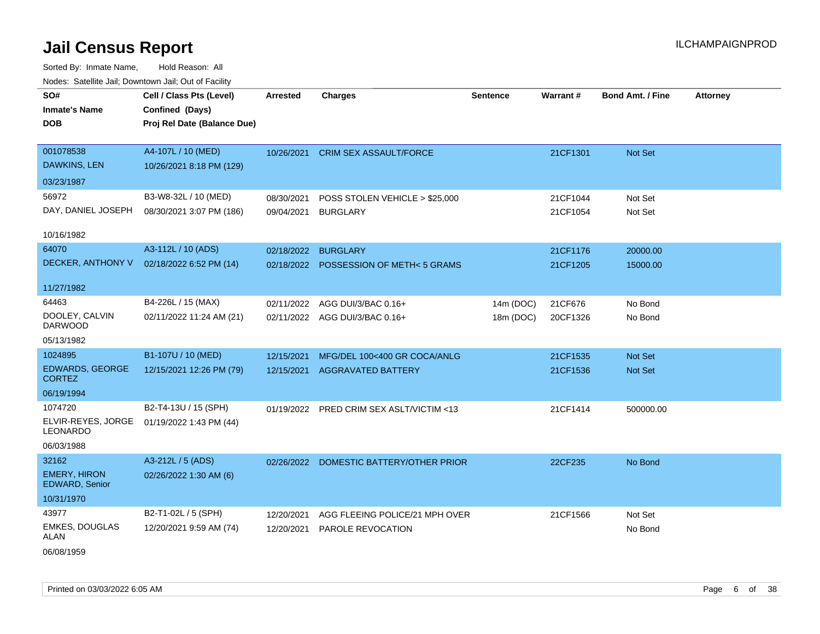| SO#<br><b>Inmate's Name</b><br><b>DOB</b>                             | Cell / Class Pts (Level)<br>Confined (Days)<br>Proj Rel Date (Balance Due) | <b>Arrested</b>          | <b>Charges</b>                                            | Sentence               | Warrant#             | <b>Bond Amt. / Fine</b> | <b>Attorney</b> |
|-----------------------------------------------------------------------|----------------------------------------------------------------------------|--------------------------|-----------------------------------------------------------|------------------------|----------------------|-------------------------|-----------------|
| 001078538<br><b>DAWKINS, LEN</b><br>03/23/1987                        | A4-107L / 10 (MED)<br>10/26/2021 8:18 PM (129)                             |                          | 10/26/2021 CRIM SEX ASSAULT/FORCE                         |                        | 21CF1301             | Not Set                 |                 |
| 56972<br>DAY, DANIEL JOSEPH<br>10/16/1982                             | B3-W8-32L / 10 (MED)<br>08/30/2021 3:07 PM (186)                           | 08/30/2021<br>09/04/2021 | POSS STOLEN VEHICLE > \$25,000<br><b>BURGLARY</b>         |                        | 21CF1044<br>21CF1054 | Not Set<br>Not Set      |                 |
| 64070<br>DECKER, ANTHONY V                                            | A3-112L / 10 (ADS)<br>02/18/2022 6:52 PM (14)                              | 02/18/2022               | <b>BURGLARY</b><br>02/18/2022 POSSESSION OF METH<5 GRAMS  |                        | 21CF1176<br>21CF1205 | 20000.00<br>15000.00    |                 |
| 11/27/1982<br>64463<br>DOOLEY, CALVIN<br><b>DARWOOD</b><br>05/13/1982 | B4-226L / 15 (MAX)<br>02/11/2022 11:24 AM (21)                             | 02/11/2022               | AGG DUI/3/BAC 0.16+<br>02/11/2022 AGG DUI/3/BAC 0.16+     | 14m (DOC)<br>18m (DOC) | 21CF676<br>20CF1326  | No Bond<br>No Bond      |                 |
| 1024895<br><b>EDWARDS, GEORGE</b><br><b>CORTEZ</b><br>06/19/1994      | B1-107U / 10 (MED)<br>12/15/2021 12:26 PM (79)                             | 12/15/2021<br>12/15/2021 | MFG/DEL 100<400 GR COCA/ANLG<br><b>AGGRAVATED BATTERY</b> |                        | 21CF1535<br>21CF1536 | Not Set<br>Not Set      |                 |
| 1074720<br>ELVIR-REYES, JORGE<br><b>LEONARDO</b><br>06/03/1988        | B2-T4-13U / 15 (SPH)<br>01/19/2022 1:43 PM (44)                            |                          | 01/19/2022 PRED CRIM SEX ASLT/VICTIM <13                  |                        | 21CF1414             | 500000.00               |                 |
| 32162<br><b>EMERY, HIRON</b><br>EDWARD, Senior<br>10/31/1970          | A3-212L / 5 (ADS)<br>02/26/2022 1:30 AM (6)                                |                          | 02/26/2022 DOMESTIC BATTERY/OTHER PRIOR                   |                        | 22CF235              | No Bond                 |                 |
| 43977<br><b>EMKES, DOUGLAS</b><br><b>ALAN</b><br>06/08/1959           | B2-T1-02L / 5 (SPH)<br>12/20/2021 9:59 AM (74)                             | 12/20/2021<br>12/20/2021 | AGG FLEEING POLICE/21 MPH OVER<br>PAROLE REVOCATION       |                        | 21CF1566             | Not Set<br>No Bond      |                 |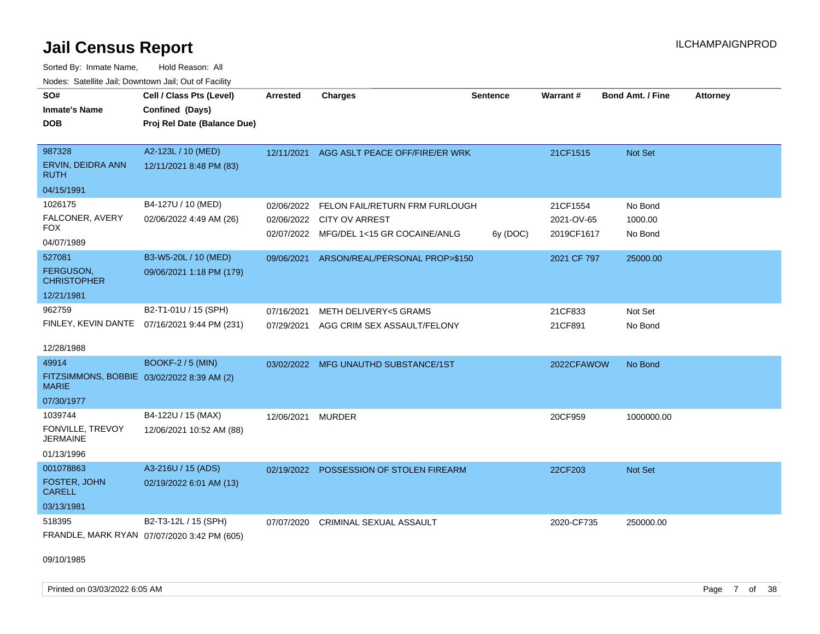Sorted By: Inmate Name, Hold Reason: All Nodes: Satellite Jail; Downtown Jail; Out of Facility

| SO#                                                        | Cell / Class Pts (Level)                     | <b>Arrested</b> | <b>Charges</b>                          | <b>Sentence</b> | <b>Warrant#</b> | <b>Bond Amt. / Fine</b> | <b>Attorney</b> |
|------------------------------------------------------------|----------------------------------------------|-----------------|-----------------------------------------|-----------------|-----------------|-------------------------|-----------------|
| <b>Inmate's Name</b>                                       | Confined (Days)                              |                 |                                         |                 |                 |                         |                 |
|                                                            |                                              |                 |                                         |                 |                 |                         |                 |
| <b>DOB</b>                                                 | Proj Rel Date (Balance Due)                  |                 |                                         |                 |                 |                         |                 |
| 987328                                                     |                                              |                 |                                         |                 |                 |                         |                 |
|                                                            | A2-123L / 10 (MED)                           | 12/11/2021      | AGG ASLT PEACE OFF/FIRE/ER WRK          |                 | 21CF1515        | Not Set                 |                 |
| ERVIN, DEIDRA ANN<br>RUTH                                  | 12/11/2021 8:48 PM (83)                      |                 |                                         |                 |                 |                         |                 |
| 04/15/1991                                                 |                                              |                 |                                         |                 |                 |                         |                 |
| 1026175                                                    | B4-127U / 10 (MED)                           | 02/06/2022      | FELON FAIL/RETURN FRM FURLOUGH          |                 | 21CF1554        | No Bond                 |                 |
| FALCONER, AVERY                                            | 02/06/2022 4:49 AM (26)                      | 02/06/2022      | CITY OV ARREST                          |                 | 2021-OV-65      | 1000.00                 |                 |
| FOX                                                        |                                              |                 | 02/07/2022 MFG/DEL 1<15 GR COCAINE/ANLG | 6y (DOC)        | 2019CF1617      | No Bond                 |                 |
| 04/07/1989                                                 |                                              |                 |                                         |                 |                 |                         |                 |
| 527081                                                     | B3-W5-20L / 10 (MED)                         | 09/06/2021      | ARSON/REAL/PERSONAL PROP>\$150          |                 | 2021 CF 797     | 25000.00                |                 |
| FERGUSON,<br><b>CHRISTOPHER</b>                            | 09/06/2021 1:18 PM (179)                     |                 |                                         |                 |                 |                         |                 |
| 12/21/1981                                                 |                                              |                 |                                         |                 |                 |                         |                 |
| 962759                                                     | B2-T1-01U / 15 (SPH)                         | 07/16/2021      | <b>METH DELIVERY&lt;5 GRAMS</b>         |                 | 21CF833         | Not Set                 |                 |
|                                                            | FINLEY, KEVIN DANTE 07/16/2021 9:44 PM (231) | 07/29/2021      | AGG CRIM SEX ASSAULT/FELONY             |                 | 21CF891         | No Bond                 |                 |
|                                                            |                                              |                 |                                         |                 |                 |                         |                 |
| 12/28/1988                                                 |                                              |                 |                                         |                 |                 |                         |                 |
| 49914                                                      | <b>BOOKF-2 / 5 (MIN)</b>                     |                 | 03/02/2022 MFG UNAUTHD SUBSTANCE/1ST    |                 | 2022CFAWOW      | No Bond                 |                 |
| FITZSIMMONS, BOBBIE 03/02/2022 8:39 AM (2)<br><b>MARIE</b> |                                              |                 |                                         |                 |                 |                         |                 |
| 07/30/1977                                                 |                                              |                 |                                         |                 |                 |                         |                 |
| 1039744                                                    | B4-122U / 15 (MAX)                           | 12/06/2021      | <b>MURDER</b>                           |                 | 20CF959         | 1000000.00              |                 |
| FONVILLE, TREVOY                                           | 12/06/2021 10:52 AM (88)                     |                 |                                         |                 |                 |                         |                 |
| <b>JERMAINE</b>                                            |                                              |                 |                                         |                 |                 |                         |                 |
| 01/13/1996                                                 |                                              |                 |                                         |                 |                 |                         |                 |
| 001078863                                                  | A3-216U / 15 (ADS)                           | 02/19/2022      | POSSESSION OF STOLEN FIREARM            |                 | 22CF203         | <b>Not Set</b>          |                 |
| <b>FOSTER, JOHN</b><br><b>CARELL</b>                       | 02/19/2022 6:01 AM (13)                      |                 |                                         |                 |                 |                         |                 |
| 03/13/1981                                                 |                                              |                 |                                         |                 |                 |                         |                 |
| 518395                                                     | B2-T3-12L / 15 (SPH)                         | 07/07/2020      | <b>CRIMINAL SEXUAL ASSAULT</b>          |                 | 2020-CF735      | 250000.00               |                 |
|                                                            | FRANDLE, MARK RYAN 07/07/2020 3:42 PM (605)  |                 |                                         |                 |                 |                         |                 |

09/10/1985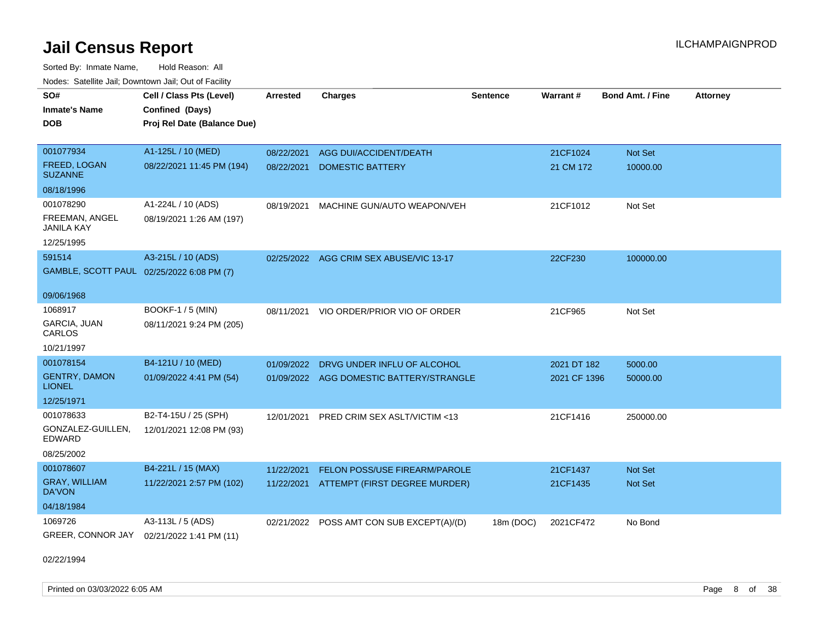Sorted By: Inmate Name, Hold Reason: All Nodes: Satellite Jail; Downtown Jail; Out of Facility

| SO#<br><b>Inmate's Name</b><br><b>DOB</b> | Cell / Class Pts (Level)<br>Confined (Days)<br>Proj Rel Date (Balance Due) | <b>Arrested</b> | <b>Charges</b>                            | <b>Sentence</b> | Warrant#     | <b>Bond Amt. / Fine</b> | <b>Attorney</b> |
|-------------------------------------------|----------------------------------------------------------------------------|-----------------|-------------------------------------------|-----------------|--------------|-------------------------|-----------------|
| 001077934<br><b>FREED, LOGAN</b>          | A1-125L / 10 (MED)<br>08/22/2021 11:45 PM (194)                            | 08/22/2021      | AGG DUI/ACCIDENT/DEATH                    |                 | 21CF1024     | Not Set                 |                 |
| <b>SUZANNE</b>                            |                                                                            | 08/22/2021      | <b>DOMESTIC BATTERY</b>                   |                 | 21 CM 172    | 10000.00                |                 |
| 08/18/1996                                |                                                                            |                 |                                           |                 |              |                         |                 |
| 001078290                                 | A1-224L / 10 (ADS)                                                         | 08/19/2021      | MACHINE GUN/AUTO WEAPON/VEH               |                 | 21CF1012     | Not Set                 |                 |
| FREEMAN, ANGEL<br>JANILA KAY              | 08/19/2021 1:26 AM (197)                                                   |                 |                                           |                 |              |                         |                 |
| 12/25/1995                                |                                                                            |                 |                                           |                 |              |                         |                 |
| 591514                                    | A3-215L / 10 (ADS)                                                         |                 | 02/25/2022 AGG CRIM SEX ABUSE/VIC 13-17   |                 | 22CF230      | 100000.00               |                 |
| GAMBLE, SCOTT PAUL 02/25/2022 6:08 PM (7) |                                                                            |                 |                                           |                 |              |                         |                 |
| 09/06/1968                                |                                                                            |                 |                                           |                 |              |                         |                 |
| 1068917                                   | <b>BOOKF-1 / 5 (MIN)</b>                                                   | 08/11/2021      | VIO ORDER/PRIOR VIO OF ORDER              |                 | 21CF965      | Not Set                 |                 |
| <b>GARCIA, JUAN</b><br>CARLOS             | 08/11/2021 9:24 PM (205)                                                   |                 |                                           |                 |              |                         |                 |
| 10/21/1997                                |                                                                            |                 |                                           |                 |              |                         |                 |
| 001078154                                 | B4-121U / 10 (MED)                                                         | 01/09/2022      | DRVG UNDER INFLU OF ALCOHOL               |                 | 2021 DT 182  | 5000.00                 |                 |
| <b>GENTRY, DAMON</b><br><b>LIONEL</b>     | 01/09/2022 4:41 PM (54)                                                    |                 | 01/09/2022 AGG DOMESTIC BATTERY/STRANGLE  |                 | 2021 CF 1396 | 50000.00                |                 |
| 12/25/1971                                |                                                                            |                 |                                           |                 |              |                         |                 |
| 001078633                                 | B2-T4-15U / 25 (SPH)                                                       | 12/01/2021      | PRED CRIM SEX ASLT/VICTIM <13             |                 | 21CF1416     | 250000.00               |                 |
| GONZALEZ-GUILLEN,<br>EDWARD               | 12/01/2021 12:08 PM (93)                                                   |                 |                                           |                 |              |                         |                 |
| 08/25/2002                                |                                                                            |                 |                                           |                 |              |                         |                 |
| 001078607                                 | B4-221L / 15 (MAX)                                                         | 11/22/2021      | <b>FELON POSS/USE FIREARM/PAROLE</b>      |                 | 21CF1437     | <b>Not Set</b>          |                 |
| <b>GRAY, WILLIAM</b><br>DA'VON            | 11/22/2021 2:57 PM (102)                                                   | 11/22/2021      | ATTEMPT (FIRST DEGREE MURDER)             |                 | 21CF1435     | Not Set                 |                 |
| 04/18/1984                                |                                                                            |                 |                                           |                 |              |                         |                 |
| 1069726                                   | A3-113L / 5 (ADS)                                                          |                 | 02/21/2022 POSS AMT CON SUB EXCEPT(A)/(D) | 18m (DOC)       | 2021CF472    | No Bond                 |                 |
| GREER, CONNOR JAY                         | 02/21/2022 1:41 PM (11)                                                    |                 |                                           |                 |              |                         |                 |

02/22/1994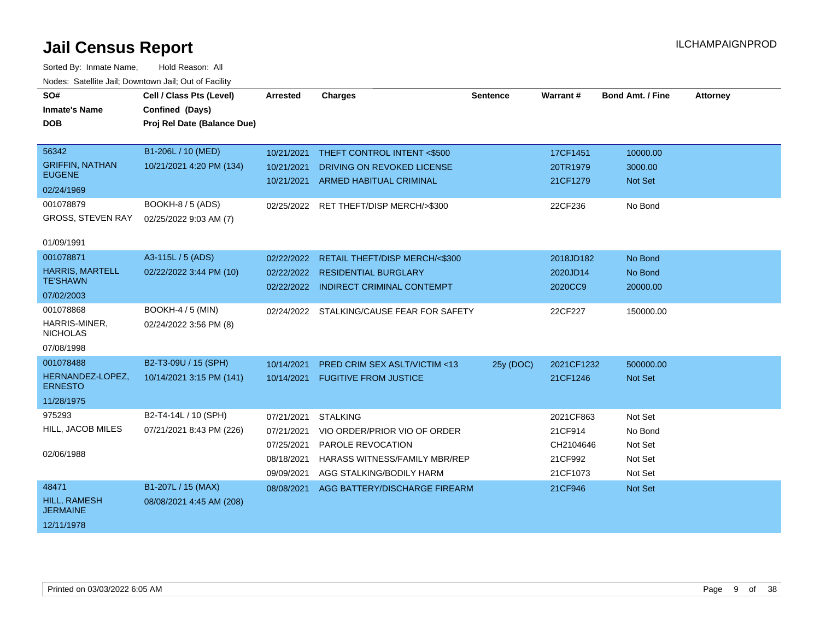| SO#<br><b>Inmate's Name</b>                       | Cell / Class Pts (Level)<br>Confined (Days)        | <b>Arrested</b>                        | <b>Charges</b>                                                                 | <b>Sentence</b> | <b>Warrant#</b>                  | <b>Bond Amt. / Fine</b>       | <b>Attorney</b> |
|---------------------------------------------------|----------------------------------------------------|----------------------------------------|--------------------------------------------------------------------------------|-----------------|----------------------------------|-------------------------------|-----------------|
| <b>DOB</b>                                        | Proj Rel Date (Balance Due)                        |                                        |                                                                                |                 |                                  |                               |                 |
| 56342<br><b>GRIFFIN, NATHAN</b>                   | B1-206L / 10 (MED)<br>10/21/2021 4:20 PM (134)     | 10/21/2021<br>10/21/2021               | THEFT CONTROL INTENT <\$500<br>DRIVING ON REVOKED LICENSE                      |                 | 17CF1451<br>20TR1979             | 10000.00<br>3000.00           |                 |
| <b>EUGENE</b><br>02/24/1969                       |                                                    | 10/21/2021                             | <b>ARMED HABITUAL CRIMINAL</b>                                                 |                 | 21CF1279                         | Not Set                       |                 |
| 001078879<br><b>GROSS, STEVEN RAY</b>             | <b>BOOKH-8 / 5 (ADS)</b><br>02/25/2022 9:03 AM (7) |                                        | 02/25/2022 RET THEFT/DISP MERCH/>\$300                                         |                 | 22CF236                          | No Bond                       |                 |
| 01/09/1991<br>001078871<br><b>HARRIS, MARTELL</b> | A3-115L / 5 (ADS)<br>02/22/2022 3:44 PM (10)       | 02/22/2022<br>02/22/2022               | RETAIL THEFT/DISP MERCH/<\$300<br><b>RESIDENTIAL BURGLARY</b>                  |                 | 2018JD182<br>2020JD14            | No Bond<br>No Bond            |                 |
| <b>TE'SHAWN</b><br>07/02/2003                     |                                                    |                                        | 02/22/2022 INDIRECT CRIMINAL CONTEMPT                                          |                 | 2020CC9                          | 20000.00                      |                 |
| 001078868<br>HARRIS-MINER,<br><b>NICHOLAS</b>     | <b>BOOKH-4 / 5 (MIN)</b><br>02/24/2022 3:56 PM (8) |                                        | 02/24/2022 STALKING/CAUSE FEAR FOR SAFETY                                      |                 | 22CF227                          | 150000.00                     |                 |
| 07/08/1998<br>001078488                           | B2-T3-09U / 15 (SPH)                               | 10/14/2021                             | PRED CRIM SEX ASLT/VICTIM <13                                                  |                 | 2021CF1232                       | 500000.00                     |                 |
| HERNANDEZ-LOPEZ,<br><b>ERNESTO</b>                | 10/14/2021 3:15 PM (141)                           |                                        | 10/14/2021 FUGITIVE FROM JUSTICE                                               | 25y (DOC)       | 21CF1246                         | <b>Not Set</b>                |                 |
| 11/28/1975                                        |                                                    |                                        |                                                                                |                 |                                  |                               |                 |
| 975293<br>HILL, JACOB MILES                       | B2-T4-14L / 10 (SPH)<br>07/21/2021 8:43 PM (226)   | 07/21/2021<br>07/21/2021               | <b>STALKING</b><br>VIO ORDER/PRIOR VIO OF ORDER                                |                 | 2021CF863<br>21CF914             | Not Set<br>No Bond            |                 |
| 02/06/1988                                        |                                                    | 07/25/2021<br>08/18/2021<br>09/09/2021 | PAROLE REVOCATION<br>HARASS WITNESS/FAMILY MBR/REP<br>AGG STALKING/BODILY HARM |                 | CH2104646<br>21CF992<br>21CF1073 | Not Set<br>Not Set<br>Not Set |                 |
| 48471<br><b>HILL, RAMESH</b><br><b>JERMAINE</b>   | B1-207L / 15 (MAX)<br>08/08/2021 4:45 AM (208)     | 08/08/2021                             | AGG BATTERY/DISCHARGE FIREARM                                                  |                 | 21CF946                          | Not Set                       |                 |
| 12/11/1978                                        |                                                    |                                        |                                                                                |                 |                                  |                               |                 |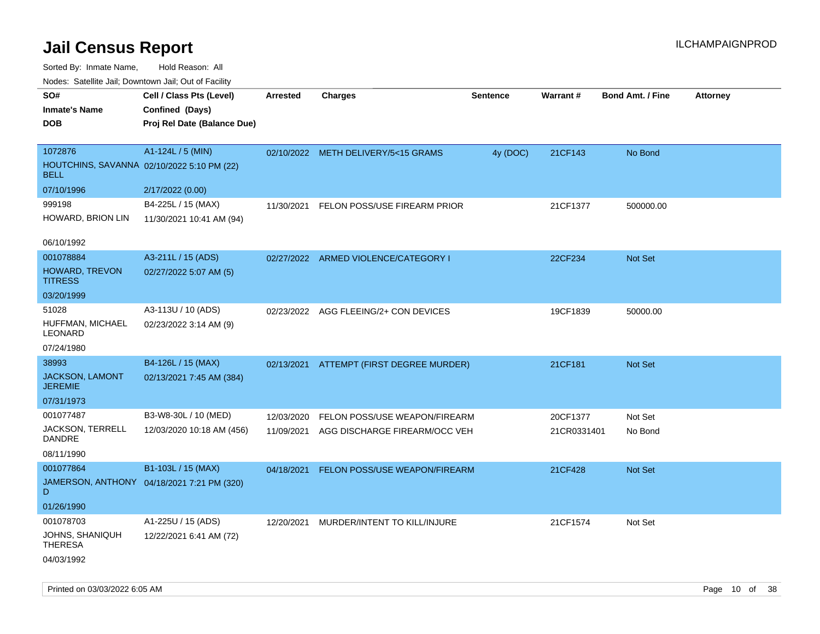Sorted By: Inmate Name, Hold Reason: All Nodes: Satellite Jail; Downtown Jail; Out of Facility

| ivuutis. Galtiillit Jall, Duwilluwii Jall, Oul of Facility |                                            |                 |                                          |                 |                 |                         |          |
|------------------------------------------------------------|--------------------------------------------|-----------------|------------------------------------------|-----------------|-----------------|-------------------------|----------|
| SO#                                                        | Cell / Class Pts (Level)                   | <b>Arrested</b> | <b>Charges</b>                           | <b>Sentence</b> | <b>Warrant#</b> | <b>Bond Amt. / Fine</b> | Attorney |
| <b>Inmate's Name</b>                                       | Confined (Days)                            |                 |                                          |                 |                 |                         |          |
| <b>DOB</b>                                                 | Proj Rel Date (Balance Due)                |                 |                                          |                 |                 |                         |          |
|                                                            |                                            |                 |                                          |                 |                 |                         |          |
| 1072876                                                    | A1-124L / 5 (MIN)                          |                 | 02/10/2022 METH DELIVERY/5<15 GRAMS      | 4y (DOC)        | 21CF143         | No Bond                 |          |
| HOUTCHINS, SAVANNA 02/10/2022 5:10 PM (22)<br><b>BELL</b>  |                                            |                 |                                          |                 |                 |                         |          |
| 07/10/1996                                                 | 2/17/2022 (0.00)                           |                 |                                          |                 |                 |                         |          |
| 999198                                                     | B4-225L / 15 (MAX)                         | 11/30/2021      | FELON POSS/USE FIREARM PRIOR             |                 | 21CF1377        | 500000.00               |          |
| HOWARD, BRION LIN                                          | 11/30/2021 10:41 AM (94)                   |                 |                                          |                 |                 |                         |          |
|                                                            |                                            |                 |                                          |                 |                 |                         |          |
| 06/10/1992                                                 |                                            |                 |                                          |                 |                 |                         |          |
| 001078884                                                  | A3-211L / 15 (ADS)                         |                 | 02/27/2022 ARMED VIOLENCE/CATEGORY I     |                 | 22CF234         | Not Set                 |          |
| HOWARD, TREVON<br><b>TITRESS</b>                           | 02/27/2022 5:07 AM (5)                     |                 |                                          |                 |                 |                         |          |
| 03/20/1999                                                 |                                            |                 |                                          |                 |                 |                         |          |
| 51028                                                      | A3-113U / 10 (ADS)                         |                 | 02/23/2022 AGG FLEEING/2+ CON DEVICES    |                 | 19CF1839        | 50000.00                |          |
| HUFFMAN, MICHAEL<br><b>LEONARD</b>                         | 02/23/2022 3:14 AM (9)                     |                 |                                          |                 |                 |                         |          |
| 07/24/1980                                                 |                                            |                 |                                          |                 |                 |                         |          |
| 38993                                                      | B4-126L / 15 (MAX)                         |                 | 02/13/2021 ATTEMPT (FIRST DEGREE MURDER) |                 | 21CF181         | Not Set                 |          |
| <b>JACKSON, LAMONT</b><br><b>JEREMIE</b>                   | 02/13/2021 7:45 AM (384)                   |                 |                                          |                 |                 |                         |          |
| 07/31/1973                                                 |                                            |                 |                                          |                 |                 |                         |          |
| 001077487                                                  | B3-W8-30L / 10 (MED)                       | 12/03/2020      | FELON POSS/USE WEAPON/FIREARM            |                 | 20CF1377        | Not Set                 |          |
| <b>JACKSON, TERRELL</b><br><b>DANDRE</b>                   | 12/03/2020 10:18 AM (456)                  | 11/09/2021      | AGG DISCHARGE FIREARM/OCC VEH            |                 | 21CR0331401     | No Bond                 |          |
| 08/11/1990                                                 |                                            |                 |                                          |                 |                 |                         |          |
| 001077864                                                  | B1-103L / 15 (MAX)                         | 04/18/2021      | FELON POSS/USE WEAPON/FIREARM            |                 | 21CF428         | Not Set                 |          |
| D                                                          | JAMERSON, ANTHONY 04/18/2021 7:21 PM (320) |                 |                                          |                 |                 |                         |          |
| 01/26/1990                                                 |                                            |                 |                                          |                 |                 |                         |          |
| 001078703                                                  | A1-225U / 15 (ADS)                         | 12/20/2021      | MURDER/INTENT TO KILL/INJURE             |                 | 21CF1574        | Not Set                 |          |
| <b>JOHNS, SHANIQUH</b>                                     | 12/22/2021 6:41 AM (72)                    |                 |                                          |                 |                 |                         |          |

**THERESA** 

04/03/1992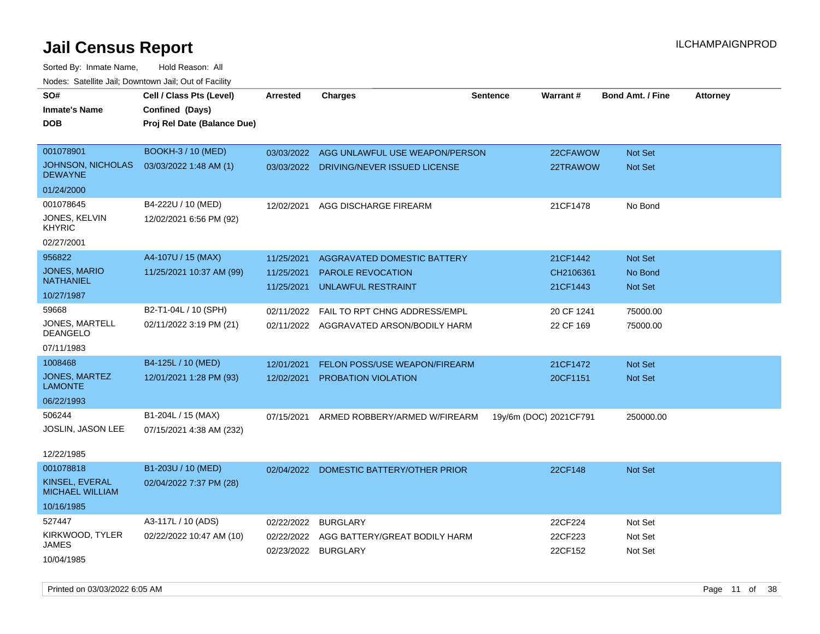| SO#                                        | Cell / Class Pts (Level)    | <b>Arrested</b> | <b>Charges</b>                          | <b>Sentence</b> | Warrant#               | <b>Bond Amt. / Fine</b> | <b>Attorney</b> |
|--------------------------------------------|-----------------------------|-----------------|-----------------------------------------|-----------------|------------------------|-------------------------|-----------------|
| <b>Inmate's Name</b>                       | Confined (Days)             |                 |                                         |                 |                        |                         |                 |
| <b>DOB</b>                                 | Proj Rel Date (Balance Due) |                 |                                         |                 |                        |                         |                 |
|                                            |                             |                 |                                         |                 |                        |                         |                 |
| 001078901                                  | <b>BOOKH-3 / 10 (MED)</b>   | 03/03/2022      | AGG UNLAWFUL USE WEAPON/PERSON          |                 | 22CFAWOW               | Not Set                 |                 |
| <b>JOHNSON, NICHOLAS</b><br><b>DEWAYNE</b> | 03/03/2022 1:48 AM (1)      | 03/03/2022      | DRIVING/NEVER ISSUED LICENSE            |                 | 22TRAWOW               | Not Set                 |                 |
| 01/24/2000                                 |                             |                 |                                         |                 |                        |                         |                 |
| 001078645                                  | B4-222U / 10 (MED)          | 12/02/2021      | AGG DISCHARGE FIREARM                   |                 | 21CF1478               | No Bond                 |                 |
| JONES, KELVIN<br><b>KHYRIC</b>             | 12/02/2021 6:56 PM (92)     |                 |                                         |                 |                        |                         |                 |
| 02/27/2001                                 |                             |                 |                                         |                 |                        |                         |                 |
| 956822                                     | A4-107U / 15 (MAX)          | 11/25/2021      | AGGRAVATED DOMESTIC BATTERY             |                 | 21CF1442               | Not Set                 |                 |
| <b>JONES, MARIO</b>                        | 11/25/2021 10:37 AM (99)    | 11/25/2021      | <b>PAROLE REVOCATION</b>                |                 | CH2106361              | No Bond                 |                 |
| <b>NATHANIEL</b>                           |                             | 11/25/2021      | <b>UNLAWFUL RESTRAINT</b>               |                 | 21CF1443               | Not Set                 |                 |
| 10/27/1987                                 |                             |                 |                                         |                 |                        |                         |                 |
| 59668                                      | B2-T1-04L / 10 (SPH)        | 02/11/2022      | FAIL TO RPT CHNG ADDRESS/EMPL           |                 | 20 CF 1241             | 75000.00                |                 |
| JONES, MARTELL<br><b>DEANGELO</b>          | 02/11/2022 3:19 PM (21)     |                 | 02/11/2022 AGGRAVATED ARSON/BODILY HARM |                 | 22 CF 169              | 75000.00                |                 |
| 07/11/1983                                 |                             |                 |                                         |                 |                        |                         |                 |
| 1008468                                    | B4-125L / 10 (MED)          | 12/01/2021      | FELON POSS/USE WEAPON/FIREARM           |                 | 21CF1472               | Not Set                 |                 |
| JONES, MARTEZ<br><b>LAMONTE</b>            | 12/01/2021 1:28 PM (93)     | 12/02/2021      | PROBATION VIOLATION                     |                 | 20CF1151               | <b>Not Set</b>          |                 |
| 06/22/1993                                 |                             |                 |                                         |                 |                        |                         |                 |
| 506244                                     | B1-204L / 15 (MAX)          | 07/15/2021      | ARMED ROBBERY/ARMED W/FIREARM           |                 | 19y/6m (DOC) 2021CF791 | 250000.00               |                 |
| JOSLIN, JASON LEE                          | 07/15/2021 4:38 AM (232)    |                 |                                         |                 |                        |                         |                 |
|                                            |                             |                 |                                         |                 |                        |                         |                 |
| 12/22/1985                                 |                             |                 |                                         |                 |                        |                         |                 |
| 001078818                                  | B1-203U / 10 (MED)          | 02/04/2022      | DOMESTIC BATTERY/OTHER PRIOR            |                 | 22CF148                | Not Set                 |                 |
| KINSEL, EVERAL<br><b>MICHAEL WILLIAM</b>   | 02/04/2022 7:37 PM (28)     |                 |                                         |                 |                        |                         |                 |
| 10/16/1985                                 |                             |                 |                                         |                 |                        |                         |                 |
| 527447                                     | A3-117L / 10 (ADS)          | 02/22/2022      | <b>BURGLARY</b>                         |                 | 22CF224                | Not Set                 |                 |
| KIRKWOOD, TYLER                            | 02/22/2022 10:47 AM (10)    | 02/22/2022      | AGG BATTERY/GREAT BODILY HARM           |                 | 22CF223                | Not Set                 |                 |
| JAMES                                      |                             | 02/23/2022      | <b>BURGLARY</b>                         |                 | 22CF152                | Not Set                 |                 |
| 10/04/1985                                 |                             |                 |                                         |                 |                        |                         |                 |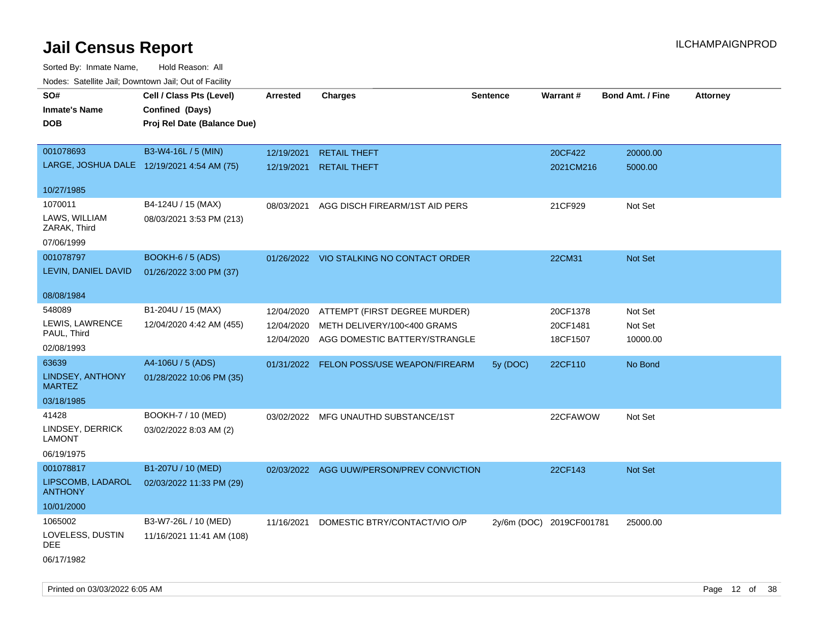| ivuutos. Saltiilit Jali, Duwilluwii Jali, Oul of Facility |                             |            |                                           |                 |                          |                         |                 |
|-----------------------------------------------------------|-----------------------------|------------|-------------------------------------------|-----------------|--------------------------|-------------------------|-----------------|
| SO#                                                       | Cell / Class Pts (Level)    | Arrested   | <b>Charges</b>                            | <b>Sentence</b> | Warrant#                 | <b>Bond Amt. / Fine</b> | <b>Attorney</b> |
| <b>Inmate's Name</b>                                      | Confined (Days)             |            |                                           |                 |                          |                         |                 |
| <b>DOB</b>                                                | Proj Rel Date (Balance Due) |            |                                           |                 |                          |                         |                 |
|                                                           |                             |            |                                           |                 |                          |                         |                 |
| 001078693                                                 | B3-W4-16L / 5 (MIN)         | 12/19/2021 | <b>RETAIL THEFT</b>                       |                 | 20CF422                  | 20000.00                |                 |
| LARGE, JOSHUA DALE 12/19/2021 4:54 AM (75)                |                             | 12/19/2021 | <b>RETAIL THEFT</b>                       |                 | 2021CM216                | 5000.00                 |                 |
|                                                           |                             |            |                                           |                 |                          |                         |                 |
| 10/27/1985                                                |                             |            |                                           |                 |                          |                         |                 |
| 1070011                                                   | B4-124U / 15 (MAX)          | 08/03/2021 | AGG DISCH FIREARM/1ST AID PERS            |                 | 21CF929                  | Not Set                 |                 |
| LAWS, WILLIAM                                             | 08/03/2021 3:53 PM (213)    |            |                                           |                 |                          |                         |                 |
| ZARAK, Third                                              |                             |            |                                           |                 |                          |                         |                 |
| 07/06/1999                                                |                             |            |                                           |                 |                          |                         |                 |
| 001078797                                                 | <b>BOOKH-6 / 5 (ADS)</b>    |            | 01/26/2022 VIO STALKING NO CONTACT ORDER  |                 | 22CM31                   | Not Set                 |                 |
| LEVIN, DANIEL DAVID                                       | 01/26/2022 3:00 PM (37)     |            |                                           |                 |                          |                         |                 |
| 08/08/1984                                                |                             |            |                                           |                 |                          |                         |                 |
| 548089                                                    | B1-204U / 15 (MAX)          | 12/04/2020 | ATTEMPT (FIRST DEGREE MURDER)             |                 | 20CF1378                 | Not Set                 |                 |
| LEWIS, LAWRENCE                                           | 12/04/2020 4:42 AM (455)    | 12/04/2020 | METH DELIVERY/100<400 GRAMS               |                 | 20CF1481                 | Not Set                 |                 |
| PAUL, Third                                               |                             | 12/04/2020 | AGG DOMESTIC BATTERY/STRANGLE             |                 | 18CF1507                 | 10000.00                |                 |
| 02/08/1993                                                |                             |            |                                           |                 |                          |                         |                 |
| 63639                                                     | A4-106U / 5 (ADS)           |            | 01/31/2022 FELON POSS/USE WEAPON/FIREARM  | 5y (DOC)        | 22CF110                  | No Bond                 |                 |
| LINDSEY, ANTHONY                                          | 01/28/2022 10:06 PM (35)    |            |                                           |                 |                          |                         |                 |
| <b>MARTEZ</b>                                             |                             |            |                                           |                 |                          |                         |                 |
| 03/18/1985                                                |                             |            |                                           |                 |                          |                         |                 |
| 41428                                                     | BOOKH-7 / 10 (MED)          |            | 03/02/2022 MFG UNAUTHD SUBSTANCE/1ST      |                 | 22CFAWOW                 | Not Set                 |                 |
| LINDSEY, DERRICK                                          | 03/02/2022 8:03 AM (2)      |            |                                           |                 |                          |                         |                 |
| <b>LAMONT</b>                                             |                             |            |                                           |                 |                          |                         |                 |
| 06/19/1975                                                |                             |            |                                           |                 |                          |                         |                 |
| 001078817                                                 | B1-207U / 10 (MED)          |            | 02/03/2022 AGG UUW/PERSON/PREV CONVICTION |                 | 22CF143                  | Not Set                 |                 |
| LIPSCOMB, LADAROL<br><b>ANTHONY</b>                       | 02/03/2022 11:33 PM (29)    |            |                                           |                 |                          |                         |                 |
| 10/01/2000                                                |                             |            |                                           |                 |                          |                         |                 |
| 1065002                                                   | B3-W7-26L / 10 (MED)        | 11/16/2021 | DOMESTIC BTRY/CONTACT/VIO O/P             |                 | 2y/6m (DOC) 2019CF001781 | 25000.00                |                 |
| LOVELESS, DUSTIN                                          | 11/16/2021 11:41 AM (108)   |            |                                           |                 |                          |                         |                 |
| DEE                                                       |                             |            |                                           |                 |                          |                         |                 |
| 06/17/1982                                                |                             |            |                                           |                 |                          |                         |                 |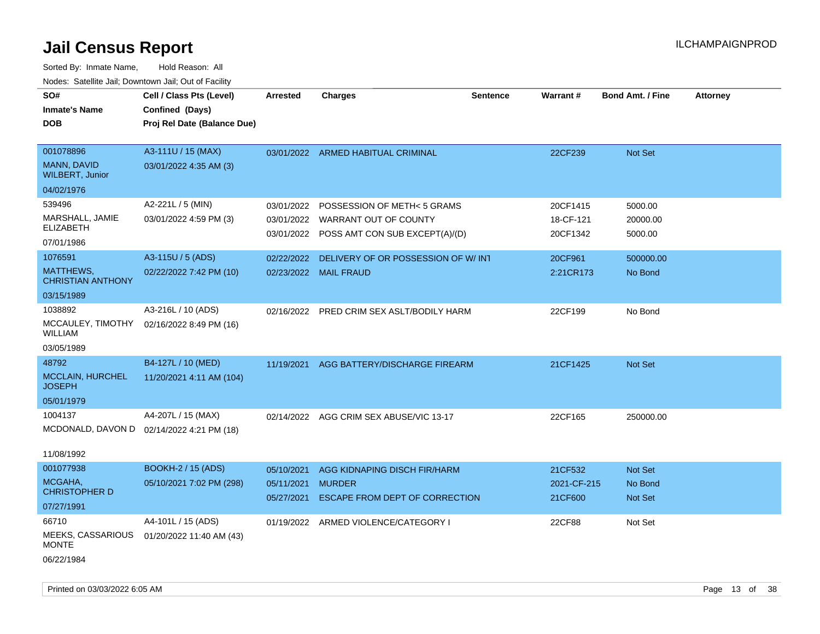| SO#<br><b>Inmate's Name</b><br><b>DOB</b>                        | Cell / Class Pts (Level)<br>Confined (Days)<br>Proj Rel Date (Balance Due) | <b>Arrested</b>                        | <b>Charges</b>                                                                                    | <b>Sentence</b> | <b>Warrant#</b>                   | <b>Bond Amt. / Fine</b>        | <b>Attorney</b> |
|------------------------------------------------------------------|----------------------------------------------------------------------------|----------------------------------------|---------------------------------------------------------------------------------------------------|-----------------|-----------------------------------|--------------------------------|-----------------|
| 001078896<br>MANN, DAVID<br><b>WILBERT, Junior</b><br>04/02/1976 | A3-111U / 15 (MAX)<br>03/01/2022 4:35 AM (3)                               |                                        | 03/01/2022 ARMED HABITUAL CRIMINAL                                                                |                 | 22CF239                           | Not Set                        |                 |
| 539496<br>MARSHALL, JAMIE<br><b>ELIZABETH</b><br>07/01/1986      | A2-221L / 5 (MIN)<br>03/01/2022 4:59 PM (3)                                | 03/01/2022<br>03/01/2022               | POSSESSION OF METH< 5 GRAMS<br>03/01/2022 WARRANT OUT OF COUNTY<br>POSS AMT CON SUB EXCEPT(A)/(D) |                 | 20CF1415<br>18-CF-121<br>20CF1342 | 5000.00<br>20000.00<br>5000.00 |                 |
| 1076591<br>MATTHEWS,<br><b>CHRISTIAN ANTHONY</b><br>03/15/1989   | A3-115U / 5 (ADS)<br>02/22/2022 7:42 PM (10)                               | 02/22/2022                             | DELIVERY OF OR POSSESSION OF W/INT<br>02/23/2022 MAIL FRAUD                                       |                 | 20CF961<br>2:21CR173              | 500000.00<br>No Bond           |                 |
| 1038892<br>MCCAULEY, TIMOTHY<br><b>WILLIAM</b><br>03/05/1989     | A3-216L / 10 (ADS)<br>02/16/2022 8:49 PM (16)                              |                                        | 02/16/2022 PRED CRIM SEX ASLT/BODILY HARM                                                         |                 | 22CF199                           | No Bond                        |                 |
| 48792<br><b>MCCLAIN, HURCHEL</b><br><b>JOSEPH</b><br>05/01/1979  | B4-127L / 10 (MED)<br>11/20/2021 4:11 AM (104)                             | 11/19/2021                             | AGG BATTERY/DISCHARGE FIREARM                                                                     |                 | 21CF1425                          | <b>Not Set</b>                 |                 |
| 1004137<br>11/08/1992                                            | A4-207L / 15 (MAX)<br>MCDONALD, DAVON D 02/14/2022 4:21 PM (18)            | 02/14/2022                             | AGG CRIM SEX ABUSE/VIC 13-17                                                                      |                 | 22CF165                           | 250000.00                      |                 |
| 001077938<br>MCGAHA,<br><b>CHRISTOPHER D</b><br>07/27/1991       | <b>BOOKH-2 / 15 (ADS)</b><br>05/10/2021 7:02 PM (298)                      | 05/10/2021<br>05/11/2021<br>05/27/2021 | AGG KIDNAPING DISCH FIR/HARM<br><b>MURDER</b><br><b>ESCAPE FROM DEPT OF CORRECTION</b>            |                 | 21CF532<br>2021-CF-215<br>21CF600 | Not Set<br>No Bond<br>Not Set  |                 |
| 66710<br><b>MEEKS, CASSARIOUS</b><br><b>MONTE</b><br>06/22/1984  | A4-101L / 15 (ADS)<br>01/20/2022 11:40 AM (43)                             | 01/19/2022                             | ARMED VIOLENCE/CATEGORY I                                                                         |                 | 22CF88                            | Not Set                        |                 |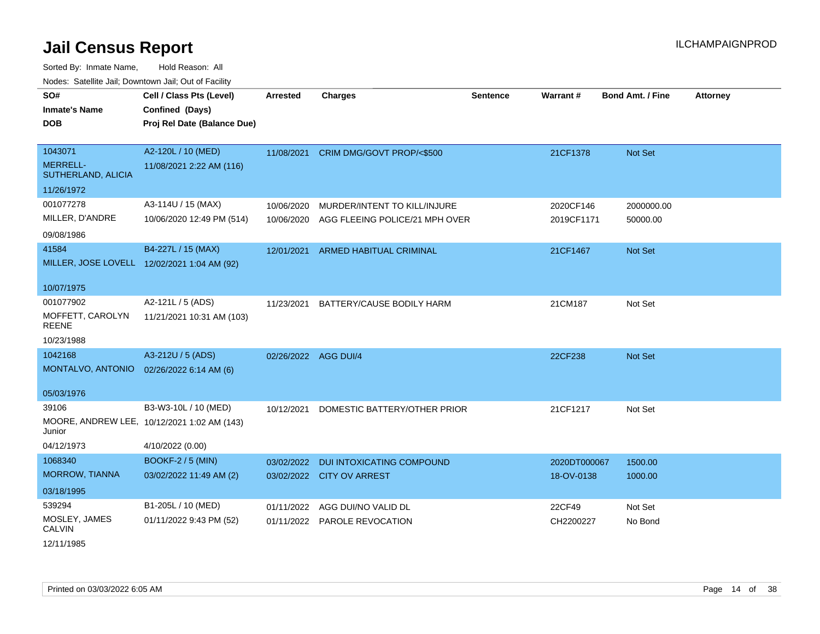| <u>Rodos.</u> Odiolino dali, Downtown dali, Odi of Fabilit |                                             |                      |                                         |                 |              |                         |                 |
|------------------------------------------------------------|---------------------------------------------|----------------------|-----------------------------------------|-----------------|--------------|-------------------------|-----------------|
| SO#                                                        | Cell / Class Pts (Level)                    | Arrested             | <b>Charges</b>                          | <b>Sentence</b> | Warrant#     | <b>Bond Amt. / Fine</b> | <b>Attorney</b> |
| <b>Inmate's Name</b>                                       | Confined (Days)                             |                      |                                         |                 |              |                         |                 |
| <b>DOB</b>                                                 | Proj Rel Date (Balance Due)                 |                      |                                         |                 |              |                         |                 |
|                                                            |                                             |                      |                                         |                 |              |                         |                 |
| 1043071                                                    | A2-120L / 10 (MED)                          |                      | 11/08/2021 CRIM DMG/GOVT PROP/<\$500    |                 | 21CF1378     | Not Set                 |                 |
| <b>MERRELL-</b><br>SUTHERLAND, ALICIA                      | 11/08/2021 2:22 AM (116)                    |                      |                                         |                 |              |                         |                 |
| 11/26/1972                                                 |                                             |                      |                                         |                 |              |                         |                 |
| 001077278                                                  | A3-114U / 15 (MAX)                          | 10/06/2020           | MURDER/INTENT TO KILL/INJURE            |                 | 2020CF146    | 2000000.00              |                 |
| MILLER, D'ANDRE                                            | 10/06/2020 12:49 PM (514)                   | 10/06/2020           | AGG FLEEING POLICE/21 MPH OVER          |                 | 2019CF1171   | 50000.00                |                 |
| 09/08/1986                                                 |                                             |                      |                                         |                 |              |                         |                 |
| 41584                                                      | B4-227L / 15 (MAX)                          | 12/01/2021           | ARMED HABITUAL CRIMINAL                 |                 | 21CF1467     | Not Set                 |                 |
|                                                            | MILLER, JOSE LOVELL 12/02/2021 1:04 AM (92) |                      |                                         |                 |              |                         |                 |
| 10/07/1975                                                 |                                             |                      |                                         |                 |              |                         |                 |
|                                                            |                                             |                      |                                         |                 |              |                         |                 |
| 001077902                                                  | A2-121L / 5 (ADS)                           | 11/23/2021           | BATTERY/CAUSE BODILY HARM               |                 | 21CM187      | Not Set                 |                 |
| MOFFETT, CAROLYN<br>REENE                                  | 11/21/2021 10:31 AM (103)                   |                      |                                         |                 |              |                         |                 |
| 10/23/1988                                                 |                                             |                      |                                         |                 |              |                         |                 |
| 1042168                                                    | A3-212U / 5 (ADS)                           | 02/26/2022 AGG DUI/4 |                                         |                 | 22CF238      | Not Set                 |                 |
| MONTALVO, ANTONIO 02/26/2022 6:14 AM (6)                   |                                             |                      |                                         |                 |              |                         |                 |
| 05/03/1976                                                 |                                             |                      |                                         |                 |              |                         |                 |
| 39106                                                      | B3-W3-10L / 10 (MED)                        |                      | 10/12/2021 DOMESTIC BATTERY/OTHER PRIOR |                 | 21CF1217     | Not Set                 |                 |
| Junior                                                     | MOORE, ANDREW LEE, 10/12/2021 1:02 AM (143) |                      |                                         |                 |              |                         |                 |
| 04/12/1973                                                 | 4/10/2022 (0.00)                            |                      |                                         |                 |              |                         |                 |
| 1068340                                                    | <b>BOOKF-2 / 5 (MIN)</b>                    | 03/02/2022           | DUI INTOXICATING COMPOUND               |                 | 2020DT000067 | 1500.00                 |                 |
| MORROW, TIANNA                                             | 03/02/2022 11:49 AM (2)                     |                      | 03/02/2022 CITY OV ARREST               |                 | 18-OV-0138   | 1000.00                 |                 |
| 03/18/1995                                                 |                                             |                      |                                         |                 |              |                         |                 |
| 539294                                                     | B1-205L / 10 (MED)                          | 01/11/2022           | AGG DUI/NO VALID DL                     |                 | 22CF49       | Not Set                 |                 |
| MOSLEY, JAMES<br>CALVIN                                    | 01/11/2022 9:43 PM (52)                     |                      | 01/11/2022 PAROLE REVOCATION            |                 | CH2200227    | No Bond                 |                 |
| 12/11/1985                                                 |                                             |                      |                                         |                 |              |                         |                 |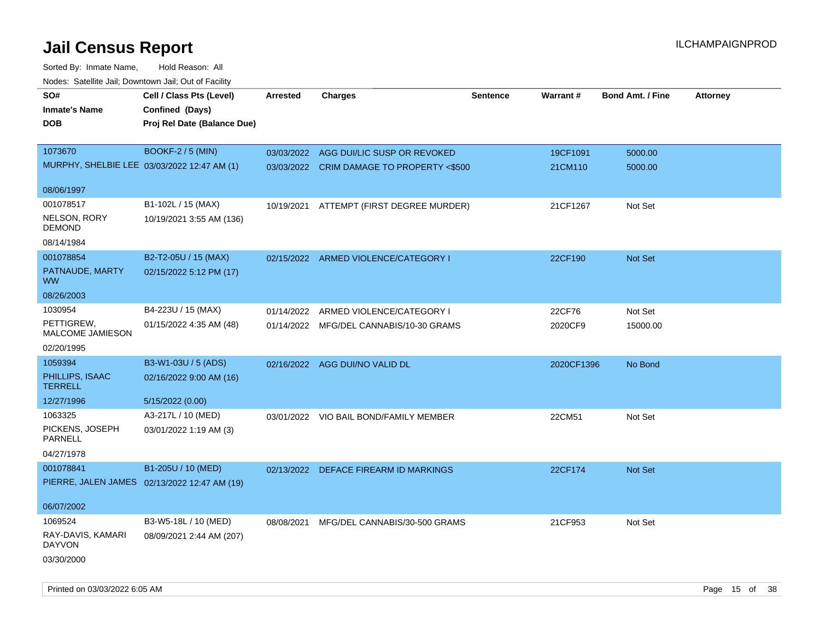| roaco. Catolino dall, Downtown dall, Out of Fability |                                              |                 |                                           |                 |            |                         |                 |
|------------------------------------------------------|----------------------------------------------|-----------------|-------------------------------------------|-----------------|------------|-------------------------|-----------------|
| SO#                                                  | Cell / Class Pts (Level)                     | <b>Arrested</b> | <b>Charges</b>                            | <b>Sentence</b> | Warrant#   | <b>Bond Amt. / Fine</b> | <b>Attorney</b> |
| <b>Inmate's Name</b>                                 | Confined (Days)                              |                 |                                           |                 |            |                         |                 |
| <b>DOB</b>                                           | Proj Rel Date (Balance Due)                  |                 |                                           |                 |            |                         |                 |
|                                                      |                                              |                 |                                           |                 |            |                         |                 |
| 1073670                                              | <b>BOOKF-2 / 5 (MIN)</b>                     | 03/03/2022      | AGG DUI/LIC SUSP OR REVOKED               |                 | 19CF1091   | 5000.00                 |                 |
| MURPHY, SHELBIE LEE 03/03/2022 12:47 AM (1)          |                                              |                 | 03/03/2022 CRIM DAMAGE TO PROPERTY <\$500 |                 | 21CM110    | 5000.00                 |                 |
|                                                      |                                              |                 |                                           |                 |            |                         |                 |
| 08/06/1997                                           |                                              |                 |                                           |                 |            |                         |                 |
| 001078517                                            | B1-102L / 15 (MAX)                           |                 | 10/19/2021 ATTEMPT (FIRST DEGREE MURDER)  |                 | 21CF1267   | Not Set                 |                 |
| NELSON, RORY                                         | 10/19/2021 3:55 AM (136)                     |                 |                                           |                 |            |                         |                 |
| <b>DEMOND</b>                                        |                                              |                 |                                           |                 |            |                         |                 |
| 08/14/1984                                           |                                              |                 |                                           |                 |            |                         |                 |
| 001078854                                            | B2-T2-05U / 15 (MAX)                         |                 | 02/15/2022 ARMED VIOLENCE/CATEGORY I      |                 | 22CF190    | <b>Not Set</b>          |                 |
| PATNAUDE, MARTY                                      | 02/15/2022 5:12 PM (17)                      |                 |                                           |                 |            |                         |                 |
| <b>WW</b>                                            |                                              |                 |                                           |                 |            |                         |                 |
| 08/26/2003                                           |                                              |                 |                                           |                 |            |                         |                 |
| 1030954                                              | B4-223U / 15 (MAX)                           | 01/14/2022      | ARMED VIOLENCE/CATEGORY I                 |                 | 22CF76     | Not Set                 |                 |
| PETTIGREW,                                           | 01/15/2022 4:35 AM (48)                      |                 | 01/14/2022 MFG/DEL CANNABIS/10-30 GRAMS   |                 | 2020CF9    | 15000.00                |                 |
| <b>MALCOME JAMIESON</b>                              |                                              |                 |                                           |                 |            |                         |                 |
| 02/20/1995                                           |                                              |                 |                                           |                 |            |                         |                 |
| 1059394                                              | B3-W1-03U / 5 (ADS)                          |                 | 02/16/2022 AGG DUI/NO VALID DL            |                 | 2020CF1396 | No Bond                 |                 |
| PHILLIPS, ISAAC<br><b>TERRELL</b>                    | 02/16/2022 9:00 AM (16)                      |                 |                                           |                 |            |                         |                 |
| 12/27/1996                                           | 5/15/2022 (0.00)                             |                 |                                           |                 |            |                         |                 |
| 1063325                                              | A3-217L / 10 (MED)                           |                 | 03/01/2022 VIO BAIL BOND/FAMILY MEMBER    |                 | 22CM51     | Not Set                 |                 |
| PICKENS, JOSEPH<br><b>PARNELL</b>                    | 03/01/2022 1:19 AM (3)                       |                 |                                           |                 |            |                         |                 |
| 04/27/1978                                           |                                              |                 |                                           |                 |            |                         |                 |
| 001078841                                            | B1-205U / 10 (MED)                           |                 | 02/13/2022 DEFACE FIREARM ID MARKINGS     |                 | 22CF174    | Not Set                 |                 |
|                                                      | PIERRE, JALEN JAMES 02/13/2022 12:47 AM (19) |                 |                                           |                 |            |                         |                 |
|                                                      |                                              |                 |                                           |                 |            |                         |                 |
| 06/07/2002                                           |                                              |                 |                                           |                 |            |                         |                 |
| 1069524                                              | B3-W5-18L / 10 (MED)                         | 08/08/2021      | MFG/DEL CANNABIS/30-500 GRAMS             |                 | 21CF953    | Not Set                 |                 |
| RAY-DAVIS, KAMARI<br><b>DAYVON</b>                   | 08/09/2021 2:44 AM (207)                     |                 |                                           |                 |            |                         |                 |
| 03/30/2000                                           |                                              |                 |                                           |                 |            |                         |                 |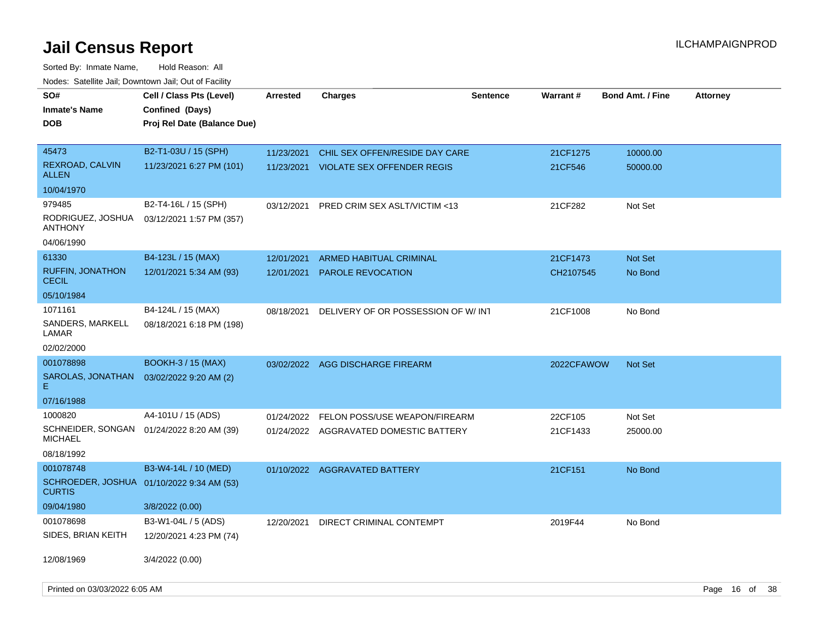| SO#<br><b>Inmate's Name</b><br><b>DOB</b>                   | Cell / Class Pts (Level)<br>Confined (Days)<br>Proj Rel Date (Balance Due) | <b>Arrested</b>          | <b>Charges</b>                                                      | <b>Sentence</b> | Warrant#            | <b>Bond Amt. / Fine</b> | <b>Attorney</b> |
|-------------------------------------------------------------|----------------------------------------------------------------------------|--------------------------|---------------------------------------------------------------------|-----------------|---------------------|-------------------------|-----------------|
| 45473<br>REXROAD, CALVIN<br>ALLEN                           | B2-T1-03U / 15 (SPH)<br>11/23/2021 6:27 PM (101)                           | 11/23/2021<br>11/23/2021 | CHIL SEX OFFEN/RESIDE DAY CARE<br><b>VIOLATE SEX OFFENDER REGIS</b> |                 | 21CF1275<br>21CF546 | 10000.00<br>50000.00    |                 |
| 10/04/1970                                                  |                                                                            |                          |                                                                     |                 |                     |                         |                 |
| 979485<br>RODRIGUEZ, JOSHUA<br><b>ANTHONY</b>               | B2-T4-16L / 15 (SPH)<br>03/12/2021 1:57 PM (357)                           | 03/12/2021               | <b>PRED CRIM SEX ASLT/VICTIM &lt;13</b>                             |                 | 21CF282             | Not Set                 |                 |
| 04/06/1990                                                  |                                                                            |                          |                                                                     |                 |                     |                         |                 |
| 61330                                                       | B4-123L / 15 (MAX)                                                         | 12/01/2021               | ARMED HABITUAL CRIMINAL                                             |                 | 21CF1473            | <b>Not Set</b>          |                 |
| <b>RUFFIN, JONATHON</b><br><b>CECIL</b>                     | 12/01/2021 5:34 AM (93)                                                    | 12/01/2021               | <b>PAROLE REVOCATION</b>                                            |                 | CH2107545           | No Bond                 |                 |
| 05/10/1984                                                  |                                                                            |                          |                                                                     |                 |                     |                         |                 |
| 1071161                                                     | B4-124L / 15 (MAX)                                                         | 08/18/2021               | DELIVERY OF OR POSSESSION OF W/INT                                  |                 | 21CF1008            | No Bond                 |                 |
| SANDERS, MARKELL<br>LAMAR                                   | 08/18/2021 6:18 PM (198)                                                   |                          |                                                                     |                 |                     |                         |                 |
| 02/02/2000                                                  |                                                                            |                          |                                                                     |                 |                     |                         |                 |
| 001078898                                                   | <b>BOOKH-3 / 15 (MAX)</b>                                                  |                          | 03/02/2022 AGG DISCHARGE FIREARM                                    |                 | 2022CFAWOW          | <b>Not Set</b>          |                 |
| SAROLAS, JONATHAN<br>E.                                     | 03/02/2022 9:20 AM (2)                                                     |                          |                                                                     |                 |                     |                         |                 |
| 07/16/1988                                                  |                                                                            |                          |                                                                     |                 |                     |                         |                 |
| 1000820                                                     | A4-101U / 15 (ADS)                                                         | 01/24/2022               | FELON POSS/USE WEAPON/FIREARM                                       |                 | 22CF105             | Not Set                 |                 |
| SCHNEIDER, SONGAN 01/24/2022 8:20 AM (39)<br><b>MICHAEL</b> |                                                                            |                          | 01/24/2022 AGGRAVATED DOMESTIC BATTERY                              |                 | 21CF1433            | 25000.00                |                 |
| 08/18/1992                                                  |                                                                            |                          |                                                                     |                 |                     |                         |                 |
| 001078748                                                   | B3-W4-14L / 10 (MED)                                                       |                          | 01/10/2022 AGGRAVATED BATTERY                                       |                 | 21CF151             | No Bond                 |                 |
| SCHROEDER, JOSHUA 01/10/2022 9:34 AM (53)<br><b>CURTIS</b>  |                                                                            |                          |                                                                     |                 |                     |                         |                 |
| 09/04/1980                                                  | 3/8/2022 (0.00)                                                            |                          |                                                                     |                 |                     |                         |                 |
| 001078698                                                   | B3-W1-04L / 5 (ADS)                                                        | 12/20/2021               | DIRECT CRIMINAL CONTEMPT                                            |                 | 2019F44             | No Bond                 |                 |
| SIDES, BRIAN KEITH                                          | 12/20/2021 4:23 PM (74)                                                    |                          |                                                                     |                 |                     |                         |                 |
| 12/08/1969                                                  | 3/4/2022 (0.00)                                                            |                          |                                                                     |                 |                     |                         |                 |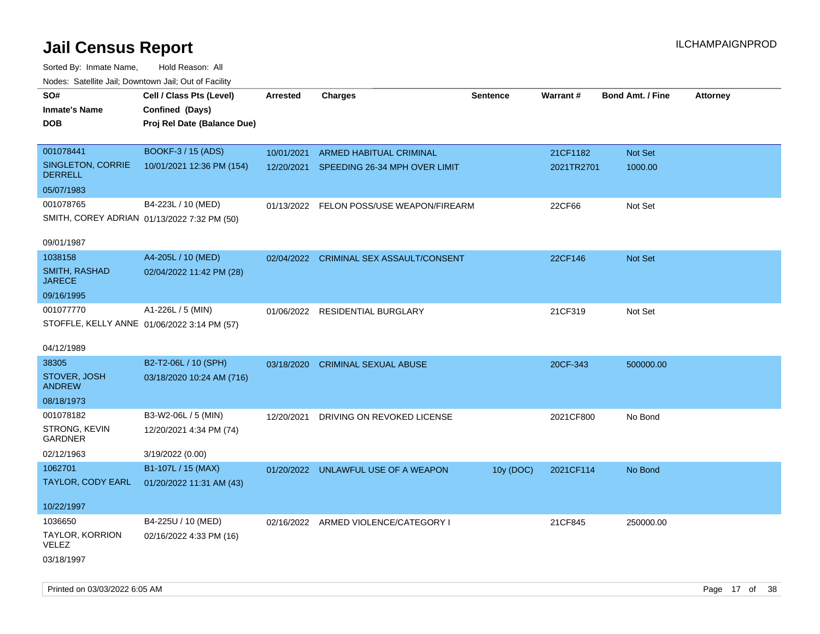| rouce. Calcillic Jali, Downtown Jali, Out of Facility |                             |                 |                                          |                 |                 |                         |                 |
|-------------------------------------------------------|-----------------------------|-----------------|------------------------------------------|-----------------|-----------------|-------------------------|-----------------|
| SO#                                                   | Cell / Class Pts (Level)    | <b>Arrested</b> | <b>Charges</b>                           | <b>Sentence</b> | <b>Warrant#</b> | <b>Bond Amt. / Fine</b> | <b>Attorney</b> |
| <b>Inmate's Name</b>                                  | Confined (Days)             |                 |                                          |                 |                 |                         |                 |
| <b>DOB</b>                                            | Proj Rel Date (Balance Due) |                 |                                          |                 |                 |                         |                 |
|                                                       |                             |                 |                                          |                 |                 |                         |                 |
| 001078441                                             | BOOKF-3 / 15 (ADS)          | 10/01/2021      | ARMED HABITUAL CRIMINAL                  |                 | 21CF1182        | Not Set                 |                 |
| SINGLETON, CORRIE<br><b>DERRELL</b>                   | 10/01/2021 12:36 PM (154)   |                 | 12/20/2021 SPEEDING 26-34 MPH OVER LIMIT |                 | 2021TR2701      | 1000.00                 |                 |
| 05/07/1983                                            |                             |                 |                                          |                 |                 |                         |                 |
| 001078765                                             | B4-223L / 10 (MED)          |                 | 01/13/2022 FELON POSS/USE WEAPON/FIREARM |                 | 22CF66          | Not Set                 |                 |
| SMITH, COREY ADRIAN 01/13/2022 7:32 PM (50)           |                             |                 |                                          |                 |                 |                         |                 |
|                                                       |                             |                 |                                          |                 |                 |                         |                 |
| 09/01/1987                                            |                             |                 |                                          |                 |                 |                         |                 |
| 1038158                                               | A4-205L / 10 (MED)          |                 | 02/04/2022 CRIMINAL SEX ASSAULT/CONSENT  |                 | 22CF146         | Not Set                 |                 |
| <b>SMITH, RASHAD</b><br><b>JARECE</b>                 | 02/04/2022 11:42 PM (28)    |                 |                                          |                 |                 |                         |                 |
| 09/16/1995                                            |                             |                 |                                          |                 |                 |                         |                 |
| 001077770                                             | A1-226L / 5 (MIN)           |                 | 01/06/2022 RESIDENTIAL BURGLARY          |                 | 21CF319         | Not Set                 |                 |
| STOFFLE, KELLY ANNE 01/06/2022 3:14 PM (57)           |                             |                 |                                          |                 |                 |                         |                 |
|                                                       |                             |                 |                                          |                 |                 |                         |                 |
| 04/12/1989                                            |                             |                 |                                          |                 |                 |                         |                 |
| 38305                                                 | B2-T2-06L / 10 (SPH)        |                 | 03/18/2020 CRIMINAL SEXUAL ABUSE         |                 | 20CF-343        | 500000.00               |                 |
| STOVER, JOSH<br><b>ANDREW</b>                         | 03/18/2020 10:24 AM (716)   |                 |                                          |                 |                 |                         |                 |
| 08/18/1973                                            |                             |                 |                                          |                 |                 |                         |                 |
| 001078182                                             | B3-W2-06L / 5 (MIN)         | 12/20/2021      | DRIVING ON REVOKED LICENSE               |                 | 2021CF800       | No Bond                 |                 |
| STRONG, KEVIN<br><b>GARDNER</b>                       | 12/20/2021 4:34 PM (74)     |                 |                                          |                 |                 |                         |                 |
| 02/12/1963                                            | 3/19/2022 (0.00)            |                 |                                          |                 |                 |                         |                 |
| 1062701                                               | B1-107L / 15 (MAX)          |                 | 01/20/2022 UNLAWFUL USE OF A WEAPON      | 10y (DOC)       | 2021CF114       | No Bond                 |                 |
| TAYLOR, CODY EARL                                     | 01/20/2022 11:31 AM (43)    |                 |                                          |                 |                 |                         |                 |
|                                                       |                             |                 |                                          |                 |                 |                         |                 |
| 10/22/1997                                            |                             |                 |                                          |                 |                 |                         |                 |
| 1036650                                               | B4-225U / 10 (MED)          |                 | 02/16/2022 ARMED VIOLENCE/CATEGORY I     |                 | 21CF845         | 250000.00               |                 |
| TAYLOR, KORRION<br>VELEZ                              | 02/16/2022 4:33 PM (16)     |                 |                                          |                 |                 |                         |                 |
| 03/18/1997                                            |                             |                 |                                          |                 |                 |                         |                 |
|                                                       |                             |                 |                                          |                 |                 |                         |                 |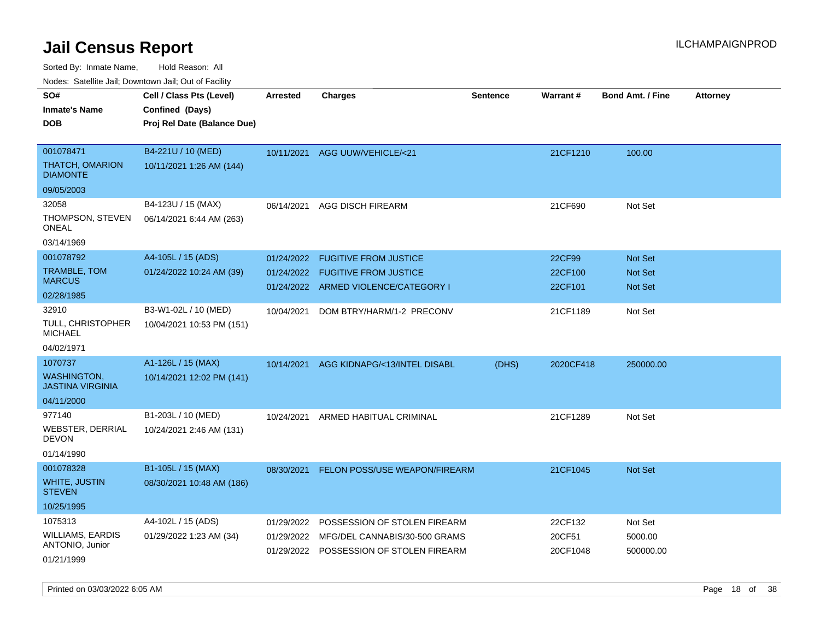Sorted By: Inmate Name, Hold Reason: All

Nodes: Satellite Jail; Downtown Jail; Out of Facility

| rouce. Calcillic Jali, Downtown Jali, Out of Facility |                             |                 |                                         |                 |           |                         |                 |
|-------------------------------------------------------|-----------------------------|-----------------|-----------------------------------------|-----------------|-----------|-------------------------|-----------------|
| SO#                                                   | Cell / Class Pts (Level)    | <b>Arrested</b> | <b>Charges</b>                          | <b>Sentence</b> | Warrant#  | <b>Bond Amt. / Fine</b> | <b>Attorney</b> |
| <b>Inmate's Name</b>                                  | Confined (Days)             |                 |                                         |                 |           |                         |                 |
| <b>DOB</b>                                            | Proj Rel Date (Balance Due) |                 |                                         |                 |           |                         |                 |
|                                                       |                             |                 |                                         |                 |           |                         |                 |
| 001078471                                             | B4-221U / 10 (MED)          | 10/11/2021      | AGG UUW/VEHICLE/<21                     |                 | 21CF1210  | 100.00                  |                 |
| <b>THATCH, OMARION</b><br><b>DIAMONTE</b>             | 10/11/2021 1:26 AM (144)    |                 |                                         |                 |           |                         |                 |
| 09/05/2003                                            |                             |                 |                                         |                 |           |                         |                 |
| 32058                                                 | B4-123U / 15 (MAX)          | 06/14/2021      | AGG DISCH FIREARM                       |                 | 21CF690   | Not Set                 |                 |
| THOMPSON, STEVEN<br><b>ONEAL</b>                      | 06/14/2021 6:44 AM (263)    |                 |                                         |                 |           |                         |                 |
| 03/14/1969                                            |                             |                 |                                         |                 |           |                         |                 |
| 001078792                                             | A4-105L / 15 (ADS)          | 01/24/2022      | <b>FUGITIVE FROM JUSTICE</b>            |                 | 22CF99    | <b>Not Set</b>          |                 |
| TRAMBLE, TOM                                          | 01/24/2022 10:24 AM (39)    | 01/24/2022      | <b>FUGITIVE FROM JUSTICE</b>            |                 | 22CF100   | Not Set                 |                 |
| <b>MARCUS</b>                                         |                             |                 | 01/24/2022 ARMED VIOLENCE/CATEGORY I    |                 | 22CF101   | <b>Not Set</b>          |                 |
| 02/28/1985                                            |                             |                 |                                         |                 |           |                         |                 |
| 32910                                                 | B3-W1-02L / 10 (MED)        | 10/04/2021      | DOM BTRY/HARM/1-2 PRECONV               |                 | 21CF1189  | Not Set                 |                 |
| TULL, CHRISTOPHER<br><b>MICHAEL</b>                   | 10/04/2021 10:53 PM (151)   |                 |                                         |                 |           |                         |                 |
| 04/02/1971                                            |                             |                 |                                         |                 |           |                         |                 |
| 1070737                                               | A1-126L / 15 (MAX)          | 10/14/2021      | AGG KIDNAPG/<13/INTEL DISABL            | (DHS)           | 2020CF418 | 250000.00               |                 |
| <b>WASHINGTON,</b><br><b>JASTINA VIRGINIA</b>         | 10/14/2021 12:02 PM (141)   |                 |                                         |                 |           |                         |                 |
| 04/11/2000                                            |                             |                 |                                         |                 |           |                         |                 |
| 977140                                                | B1-203L / 10 (MED)          | 10/24/2021      | ARMED HABITUAL CRIMINAL                 |                 | 21CF1289  | Not Set                 |                 |
| WEBSTER, DERRIAL<br><b>DEVON</b>                      | 10/24/2021 2:46 AM (131)    |                 |                                         |                 |           |                         |                 |
| 01/14/1990                                            |                             |                 |                                         |                 |           |                         |                 |
| 001078328                                             | B1-105L / 15 (MAX)          | 08/30/2021      | <b>FELON POSS/USE WEAPON/FIREARM</b>    |                 | 21CF1045  | <b>Not Set</b>          |                 |
| <b>WHITE, JUSTIN</b><br><b>STEVEN</b>                 | 08/30/2021 10:48 AM (186)   |                 |                                         |                 |           |                         |                 |
| 10/25/1995                                            |                             |                 |                                         |                 |           |                         |                 |
| 1075313                                               | A4-102L / 15 (ADS)          | 01/29/2022      | POSSESSION OF STOLEN FIREARM            |                 | 22CF132   | Not Set                 |                 |
| WILLIAMS, EARDIS                                      | 01/29/2022 1:23 AM (34)     | 01/29/2022      | MFG/DEL CANNABIS/30-500 GRAMS           |                 | 20CF51    | 5000.00                 |                 |
| ANTONIO, Junior                                       |                             |                 | 01/29/2022 POSSESSION OF STOLEN FIREARM |                 | 20CF1048  | 500000.00               |                 |
| 01/21/1999                                            |                             |                 |                                         |                 |           |                         |                 |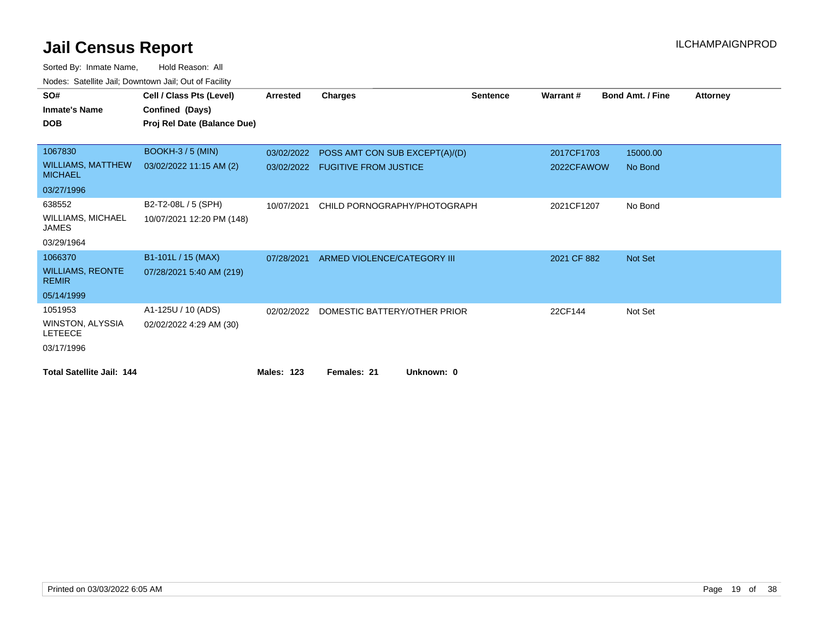| SO#                                        | Cell / Class Pts (Level)    | Arrested          | Charges                        | <b>Sentence</b> | Warrant#    | <b>Bond Amt. / Fine</b> | <b>Attorney</b> |
|--------------------------------------------|-----------------------------|-------------------|--------------------------------|-----------------|-------------|-------------------------|-----------------|
| <b>Inmate's Name</b>                       | Confined (Days)             |                   |                                |                 |             |                         |                 |
| <b>DOB</b>                                 | Proj Rel Date (Balance Due) |                   |                                |                 |             |                         |                 |
|                                            |                             |                   |                                |                 |             |                         |                 |
| 1067830                                    | BOOKH-3/5 (MIN)             | 03/02/2022        | POSS AMT CON SUB EXCEPT(A)/(D) |                 | 2017CF1703  | 15000.00                |                 |
| <b>WILLIAMS, MATTHEW</b><br><b>MICHAEL</b> | 03/02/2022 11:15 AM (2)     | 03/02/2022        | <b>FUGITIVE FROM JUSTICE</b>   |                 | 2022CFAWOW  | No Bond                 |                 |
| 03/27/1996                                 |                             |                   |                                |                 |             |                         |                 |
| 638552                                     | B2-T2-08L / 5 (SPH)         | 10/07/2021        | CHILD PORNOGRAPHY/PHOTOGRAPH   |                 | 2021CF1207  | No Bond                 |                 |
| <b>WILLIAMS, MICHAEL</b><br><b>JAMES</b>   | 10/07/2021 12:20 PM (148)   |                   |                                |                 |             |                         |                 |
| 03/29/1964                                 |                             |                   |                                |                 |             |                         |                 |
| 1066370                                    | B1-101L / 15 (MAX)          | 07/28/2021        | ARMED VIOLENCE/CATEGORY III    |                 | 2021 CF 882 | <b>Not Set</b>          |                 |
| <b>WILLIAMS, REONTE</b><br><b>REMIR</b>    | 07/28/2021 5:40 AM (219)    |                   |                                |                 |             |                         |                 |
| 05/14/1999                                 |                             |                   |                                |                 |             |                         |                 |
| 1051953                                    | A1-125U / 10 (ADS)          | 02/02/2022        | DOMESTIC BATTERY/OTHER PRIOR   |                 | 22CF144     | Not Set                 |                 |
| WINSTON, ALYSSIA<br><b>LETEECE</b>         | 02/02/2022 4:29 AM (30)     |                   |                                |                 |             |                         |                 |
| 03/17/1996                                 |                             |                   |                                |                 |             |                         |                 |
| <b>Total Satellite Jail: 144</b>           |                             | <b>Males: 123</b> | Females: 21<br>Unknown: 0      |                 |             |                         |                 |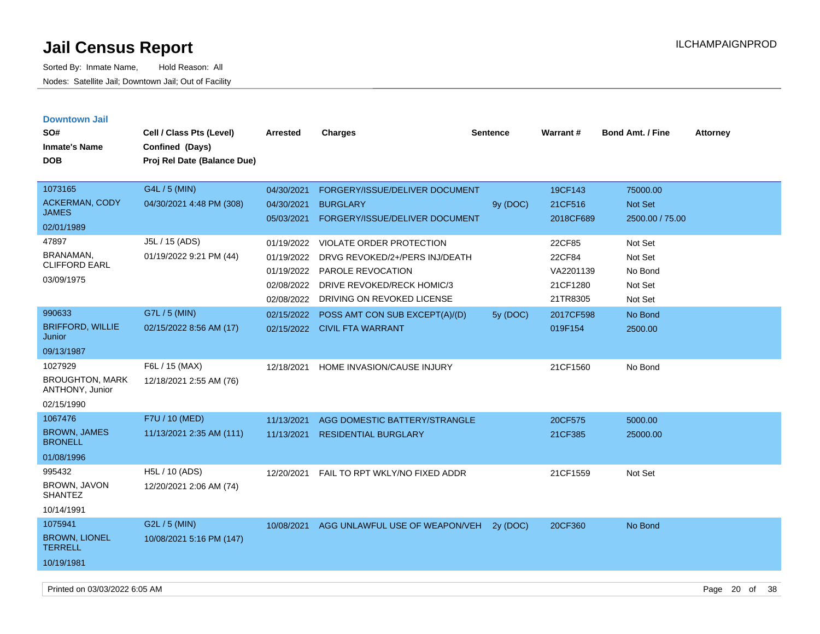| <b>Downtown Jail</b>                      |                                           |            |                                 |          |                 |                         |                 |
|-------------------------------------------|-------------------------------------------|------------|---------------------------------|----------|-----------------|-------------------------|-----------------|
| SO#                                       | Cell / Class Pts (Level)                  | Arrested   | <b>Charges</b>                  | Sentence | <b>Warrant#</b> | <b>Bond Amt. / Fine</b> | <b>Attorney</b> |
| <b>Inmate's Name</b>                      | Confined (Days)                           |            |                                 |          |                 |                         |                 |
| <b>DOB</b>                                | Proj Rel Date (Balance Due)               |            |                                 |          |                 |                         |                 |
|                                           |                                           |            |                                 |          |                 |                         |                 |
| 1073165                                   | G4L / 5 (MIN)                             | 04/30/2021 | FORGERY/ISSUE/DELIVER DOCUMENT  |          | 19CF143         | 75000.00                |                 |
| <b>ACKERMAN, CODY</b>                     | 04/30/2021 4:48 PM (308)                  | 04/30/2021 | <b>BURGLARY</b>                 | 9y (DOC) | 21CF516         | Not Set                 |                 |
| <b>JAMES</b>                              |                                           | 05/03/2021 | FORGERY/ISSUE/DELIVER DOCUMENT  |          | 2018CF689       | 2500.00 / 75.00         |                 |
| 02/01/1989                                |                                           |            |                                 |          |                 |                         |                 |
| 47897                                     | J5L / 15 (ADS)                            | 01/19/2022 | <b>VIOLATE ORDER PROTECTION</b> |          | 22CF85          | Not Set                 |                 |
| BRANAMAN,<br><b>CLIFFORD EARL</b>         | 01/19/2022 9:21 PM (44)                   | 01/19/2022 | DRVG REVOKED/2+/PERS INJ/DEATH  |          | 22CF84          | Not Set                 |                 |
|                                           |                                           | 01/19/2022 | PAROLE REVOCATION               |          | VA2201139       | No Bond                 |                 |
| 03/09/1975                                |                                           | 02/08/2022 | DRIVE REVOKED/RECK HOMIC/3      |          | 21CF1280        | Not Set                 |                 |
|                                           |                                           | 02/08/2022 | DRIVING ON REVOKED LICENSE      |          | 21TR8305        | Not Set                 |                 |
| 990633                                    | G7L / 5 (MIN)                             | 02/15/2022 | POSS AMT CON SUB EXCEPT(A)/(D)  | 5y (DOC) | 2017CF598       | No Bond                 |                 |
| <b>BRIFFORD, WILLIE</b><br>Junior         | 02/15/2022 8:56 AM (17)                   |            | 02/15/2022 CIVIL FTA WARRANT    |          | 019F154         | 2500.00                 |                 |
| 09/13/1987                                |                                           |            |                                 |          |                 |                         |                 |
| 1027929                                   | F6L / 15 (MAX)                            | 12/18/2021 | HOME INVASION/CAUSE INJURY      |          | 21CF1560        | No Bond                 |                 |
| <b>BROUGHTON, MARK</b><br>ANTHONY, Junior | 12/18/2021 2:55 AM (76)                   |            |                                 |          |                 |                         |                 |
| 02/15/1990                                |                                           |            |                                 |          |                 |                         |                 |
| 1067476                                   | F7U / 10 (MED)                            | 11/13/2021 | AGG DOMESTIC BATTERY/STRANGLE   |          | 20CF575         | 5000.00                 |                 |
| <b>BROWN, JAMES</b><br><b>BRONELL</b>     | 11/13/2021 2:35 AM (111)                  | 11/13/2021 | <b>RESIDENTIAL BURGLARY</b>     |          | 21CF385         | 25000.00                |                 |
| 01/08/1996                                |                                           |            |                                 |          |                 |                         |                 |
| 995432<br>BROWN, JAVON<br><b>SHANTEZ</b>  | H5L / 10 (ADS)<br>12/20/2021 2:06 AM (74) | 12/20/2021 | FAIL TO RPT WKLY/NO FIXED ADDR  |          | 21CF1559        | Not Set                 |                 |
|                                           |                                           |            |                                 |          |                 |                         |                 |
| 10/14/1991                                |                                           |            |                                 |          |                 |                         |                 |
| 1075941                                   | G2L / 5 (MIN)                             | 10/08/2021 | AGG UNLAWFUL USE OF WEAPON/VEH  | 2y (DOC) | 20CF360         | No Bond                 |                 |
| <b>BROWN, LIONEL</b><br><b>TERRELL</b>    | 10/08/2021 5:16 PM (147)                  |            |                                 |          |                 |                         |                 |
| 10/19/1981                                |                                           |            |                                 |          |                 |                         |                 |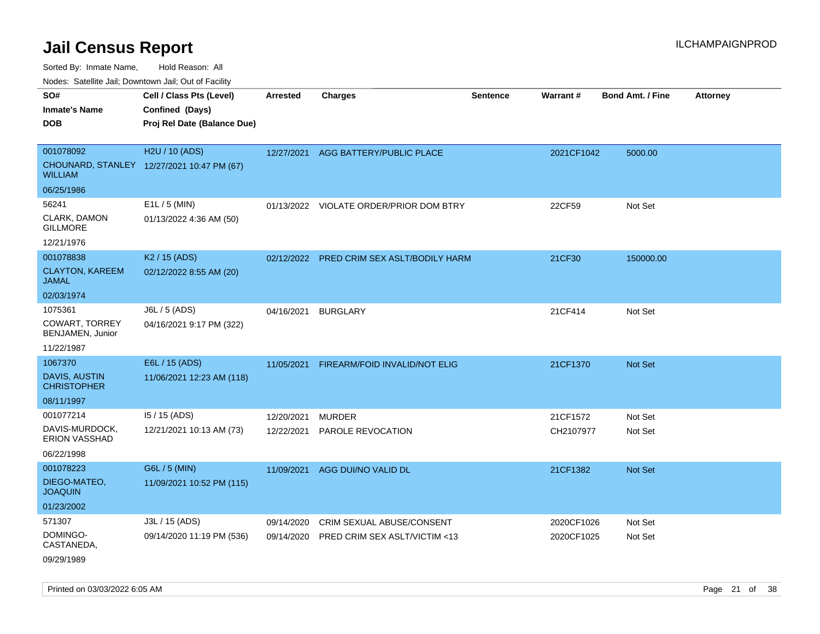Sorted By: Inmate Name, Hold Reason: All

Nodes: Satellite Jail; Downtown Jail; Out of Facility

| SO#<br><b>Inmate's Name</b><br><b>DOB</b>                            | Cell / Class Pts (Level)<br>Confined (Days)<br>Proj Rel Date (Balance Due) | <b>Arrested</b>          | <b>Charges</b>                                             | <b>Sentence</b> | <b>Warrant#</b>          | <b>Bond Amt. / Fine</b> | <b>Attorney</b> |
|----------------------------------------------------------------------|----------------------------------------------------------------------------|--------------------------|------------------------------------------------------------|-----------------|--------------------------|-------------------------|-----------------|
| 001078092<br><b>WILLIAM</b>                                          | H2U / 10 (ADS)<br>CHOUNARD, STANLEY 12/27/2021 10:47 PM (67)               | 12/27/2021               | AGG BATTERY/PUBLIC PLACE                                   |                 | 2021CF1042               | 5000.00                 |                 |
| 06/25/1986<br>56241<br>CLARK, DAMON<br><b>GILLMORE</b><br>12/21/1976 | E1L / 5 (MIN)<br>01/13/2022 4:36 AM (50)                                   |                          | 01/13/2022 VIOLATE ORDER/PRIOR DOM BTRY                    |                 | 22CF59                   | Not Set                 |                 |
| 001078838<br><b>CLAYTON, KAREEM</b><br><b>JAMAL</b><br>02/03/1974    | K <sub>2</sub> / 15 (ADS)<br>02/12/2022 8:55 AM (20)                       |                          | 02/12/2022 PRED CRIM SEX ASLT/BODILY HARM                  |                 | 21CF30                   | 150000.00               |                 |
| 1075361<br><b>COWART, TORREY</b><br>BENJAMEN, Junior<br>11/22/1987   | J6L / 5 (ADS)<br>04/16/2021 9:17 PM (322)                                  | 04/16/2021               | <b>BURGLARY</b>                                            |                 | 21CF414                  | Not Set                 |                 |
| 1067370<br><b>DAVIS, AUSTIN</b><br><b>CHRISTOPHER</b><br>08/11/1997  | E6L / 15 (ADS)<br>11/06/2021 12:23 AM (118)                                | 11/05/2021               | FIREARM/FOID INVALID/NOT ELIG                              |                 | 21CF1370                 | <b>Not Set</b>          |                 |
| 001077214<br>DAVIS-MURDOCK,<br>ERION VASSHAD<br>06/22/1998           | 15 / 15 (ADS)<br>12/21/2021 10:13 AM (73)                                  | 12/20/2021<br>12/22/2021 | <b>MURDER</b><br>PAROLE REVOCATION                         |                 | 21CF1572<br>CH2107977    | Not Set<br>Not Set      |                 |
| 001078223<br>DIEGO-MATEO,<br><b>JOAQUIN</b><br>01/23/2002            | G6L / 5 (MIN)<br>11/09/2021 10:52 PM (115)                                 | 11/09/2021               | AGG DUI/NO VALID DL                                        |                 | 21CF1382                 | Not Set                 |                 |
| 571307<br>DOMINGO-<br>CASTANEDA,<br>09/29/1989                       | J3L / 15 (ADS)<br>09/14/2020 11:19 PM (536)                                | 09/14/2020<br>09/14/2020 | CRIM SEXUAL ABUSE/CONSENT<br>PRED CRIM SEX ASLT/VICTIM <13 |                 | 2020CF1026<br>2020CF1025 | Not Set<br>Not Set      |                 |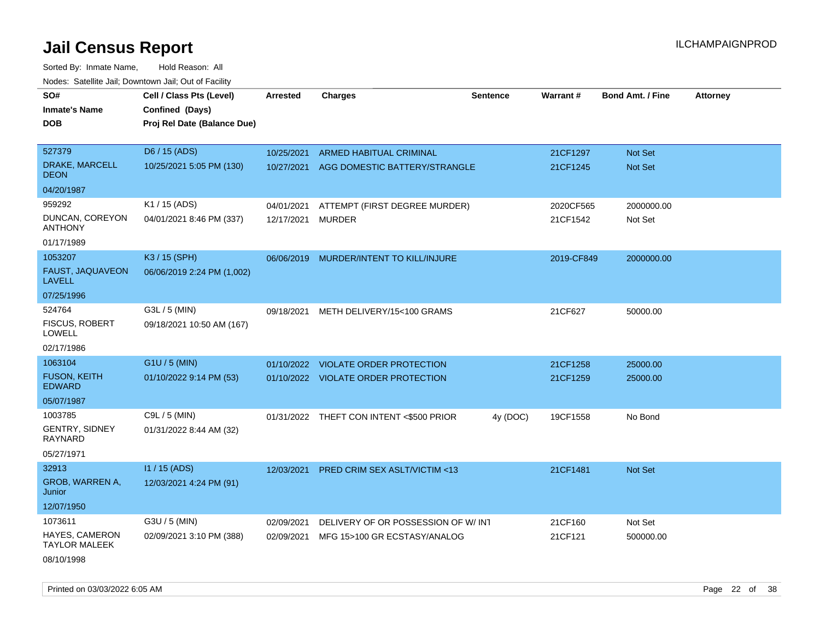| roaco. Catolino dall, Downtown dall, Out of Fability |                             |                 |                                          |                 |            |                         |                 |
|------------------------------------------------------|-----------------------------|-----------------|------------------------------------------|-----------------|------------|-------------------------|-----------------|
| SO#                                                  | Cell / Class Pts (Level)    | <b>Arrested</b> | <b>Charges</b>                           | <b>Sentence</b> | Warrant#   | <b>Bond Amt. / Fine</b> | <b>Attorney</b> |
| <b>Inmate's Name</b>                                 | Confined (Days)             |                 |                                          |                 |            |                         |                 |
| <b>DOB</b>                                           | Proj Rel Date (Balance Due) |                 |                                          |                 |            |                         |                 |
|                                                      |                             |                 |                                          |                 |            |                         |                 |
| 527379                                               | D6 / 15 (ADS)               | 10/25/2021      | ARMED HABITUAL CRIMINAL                  |                 | 21CF1297   | Not Set                 |                 |
| DRAKE, MARCELL<br><b>DEON</b>                        | 10/25/2021 5:05 PM (130)    |                 | 10/27/2021 AGG DOMESTIC BATTERY/STRANGLE |                 | 21CF1245   | Not Set                 |                 |
| 04/20/1987                                           |                             |                 |                                          |                 |            |                         |                 |
| 959292                                               | K1 / 15 (ADS)               | 04/01/2021      | ATTEMPT (FIRST DEGREE MURDER)            |                 | 2020CF565  | 2000000.00              |                 |
| DUNCAN, COREYON<br><b>ANTHONY</b>                    | 04/01/2021 8:46 PM (337)    | 12/17/2021      | <b>MURDER</b>                            |                 | 21CF1542   | Not Set                 |                 |
| 01/17/1989                                           |                             |                 |                                          |                 |            |                         |                 |
| 1053207                                              | K3 / 15 (SPH)               |                 | 06/06/2019 MURDER/INTENT TO KILL/INJURE  |                 | 2019-CF849 | 2000000.00              |                 |
| FAUST, JAQUAVEON<br><b>LAVELL</b>                    | 06/06/2019 2:24 PM (1,002)  |                 |                                          |                 |            |                         |                 |
| 07/25/1996                                           |                             |                 |                                          |                 |            |                         |                 |
| 524764                                               | G3L / 5 (MIN)               | 09/18/2021      | METH DELIVERY/15<100 GRAMS               |                 | 21CF627    | 50000.00                |                 |
| <b>FISCUS, ROBERT</b><br><b>LOWELL</b>               | 09/18/2021 10:50 AM (167)   |                 |                                          |                 |            |                         |                 |
| 02/17/1986                                           |                             |                 |                                          |                 |            |                         |                 |
| 1063104                                              | G1U / 5 (MIN)               | 01/10/2022      | <b>VIOLATE ORDER PROTECTION</b>          |                 | 21CF1258   | 25000.00                |                 |
| <b>FUSON, KEITH</b><br><b>EDWARD</b>                 | 01/10/2022 9:14 PM (53)     |                 | 01/10/2022 VIOLATE ORDER PROTECTION      |                 | 21CF1259   | 25000.00                |                 |
| 05/07/1987                                           |                             |                 |                                          |                 |            |                         |                 |
| 1003785                                              | C9L / 5 (MIN)               |                 | 01/31/2022 THEFT CON INTENT <\$500 PRIOR | 4y (DOC)        | 19CF1558   | No Bond                 |                 |
| <b>GENTRY, SIDNEY</b><br><b>RAYNARD</b>              | 01/31/2022 8:44 AM (32)     |                 |                                          |                 |            |                         |                 |
| 05/27/1971                                           |                             |                 |                                          |                 |            |                         |                 |
| 32913                                                | I1 / 15 (ADS)               | 12/03/2021      | PRED CRIM SEX ASLT/VICTIM <13            |                 | 21CF1481   | Not Set                 |                 |
| GROB, WARREN A,<br>Junior                            | 12/03/2021 4:24 PM (91)     |                 |                                          |                 |            |                         |                 |
| 12/07/1950                                           |                             |                 |                                          |                 |            |                         |                 |
| 1073611                                              | G3U / 5 (MIN)               | 02/09/2021      | DELIVERY OF OR POSSESSION OF W/INT       |                 | 21CF160    | Not Set                 |                 |
| HAYES, CAMERON<br><b>TAYLOR MALEEK</b>               | 02/09/2021 3:10 PM (388)    | 02/09/2021      | MFG 15>100 GR ECSTASY/ANALOG             |                 | 21CF121    | 500000.00               |                 |
| 08/10/1998                                           |                             |                 |                                          |                 |            |                         |                 |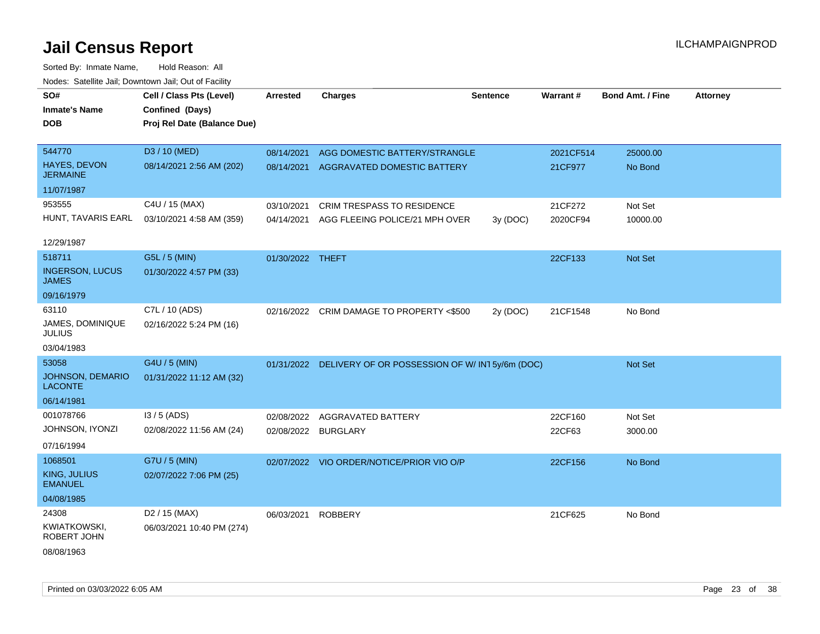| SO#                                    | Cell / Class Pts (Level)    | <b>Arrested</b>     | <b>Charges</b>                                             | <b>Sentence</b> | Warrant#  | <b>Bond Amt. / Fine</b> | <b>Attorney</b> |
|----------------------------------------|-----------------------------|---------------------|------------------------------------------------------------|-----------------|-----------|-------------------------|-----------------|
| <b>Inmate's Name</b>                   | Confined (Days)             |                     |                                                            |                 |           |                         |                 |
| <b>DOB</b>                             | Proj Rel Date (Balance Due) |                     |                                                            |                 |           |                         |                 |
|                                        |                             |                     |                                                            |                 |           |                         |                 |
| 544770                                 | D3 / 10 (MED)               | 08/14/2021          | AGG DOMESTIC BATTERY/STRANGLE                              |                 | 2021CF514 | 25000.00                |                 |
| HAYES, DEVON<br><b>JERMAINE</b>        | 08/14/2021 2:56 AM (202)    |                     | 08/14/2021 AGGRAVATED DOMESTIC BATTERY                     |                 | 21CF977   | No Bond                 |                 |
| 11/07/1987                             |                             |                     |                                                            |                 |           |                         |                 |
| 953555                                 | C4U / 15 (MAX)              | 03/10/2021          | CRIM TRESPASS TO RESIDENCE                                 |                 | 21CF272   | Not Set                 |                 |
| HUNT, TAVARIS EARL                     | 03/10/2021 4:58 AM (359)    | 04/14/2021          | AGG FLEEING POLICE/21 MPH OVER                             | 3y (DOC)        | 2020CF94  | 10000.00                |                 |
|                                        |                             |                     |                                                            |                 |           |                         |                 |
| 12/29/1987                             |                             |                     |                                                            |                 |           |                         |                 |
| 518711                                 | G5L / 5 (MIN)               | 01/30/2022 THEFT    |                                                            |                 | 22CF133   | Not Set                 |                 |
| <b>INGERSON, LUCUS</b><br><b>JAMES</b> | 01/30/2022 4:57 PM (33)     |                     |                                                            |                 |           |                         |                 |
| 09/16/1979                             |                             |                     |                                                            |                 |           |                         |                 |
| 63110                                  | C7L / 10 (ADS)              |                     | 02/16/2022 CRIM DAMAGE TO PROPERTY <\$500                  | 2y (DOC)        | 21CF1548  | No Bond                 |                 |
| JAMES, DOMINIQUE<br><b>JULIUS</b>      | 02/16/2022 5:24 PM (16)     |                     |                                                            |                 |           |                         |                 |
| 03/04/1983                             |                             |                     |                                                            |                 |           |                         |                 |
| 53058                                  | G4U / 5 (MIN)               |                     | 01/31/2022 DELIVERY OF OR POSSESSION OF W/ IN1 5y/6m (DOC) |                 |           | Not Set                 |                 |
| JOHNSON, DEMARIO<br><b>LACONTE</b>     | 01/31/2022 11:12 AM (32)    |                     |                                                            |                 |           |                         |                 |
| 06/14/1981                             |                             |                     |                                                            |                 |           |                         |                 |
| 001078766                              | I3 / 5 (ADS)                | 02/08/2022          | AGGRAVATED BATTERY                                         |                 | 22CF160   | Not Set                 |                 |
| JOHNSON, IYONZI                        | 02/08/2022 11:56 AM (24)    | 02/08/2022 BURGLARY |                                                            |                 | 22CF63    | 3000.00                 |                 |
| 07/16/1994                             |                             |                     |                                                            |                 |           |                         |                 |
| 1068501                                | G7U / 5 (MIN)               |                     | 02/07/2022 VIO ORDER/NOTICE/PRIOR VIO O/P                  |                 | 22CF156   | No Bond                 |                 |
| <b>KING, JULIUS</b><br><b>EMANUEL</b>  | 02/07/2022 7:06 PM (25)     |                     |                                                            |                 |           |                         |                 |
| 04/08/1985                             |                             |                     |                                                            |                 |           |                         |                 |
| 24308                                  | D <sub>2</sub> / 15 (MAX)   | 06/03/2021          | <b>ROBBERY</b>                                             |                 | 21CF625   | No Bond                 |                 |
| <b>KWIATKOWSKI,</b><br>ROBERT JOHN     | 06/03/2021 10:40 PM (274)   |                     |                                                            |                 |           |                         |                 |
| 08/08/1963                             |                             |                     |                                                            |                 |           |                         |                 |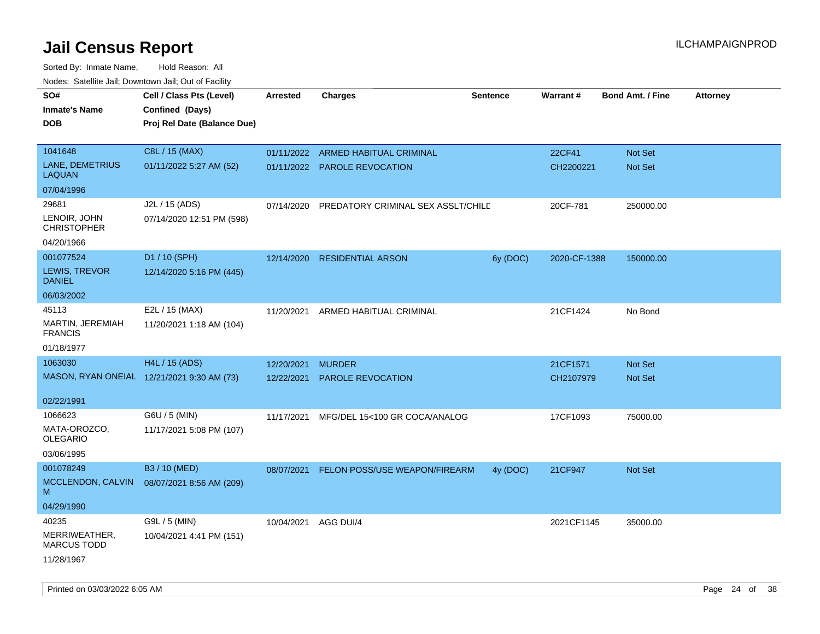| rougs. Calcing Jan, Downtown Jan, Out of Facility |                                                                            |                 |                                    |                 |              |                         |                 |
|---------------------------------------------------|----------------------------------------------------------------------------|-----------------|------------------------------------|-----------------|--------------|-------------------------|-----------------|
| SO#<br><b>Inmate's Name</b><br><b>DOB</b>         | Cell / Class Pts (Level)<br>Confined (Days)<br>Proj Rel Date (Balance Due) | <b>Arrested</b> | <b>Charges</b>                     | <b>Sentence</b> | Warrant#     | <b>Bond Amt. / Fine</b> | <b>Attorney</b> |
|                                                   |                                                                            |                 |                                    |                 |              |                         |                 |
| 1041648                                           | C8L / 15 (MAX)                                                             |                 | 01/11/2022 ARMED HABITUAL CRIMINAL |                 | 22CF41       | Not Set                 |                 |
| LANE, DEMETRIUS<br>LAQUAN                         | 01/11/2022 5:27 AM (52)                                                    |                 | 01/11/2022 PAROLE REVOCATION       |                 | CH2200221    | <b>Not Set</b>          |                 |
| 07/04/1996                                        |                                                                            |                 |                                    |                 |              |                         |                 |
| 29681                                             | J2L / 15 (ADS)                                                             | 07/14/2020      | PREDATORY CRIMINAL SEX ASSLT/CHILE |                 | 20CF-781     | 250000.00               |                 |
| LENOIR, JOHN<br><b>CHRISTOPHER</b>                | 07/14/2020 12:51 PM (598)                                                  |                 |                                    |                 |              |                         |                 |
| 04/20/1966                                        |                                                                            |                 |                                    |                 |              |                         |                 |
| 001077524                                         | D1 / 10 (SPH)                                                              | 12/14/2020      | <b>RESIDENTIAL ARSON</b>           | 6y (DOC)        | 2020-CF-1388 | 150000.00               |                 |
| LEWIS, TREVOR<br><b>DANIEL</b>                    | 12/14/2020 5:16 PM (445)                                                   |                 |                                    |                 |              |                         |                 |
| 06/03/2002                                        |                                                                            |                 |                                    |                 |              |                         |                 |
| 45113                                             | E2L / 15 (MAX)                                                             | 11/20/2021      | ARMED HABITUAL CRIMINAL            |                 | 21CF1424     | No Bond                 |                 |
| MARTIN, JEREMIAH<br><b>FRANCIS</b>                | 11/20/2021 1:18 AM (104)                                                   |                 |                                    |                 |              |                         |                 |
| 01/18/1977                                        |                                                                            |                 |                                    |                 |              |                         |                 |
| 1063030                                           | H4L / 15 (ADS)                                                             | 12/20/2021      | <b>MURDER</b>                      |                 | 21CF1571     | <b>Not Set</b>          |                 |
|                                                   | MASON, RYAN ONEIAL 12/21/2021 9:30 AM (73)                                 | 12/22/2021      | <b>PAROLE REVOCATION</b>           |                 | CH2107979    | <b>Not Set</b>          |                 |
| 02/22/1991                                        |                                                                            |                 |                                    |                 |              |                         |                 |
| 1066623                                           | G6U / 5 (MIN)                                                              | 11/17/2021      | MFG/DEL 15<100 GR COCA/ANALOG      |                 | 17CF1093     | 75000.00                |                 |
| MATA-OROZCO.<br>OLEGARIO                          | 11/17/2021 5:08 PM (107)                                                   |                 |                                    |                 |              |                         |                 |
| 03/06/1995                                        |                                                                            |                 |                                    |                 |              |                         |                 |
| 001078249                                         | B3 / 10 (MED)                                                              | 08/07/2021      | FELON POSS/USE WEAPON/FIREARM      | 4y (DOC)        | 21CF947      | Not Set                 |                 |
| MCCLENDON, CALVIN<br>м                            | 08/07/2021 8:56 AM (209)                                                   |                 |                                    |                 |              |                         |                 |
| 04/29/1990                                        |                                                                            |                 |                                    |                 |              |                         |                 |
| 40235                                             | G9L / 5 (MIN)                                                              | 10/04/2021      | AGG DUI/4                          |                 | 2021CF1145   | 35000.00                |                 |
| MERRIWEATHER,<br><b>MARCUS TODD</b>               | 10/04/2021 4:41 PM (151)                                                   |                 |                                    |                 |              |                         |                 |
| 11/28/1967                                        |                                                                            |                 |                                    |                 |              |                         |                 |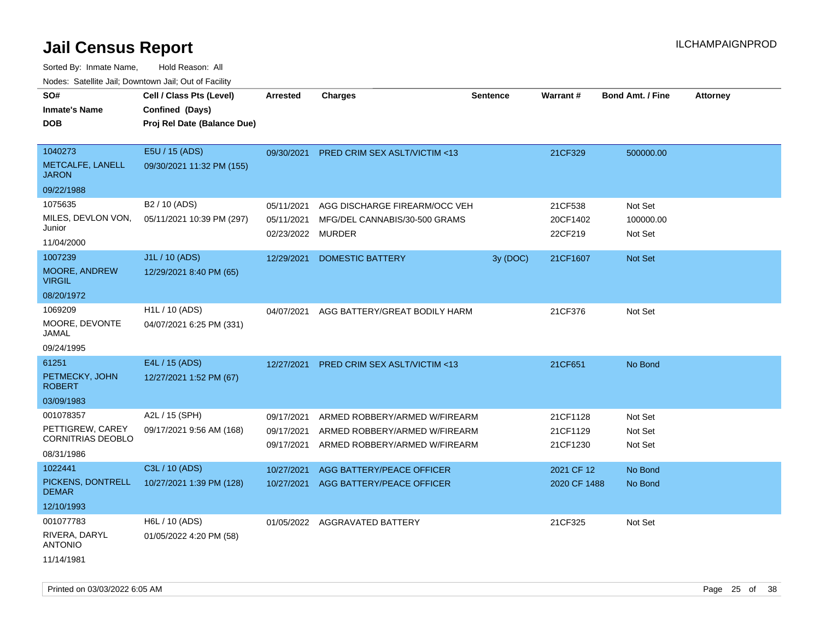Sorted By: Inmate Name, Hold Reason: All Nodes: Satellite Jail; Downtown Jail; Out of Facility

| SO#                                   | Cell / Class Pts (Level)    | <b>Arrested</b>   | <b>Charges</b>                           | <b>Sentence</b> | Warrant#     | <b>Bond Amt. / Fine</b> | <b>Attorney</b> |
|---------------------------------------|-----------------------------|-------------------|------------------------------------------|-----------------|--------------|-------------------------|-----------------|
| <b>Inmate's Name</b>                  |                             |                   |                                          |                 |              |                         |                 |
|                                       | Confined (Days)             |                   |                                          |                 |              |                         |                 |
| <b>DOB</b>                            | Proj Rel Date (Balance Due) |                   |                                          |                 |              |                         |                 |
|                                       |                             |                   |                                          |                 |              |                         |                 |
| 1040273                               | E5U / 15 (ADS)              |                   | 09/30/2021 PRED CRIM SEX ASLT/VICTIM <13 |                 | 21CF329      | 500000.00               |                 |
| METCALFE, LANELL<br><b>JARON</b>      | 09/30/2021 11:32 PM (155)   |                   |                                          |                 |              |                         |                 |
| 09/22/1988                            |                             |                   |                                          |                 |              |                         |                 |
| 1075635                               | B <sub>2</sub> / 10 (ADS)   | 05/11/2021        | AGG DISCHARGE FIREARM/OCC VEH            |                 | 21CF538      | Not Set                 |                 |
| MILES, DEVLON VON,                    | 05/11/2021 10:39 PM (297)   | 05/11/2021        | MFG/DEL CANNABIS/30-500 GRAMS            |                 | 20CF1402     | 100000.00               |                 |
| Junior                                |                             | 02/23/2022 MURDER |                                          |                 | 22CF219      | Not Set                 |                 |
| 11/04/2000                            |                             |                   |                                          |                 |              |                         |                 |
| 1007239                               | J1L / 10 (ADS)              | 12/29/2021        | <b>DOMESTIC BATTERY</b>                  | 3y (DOC)        | 21CF1607     | Not Set                 |                 |
| <b>MOORE, ANDREW</b><br><b>VIRGIL</b> | 12/29/2021 8:40 PM (65)     |                   |                                          |                 |              |                         |                 |
| 08/20/1972                            |                             |                   |                                          |                 |              |                         |                 |
| 1069209                               | H <sub>1</sub> L / 10 (ADS) | 04/07/2021        | AGG BATTERY/GREAT BODILY HARM            |                 | 21CF376      | Not Set                 |                 |
| MOORE, DEVONTE<br><b>JAMAL</b>        | 04/07/2021 6:25 PM (331)    |                   |                                          |                 |              |                         |                 |
| 09/24/1995                            |                             |                   |                                          |                 |              |                         |                 |
| 61251                                 | E4L / 15 (ADS)              | 12/27/2021        | <b>PRED CRIM SEX ASLT/VICTIM &lt;13</b>  |                 | 21CF651      | No Bond                 |                 |
| PETMECKY, JOHN<br><b>ROBERT</b>       | 12/27/2021 1:52 PM (67)     |                   |                                          |                 |              |                         |                 |
| 03/09/1983                            |                             |                   |                                          |                 |              |                         |                 |
| 001078357                             | A2L / 15 (SPH)              | 09/17/2021        | ARMED ROBBERY/ARMED W/FIREARM            |                 | 21CF1128     | Not Set                 |                 |
| PETTIGREW, CAREY                      | 09/17/2021 9:56 AM (168)    | 09/17/2021        | ARMED ROBBERY/ARMED W/FIREARM            |                 | 21CF1129     | Not Set                 |                 |
| <b>CORNITRIAS DEOBLO</b>              |                             | 09/17/2021        | ARMED ROBBERY/ARMED W/FIREARM            |                 | 21CF1230     | Not Set                 |                 |
| 08/31/1986                            |                             |                   |                                          |                 |              |                         |                 |
| 1022441                               | C3L / 10 (ADS)              | 10/27/2021        | AGG BATTERY/PEACE OFFICER                |                 | 2021 CF 12   | No Bond                 |                 |
| PICKENS, DONTRELL<br><b>DEMAR</b>     | 10/27/2021 1:39 PM (128)    | 10/27/2021        | AGG BATTERY/PEACE OFFICER                |                 | 2020 CF 1488 | No Bond                 |                 |
| 12/10/1993                            |                             |                   |                                          |                 |              |                         |                 |
| 001077783                             | H6L / 10 (ADS)              |                   | 01/05/2022 AGGRAVATED BATTERY            |                 | 21CF325      | Not Set                 |                 |
| RIVERA, DARYL<br><b>ANTONIO</b>       | 01/05/2022 4:20 PM (58)     |                   |                                          |                 |              |                         |                 |
| 11/14/1981                            |                             |                   |                                          |                 |              |                         |                 |

Printed on 03/03/2022 6:05 AM Page 25 of 38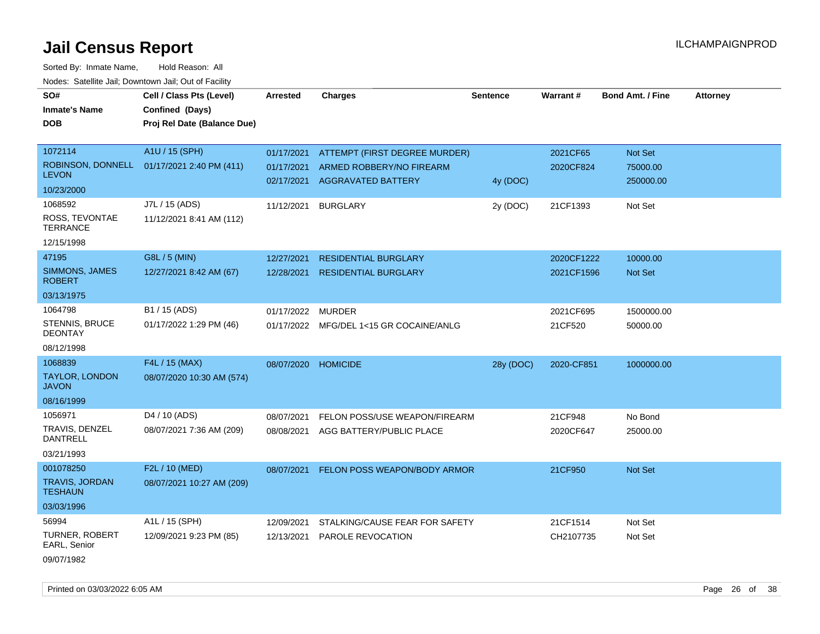Sorted By: Inmate Name, Hold Reason: All Nodes: Satellite Jail; Downtown Jail; Out of Facility

| SO#                                     | Cell / Class Pts (Level)    | Arrested   | <b>Charges</b>                          | <b>Sentence</b> | Warrant#   | <b>Bond Amt. / Fine</b> | <b>Attorney</b> |
|-----------------------------------------|-----------------------------|------------|-----------------------------------------|-----------------|------------|-------------------------|-----------------|
| <b>Inmate's Name</b>                    | Confined (Days)             |            |                                         |                 |            |                         |                 |
| <b>DOB</b>                              | Proj Rel Date (Balance Due) |            |                                         |                 |            |                         |                 |
|                                         |                             |            |                                         |                 |            |                         |                 |
| 1072114                                 | A1U / 15 (SPH)              | 01/17/2021 | ATTEMPT (FIRST DEGREE MURDER)           |                 | 2021CF65   | Not Set                 |                 |
| ROBINSON, DONNELL                       | 01/17/2021 2:40 PM (411)    | 01/17/2021 | ARMED ROBBERY/NO FIREARM                |                 | 2020CF824  | 75000.00                |                 |
| <b>LEVON</b>                            |                             | 02/17/2021 | <b>AGGRAVATED BATTERY</b>               | 4y (DOC)        |            | 250000.00               |                 |
| 10/23/2000                              |                             |            |                                         |                 |            |                         |                 |
| 1068592                                 | J7L / 15 (ADS)              | 11/12/2021 | <b>BURGLARY</b>                         | 2y (DOC)        | 21CF1393   | Not Set                 |                 |
| ROSS, TEVONTAE<br><b>TERRANCE</b>       | 11/12/2021 8:41 AM (112)    |            |                                         |                 |            |                         |                 |
| 12/15/1998                              |                             |            |                                         |                 |            |                         |                 |
| 47195                                   | G8L / 5 (MIN)               | 12/27/2021 | <b>RESIDENTIAL BURGLARY</b>             |                 | 2020CF1222 | 10000.00                |                 |
| SIMMONS, JAMES<br><b>ROBERT</b>         | 12/27/2021 8:42 AM (67)     | 12/28/2021 | <b>RESIDENTIAL BURGLARY</b>             |                 | 2021CF1596 | Not Set                 |                 |
| 03/13/1975                              |                             |            |                                         |                 |            |                         |                 |
| 1064798                                 | B1 / 15 (ADS)               | 01/17/2022 | <b>MURDER</b>                           |                 | 2021CF695  | 1500000.00              |                 |
| STENNIS, BRUCE<br><b>DEONTAY</b>        | 01/17/2022 1:29 PM (46)     |            | 01/17/2022 MFG/DEL 1<15 GR COCAINE/ANLG |                 | 21CF520    | 50000.00                |                 |
| 08/12/1998                              |                             |            |                                         |                 |            |                         |                 |
| 1068839                                 | F4L / 15 (MAX)              | 08/07/2020 | <b>HOMICIDE</b>                         | 28y (DOC)       | 2020-CF851 | 1000000.00              |                 |
| <b>TAYLOR, LONDON</b><br><b>JAVON</b>   | 08/07/2020 10:30 AM (574)   |            |                                         |                 |            |                         |                 |
| 08/16/1999                              |                             |            |                                         |                 |            |                         |                 |
| 1056971                                 | D4 / 10 (ADS)               | 08/07/2021 | FELON POSS/USE WEAPON/FIREARM           |                 | 21CF948    | No Bond                 |                 |
| TRAVIS, DENZEL<br><b>DANTRELL</b>       | 08/07/2021 7:36 AM (209)    | 08/08/2021 | AGG BATTERY/PUBLIC PLACE                |                 | 2020CF647  | 25000.00                |                 |
| 03/21/1993                              |                             |            |                                         |                 |            |                         |                 |
| 001078250                               | F2L / 10 (MED)              | 08/07/2021 | FELON POSS WEAPON/BODY ARMOR            |                 | 21CF950    | Not Set                 |                 |
| <b>TRAVIS, JORDAN</b><br><b>TESHAUN</b> | 08/07/2021 10:27 AM (209)   |            |                                         |                 |            |                         |                 |
| 03/03/1996                              |                             |            |                                         |                 |            |                         |                 |
| 56994                                   | A1L / 15 (SPH)              | 12/09/2021 | STALKING/CAUSE FEAR FOR SAFETY          |                 | 21CF1514   | Not Set                 |                 |
| <b>TURNER, ROBERT</b><br>EARL, Senior   | 12/09/2021 9:23 PM (85)     | 12/13/2021 | <b>PAROLE REVOCATION</b>                |                 | CH2107735  | Not Set                 |                 |
| 09/07/1982                              |                             |            |                                         |                 |            |                         |                 |

Printed on 03/03/2022 6:05 AM Page 26 of 38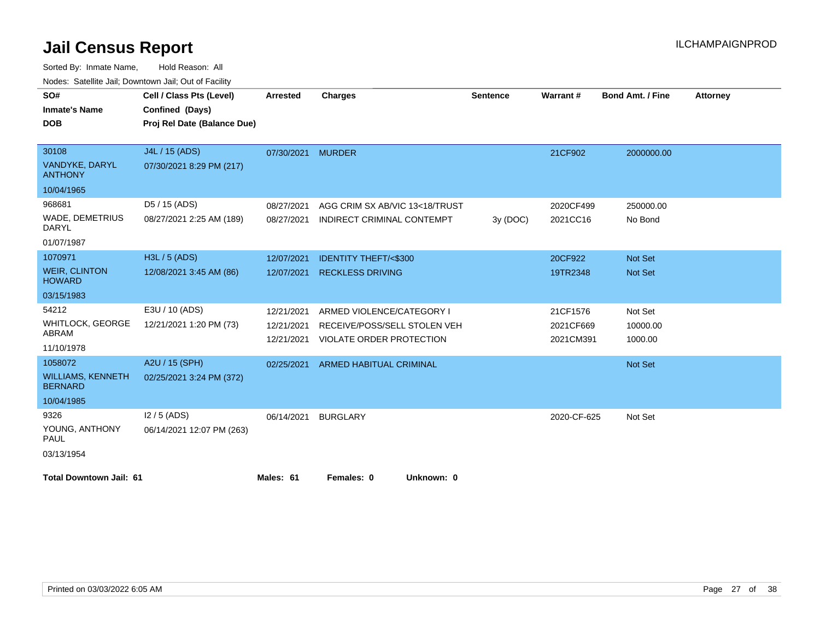| SO#                                        | Cell / Class Pts (Level)    | Arrested   | <b>Charges</b>                  | <b>Sentence</b> | Warrant#    | <b>Bond Amt. / Fine</b> | <b>Attorney</b> |
|--------------------------------------------|-----------------------------|------------|---------------------------------|-----------------|-------------|-------------------------|-----------------|
| <b>Inmate's Name</b>                       | Confined (Days)             |            |                                 |                 |             |                         |                 |
| <b>DOB</b>                                 | Proj Rel Date (Balance Due) |            |                                 |                 |             |                         |                 |
|                                            |                             |            |                                 |                 |             |                         |                 |
| 30108                                      | J4L / 15 (ADS)              | 07/30/2021 | <b>MURDER</b>                   |                 | 21CF902     | 2000000.00              |                 |
| VANDYKE, DARYL<br><b>ANTHONY</b>           | 07/30/2021 8:29 PM (217)    |            |                                 |                 |             |                         |                 |
| 10/04/1965                                 |                             |            |                                 |                 |             |                         |                 |
| 968681                                     | D5 / 15 (ADS)               | 08/27/2021 | AGG CRIM SX AB/VIC 13<18/TRUST  |                 | 2020CF499   | 250000.00               |                 |
| WADE, DEMETRIUS<br><b>DARYL</b>            | 08/27/2021 2:25 AM (189)    | 08/27/2021 | INDIRECT CRIMINAL CONTEMPT      | 3y (DOC)        | 2021CC16    | No Bond                 |                 |
| 01/07/1987                                 |                             |            |                                 |                 |             |                         |                 |
| 1070971                                    | H3L / 5 (ADS)               | 12/07/2021 | <b>IDENTITY THEFT/&lt;\$300</b> |                 | 20CF922     | Not Set                 |                 |
| <b>WEIR, CLINTON</b><br><b>HOWARD</b>      | 12/08/2021 3:45 AM (86)     | 12/07/2021 | <b>RECKLESS DRIVING</b>         |                 | 19TR2348    | <b>Not Set</b>          |                 |
| 03/15/1983                                 |                             |            |                                 |                 |             |                         |                 |
| 54212                                      | E3U / 10 (ADS)              | 12/21/2021 | ARMED VIOLENCE/CATEGORY I       |                 | 21CF1576    | Not Set                 |                 |
| <b>WHITLOCK, GEORGE</b>                    | 12/21/2021 1:20 PM (73)     | 12/21/2021 | RECEIVE/POSS/SELL STOLEN VEH    |                 | 2021CF669   | 10000.00                |                 |
| ABRAM                                      |                             | 12/21/2021 | <b>VIOLATE ORDER PROTECTION</b> |                 | 2021CM391   | 1000.00                 |                 |
| 11/10/1978                                 |                             |            |                                 |                 |             |                         |                 |
| 1058072                                    | A2U / 15 (SPH)              | 02/25/2021 | <b>ARMED HABITUAL CRIMINAL</b>  |                 |             | Not Set                 |                 |
| <b>WILLIAMS, KENNETH</b><br><b>BERNARD</b> | 02/25/2021 3:24 PM (372)    |            |                                 |                 |             |                         |                 |
| 10/04/1985                                 |                             |            |                                 |                 |             |                         |                 |
| 9326                                       | $12/5$ (ADS)                | 06/14/2021 | <b>BURGLARY</b>                 |                 | 2020-CF-625 | Not Set                 |                 |
| YOUNG, ANTHONY<br>PAUL                     | 06/14/2021 12:07 PM (263)   |            |                                 |                 |             |                         |                 |
| 03/13/1954                                 |                             |            |                                 |                 |             |                         |                 |
| <b>Total Downtown Jail: 61</b>             |                             | Males: 61  | Females: 0<br>Unknown: 0        |                 |             |                         |                 |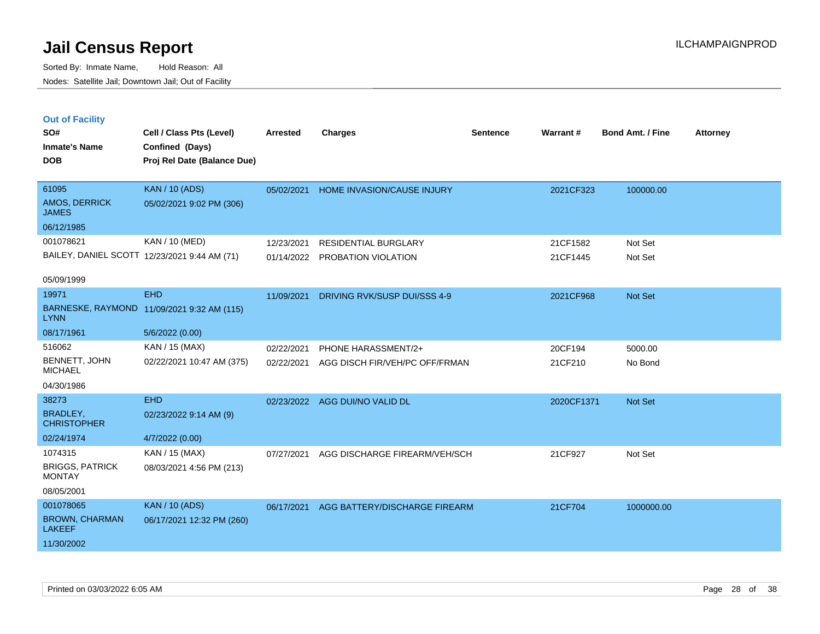|         | <b>Out of Facility</b> |  |  |
|---------|------------------------|--|--|
| <b></b> |                        |  |  |

| SO#                                     | Cell / Class Pts (Level)                     | <b>Arrested</b> | <b>Charges</b>                 | <b>Sentence</b> | Warrant#   | Bond Amt. / Fine | <b>Attorney</b> |
|-----------------------------------------|----------------------------------------------|-----------------|--------------------------------|-----------------|------------|------------------|-----------------|
| <b>Inmate's Name</b>                    | Confined (Days)                              |                 |                                |                 |            |                  |                 |
| <b>DOB</b>                              | Proj Rel Date (Balance Due)                  |                 |                                |                 |            |                  |                 |
|                                         |                                              |                 |                                |                 |            |                  |                 |
| 61095                                   | <b>KAN / 10 (ADS)</b>                        | 05/02/2021      | HOME INVASION/CAUSE INJURY     |                 | 2021CF323  | 100000.00        |                 |
| <b>AMOS, DERRICK</b><br><b>JAMES</b>    | 05/02/2021 9:02 PM (306)                     |                 |                                |                 |            |                  |                 |
| 06/12/1985                              |                                              |                 |                                |                 |            |                  |                 |
| 001078621                               | KAN / 10 (MED)                               | 12/23/2021      | <b>RESIDENTIAL BURGLARY</b>    |                 | 21CF1582   | Not Set          |                 |
|                                         | BAILEY, DANIEL SCOTT 12/23/2021 9:44 AM (71) |                 | 01/14/2022 PROBATION VIOLATION |                 | 21CF1445   | Not Set          |                 |
|                                         |                                              |                 |                                |                 |            |                  |                 |
| 05/09/1999                              |                                              |                 |                                |                 |            |                  |                 |
| 19971                                   | <b>EHD</b>                                   | 11/09/2021      | DRIVING RVK/SUSP DUI/SSS 4-9   |                 | 2021CF968  | Not Set          |                 |
| <b>LYNN</b>                             | BARNESKE, RAYMOND 11/09/2021 9:32 AM (115)   |                 |                                |                 |            |                  |                 |
| 08/17/1961                              | 5/6/2022 (0.00)                              |                 |                                |                 |            |                  |                 |
| 516062                                  | KAN / 15 (MAX)                               | 02/22/2021      | PHONE HARASSMENT/2+            |                 | 20CF194    | 5000.00          |                 |
| BENNETT, JOHN<br><b>MICHAEL</b>         | 02/22/2021 10:47 AM (375)                    | 02/22/2021      | AGG DISCH FIR/VEH/PC OFF/FRMAN |                 | 21CF210    | No Bond          |                 |
| 04/30/1986                              |                                              |                 |                                |                 |            |                  |                 |
| 38273                                   | EHD                                          |                 | 02/23/2022 AGG DUI/NO VALID DL |                 | 2020CF1371 | Not Set          |                 |
| <b>BRADLEY,</b><br><b>CHRISTOPHER</b>   | 02/23/2022 9:14 AM (9)                       |                 |                                |                 |            |                  |                 |
| 02/24/1974                              | 4/7/2022 (0.00)                              |                 |                                |                 |            |                  |                 |
| 1074315                                 | KAN / 15 (MAX)                               | 07/27/2021      | AGG DISCHARGE FIREARM/VEH/SCH  |                 | 21CF927    | Not Set          |                 |
| <b>BRIGGS, PATRICK</b><br><b>MONTAY</b> | 08/03/2021 4:56 PM (213)                     |                 |                                |                 |            |                  |                 |
| 08/05/2001                              |                                              |                 |                                |                 |            |                  |                 |
| 001078065                               | <b>KAN / 10 (ADS)</b>                        | 06/17/2021      | AGG BATTERY/DISCHARGE FIREARM  |                 | 21CF704    | 1000000.00       |                 |
| <b>BROWN, CHARMAN</b><br><b>LAKEEF</b>  | 06/17/2021 12:32 PM (260)                    |                 |                                |                 |            |                  |                 |
| 11/30/2002                              |                                              |                 |                                |                 |            |                  |                 |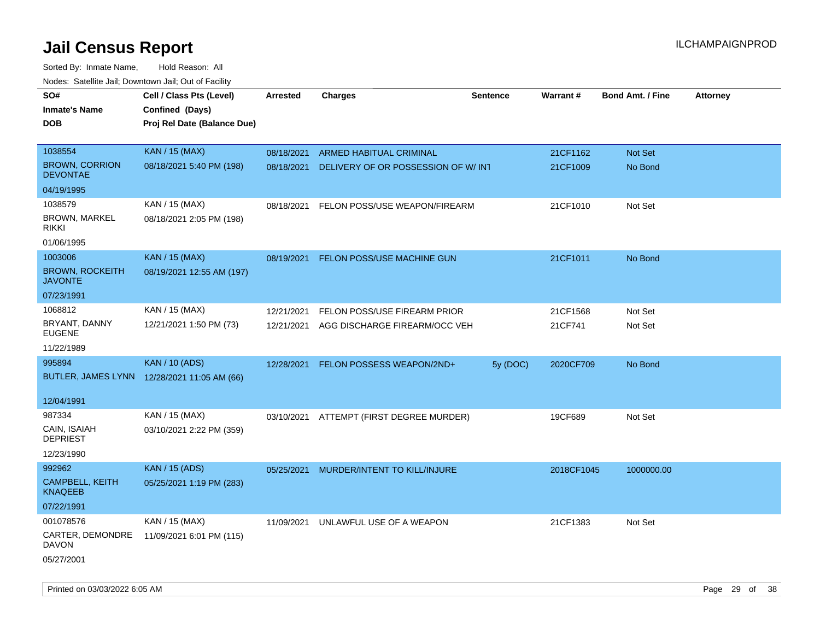| roaco. Catolino dall, Downtown dall, Out of Fability |                                             |                 |                                    |                 |            |                         |                 |
|------------------------------------------------------|---------------------------------------------|-----------------|------------------------------------|-----------------|------------|-------------------------|-----------------|
| SO#                                                  | Cell / Class Pts (Level)                    | <b>Arrested</b> | <b>Charges</b>                     | <b>Sentence</b> | Warrant#   | <b>Bond Amt. / Fine</b> | <b>Attorney</b> |
| <b>Inmate's Name</b>                                 | Confined (Days)                             |                 |                                    |                 |            |                         |                 |
| <b>DOB</b>                                           | Proj Rel Date (Balance Due)                 |                 |                                    |                 |            |                         |                 |
|                                                      |                                             |                 |                                    |                 |            |                         |                 |
| 1038554                                              | <b>KAN / 15 (MAX)</b>                       | 08/18/2021      | ARMED HABITUAL CRIMINAL            |                 | 21CF1162   | Not Set                 |                 |
| <b>BROWN, CORRION</b><br><b>DEVONTAE</b>             | 08/18/2021 5:40 PM (198)                    | 08/18/2021      | DELIVERY OF OR POSSESSION OF W/INT |                 | 21CF1009   | No Bond                 |                 |
| 04/19/1995                                           |                                             |                 |                                    |                 |            |                         |                 |
| 1038579                                              | KAN / 15 (MAX)                              | 08/18/2021      | FELON POSS/USE WEAPON/FIREARM      |                 | 21CF1010   | Not Set                 |                 |
| <b>BROWN, MARKEL</b><br><b>RIKKI</b>                 | 08/18/2021 2:05 PM (198)                    |                 |                                    |                 |            |                         |                 |
| 01/06/1995                                           |                                             |                 |                                    |                 |            |                         |                 |
| 1003006                                              | <b>KAN / 15 (MAX)</b>                       | 08/19/2021      | FELON POSS/USE MACHINE GUN         |                 | 21CF1011   | No Bond                 |                 |
| <b>BROWN, ROCKEITH</b><br><b>JAVONTE</b>             | 08/19/2021 12:55 AM (197)                   |                 |                                    |                 |            |                         |                 |
| 07/23/1991                                           |                                             |                 |                                    |                 |            |                         |                 |
| 1068812                                              | KAN / 15 (MAX)                              | 12/21/2021      | FELON POSS/USE FIREARM PRIOR       |                 | 21CF1568   | Not Set                 |                 |
| BRYANT, DANNY<br><b>EUGENE</b>                       | 12/21/2021 1:50 PM (73)                     | 12/21/2021      | AGG DISCHARGE FIREARM/OCC VEH      |                 | 21CF741    | Not Set                 |                 |
| 11/22/1989                                           |                                             |                 |                                    |                 |            |                         |                 |
| 995894                                               | <b>KAN / 10 (ADS)</b>                       | 12/28/2021      | FELON POSSESS WEAPON/2ND+          | 5y (DOC)        | 2020CF709  | No Bond                 |                 |
|                                                      | BUTLER, JAMES LYNN 12/28/2021 11:05 AM (66) |                 |                                    |                 |            |                         |                 |
|                                                      |                                             |                 |                                    |                 |            |                         |                 |
| 12/04/1991                                           |                                             |                 |                                    |                 |            |                         |                 |
| 987334                                               | KAN / 15 (MAX)                              | 03/10/2021      | ATTEMPT (FIRST DEGREE MURDER)      |                 | 19CF689    | Not Set                 |                 |
| CAIN, ISAIAH<br><b>DEPRIEST</b>                      | 03/10/2021 2:22 PM (359)                    |                 |                                    |                 |            |                         |                 |
| 12/23/1990                                           |                                             |                 |                                    |                 |            |                         |                 |
| 992962                                               | <b>KAN / 15 (ADS)</b>                       | 05/25/2021      | MURDER/INTENT TO KILL/INJURE       |                 | 2018CF1045 | 1000000.00              |                 |
| CAMPBELL, KEITH<br><b>KNAQEEB</b>                    | 05/25/2021 1:19 PM (283)                    |                 |                                    |                 |            |                         |                 |
| 07/22/1991                                           |                                             |                 |                                    |                 |            |                         |                 |
| 001078576                                            | KAN / 15 (MAX)                              | 11/09/2021      | UNLAWFUL USE OF A WEAPON           |                 | 21CF1383   | Not Set                 |                 |
| CARTER, DEMONDRE<br>DAVON                            | 11/09/2021 6:01 PM (115)                    |                 |                                    |                 |            |                         |                 |
| 05/27/2001                                           |                                             |                 |                                    |                 |            |                         |                 |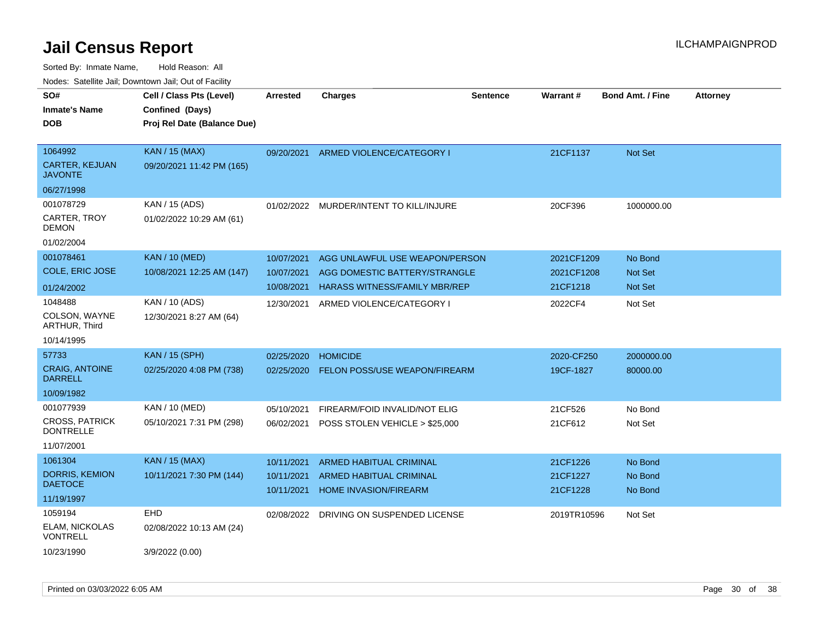| ivouss. Satellite Jali, Downtown Jali, Out of Facility<br>SO# | Cell / Class Pts (Level)    | <b>Arrested</b> | <b>Charges</b>                          | <b>Sentence</b> | Warrant#    | <b>Bond Amt. / Fine</b> | <b>Attorney</b> |
|---------------------------------------------------------------|-----------------------------|-----------------|-----------------------------------------|-----------------|-------------|-------------------------|-----------------|
| <b>Inmate's Name</b>                                          | Confined (Days)             |                 |                                         |                 |             |                         |                 |
| <b>DOB</b>                                                    | Proj Rel Date (Balance Due) |                 |                                         |                 |             |                         |                 |
|                                                               |                             |                 |                                         |                 |             |                         |                 |
| 1064992                                                       | <b>KAN / 15 (MAX)</b>       | 09/20/2021      | ARMED VIOLENCE/CATEGORY I               |                 | 21CF1137    | <b>Not Set</b>          |                 |
| <b>CARTER, KEJUAN</b><br><b>JAVONTE</b>                       | 09/20/2021 11:42 PM (165)   |                 |                                         |                 |             |                         |                 |
| 06/27/1998                                                    |                             |                 |                                         |                 |             |                         |                 |
| 001078729                                                     | KAN / 15 (ADS)              |                 | 01/02/2022 MURDER/INTENT TO KILL/INJURE |                 | 20CF396     | 1000000.00              |                 |
| CARTER, TROY<br><b>DEMON</b>                                  | 01/02/2022 10:29 AM (61)    |                 |                                         |                 |             |                         |                 |
| 01/02/2004                                                    |                             |                 |                                         |                 |             |                         |                 |
| 001078461                                                     | <b>KAN / 10 (MED)</b>       | 10/07/2021      | AGG UNLAWFUL USE WEAPON/PERSON          |                 | 2021CF1209  | No Bond                 |                 |
| COLE, ERIC JOSE                                               | 10/08/2021 12:25 AM (147)   | 10/07/2021      | AGG DOMESTIC BATTERY/STRANGLE           |                 | 2021CF1208  | <b>Not Set</b>          |                 |
| 01/24/2002                                                    |                             | 10/08/2021      | HARASS WITNESS/FAMILY MBR/REP           |                 | 21CF1218    | Not Set                 |                 |
| 1048488                                                       | KAN / 10 (ADS)              | 12/30/2021      | ARMED VIOLENCE/CATEGORY I               |                 | 2022CF4     | Not Set                 |                 |
| COLSON, WAYNE<br><b>ARTHUR, Third</b>                         | 12/30/2021 8:27 AM (64)     |                 |                                         |                 |             |                         |                 |
| 10/14/1995                                                    |                             |                 |                                         |                 |             |                         |                 |
| 57733                                                         | <b>KAN / 15 (SPH)</b>       | 02/25/2020      | <b>HOMICIDE</b>                         |                 | 2020-CF250  | 2000000.00              |                 |
| <b>CRAIG, ANTOINE</b><br><b>DARRELL</b>                       | 02/25/2020 4:08 PM (738)    | 02/25/2020      | <b>FELON POSS/USE WEAPON/FIREARM</b>    |                 | 19CF-1827   | 80000.00                |                 |
| 10/09/1982                                                    |                             |                 |                                         |                 |             |                         |                 |
| 001077939                                                     | KAN / 10 (MED)              | 05/10/2021      | FIREARM/FOID INVALID/NOT ELIG           |                 | 21CF526     | No Bond                 |                 |
| <b>CROSS, PATRICK</b><br><b>DONTRELLE</b>                     | 05/10/2021 7:31 PM (298)    | 06/02/2021      | POSS STOLEN VEHICLE > \$25,000          |                 | 21CF612     | Not Set                 |                 |
| 11/07/2001                                                    |                             |                 |                                         |                 |             |                         |                 |
| 1061304                                                       | <b>KAN</b> / 15 (MAX)       | 10/11/2021      | ARMED HABITUAL CRIMINAL                 |                 | 21CF1226    | No Bond                 |                 |
| DORRIS, KEMION                                                | 10/11/2021 7:30 PM (144)    | 10/11/2021      | ARMED HABITUAL CRIMINAL                 |                 | 21CF1227    | No Bond                 |                 |
| <b>DAETOCE</b>                                                |                             | 10/11/2021      | <b>HOME INVASION/FIREARM</b>            |                 | 21CF1228    | No Bond                 |                 |
| 11/19/1997                                                    |                             |                 |                                         |                 |             |                         |                 |
| 1059194                                                       | <b>EHD</b>                  | 02/08/2022      | DRIVING ON SUSPENDED LICENSE            |                 | 2019TR10596 | Not Set                 |                 |
| ELAM, NICKOLAS<br><b>VONTRELL</b>                             | 02/08/2022 10:13 AM (24)    |                 |                                         |                 |             |                         |                 |
| 10/23/1990                                                    | 3/9/2022 (0.00)             |                 |                                         |                 |             |                         |                 |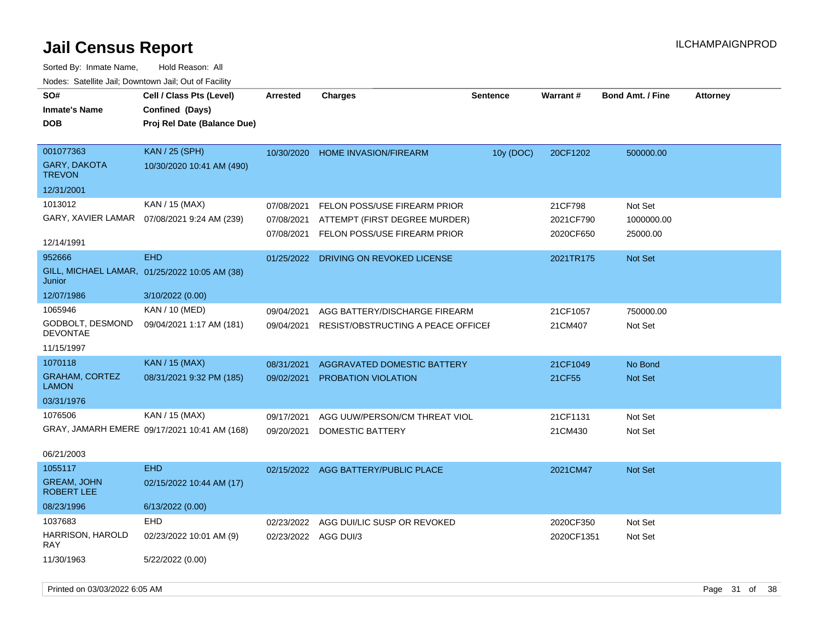| SO#<br><b>Inmate's Name</b><br>DOB             | Cell / Class Pts (Level)<br>Confined (Days)<br>Proj Rel Date (Balance Due) | <b>Arrested</b>                        | <b>Charges</b>                                                                                | <b>Sentence</b> | <b>Warrant#</b>                   | <b>Bond Amt. / Fine</b>           | <b>Attorney</b> |
|------------------------------------------------|----------------------------------------------------------------------------|----------------------------------------|-----------------------------------------------------------------------------------------------|-----------------|-----------------------------------|-----------------------------------|-----------------|
| 001077363<br>GARY, DAKOTA<br><b>TREVON</b>     | <b>KAN / 25 (SPH)</b><br>10/30/2020 10:41 AM (490)                         | 10/30/2020                             | <b>HOME INVASION/FIREARM</b>                                                                  | 10y (DOC)       | 20CF1202                          | 500000.00                         |                 |
| 12/31/2001                                     |                                                                            |                                        |                                                                                               |                 |                                   |                                   |                 |
| 1013012<br>GARY, XAVIER LAMAR                  | KAN / 15 (MAX)<br>07/08/2021 9:24 AM (239)                                 | 07/08/2021<br>07/08/2021<br>07/08/2021 | FELON POSS/USE FIREARM PRIOR<br>ATTEMPT (FIRST DEGREE MURDER)<br>FELON POSS/USE FIREARM PRIOR |                 | 21CF798<br>2021CF790<br>2020CF650 | Not Set<br>1000000.00<br>25000.00 |                 |
| 12/14/1991                                     |                                                                            |                                        |                                                                                               |                 |                                   |                                   |                 |
| 952666<br>Junior                               | <b>EHD</b><br>GILL, MICHAEL LAMAR, 01/25/2022 10:05 AM (38)                | 01/25/2022                             | DRIVING ON REVOKED LICENSE                                                                    |                 | 2021TR175                         | Not Set                           |                 |
| 12/07/1986                                     | 3/10/2022 (0.00)                                                           |                                        |                                                                                               |                 |                                   |                                   |                 |
| 1065946<br>GODBOLT, DESMOND<br><b>DEVONTAE</b> | KAN / 10 (MED)<br>09/04/2021 1:17 AM (181)                                 | 09/04/2021<br>09/04/2021               | AGG BATTERY/DISCHARGE FIREARM<br>RESIST/OBSTRUCTING A PEACE OFFICE                            |                 | 21CF1057<br>21CM407               | 750000.00<br>Not Set              |                 |
| 11/15/1997                                     |                                                                            |                                        |                                                                                               |                 |                                   |                                   |                 |
| 1070118                                        | <b>KAN / 15 (MAX)</b>                                                      | 08/31/2021                             | AGGRAVATED DOMESTIC BATTERY                                                                   |                 | 21CF1049                          | No Bond                           |                 |
| <b>GRAHAM, CORTEZ</b><br><b>LAMON</b>          | 08/31/2021 9:32 PM (185)                                                   | 09/02/2021                             | <b>PROBATION VIOLATION</b>                                                                    |                 | 21CF55                            | <b>Not Set</b>                    |                 |
| 03/31/1976                                     |                                                                            |                                        |                                                                                               |                 |                                   |                                   |                 |
| 1076506<br>06/21/2003                          | KAN / 15 (MAX)<br>GRAY, JAMARH EMERE 09/17/2021 10:41 AM (168)             | 09/17/2021<br>09/20/2021               | AGG UUW/PERSON/CM THREAT VIOL<br>DOMESTIC BATTERY                                             |                 | 21CF1131<br>21CM430               | Not Set<br>Not Set                |                 |
| 1055117                                        | <b>EHD</b>                                                                 |                                        | 02/15/2022 AGG BATTERY/PUBLIC PLACE                                                           |                 | 2021CM47                          | Not Set                           |                 |
| <b>GREAM, JOHN</b><br><b>ROBERT LEE</b>        | 02/15/2022 10:44 AM (17)                                                   |                                        |                                                                                               |                 |                                   |                                   |                 |
| 08/23/1996                                     | 6/13/2022 (0.00)                                                           |                                        |                                                                                               |                 |                                   |                                   |                 |
| 1037683                                        | <b>EHD</b>                                                                 | 02/23/2022                             | AGG DUI/LIC SUSP OR REVOKED                                                                   |                 | 2020CF350                         | Not Set                           |                 |
| HARRISON, HAROLD<br>RAY                        | 02/23/2022 10:01 AM (9)                                                    | 02/23/2022 AGG DUI/3                   |                                                                                               |                 | 2020CF1351                        | Not Set                           |                 |
| 11/30/1963                                     | 5/22/2022 (0.00)                                                           |                                        |                                                                                               |                 |                                   |                                   |                 |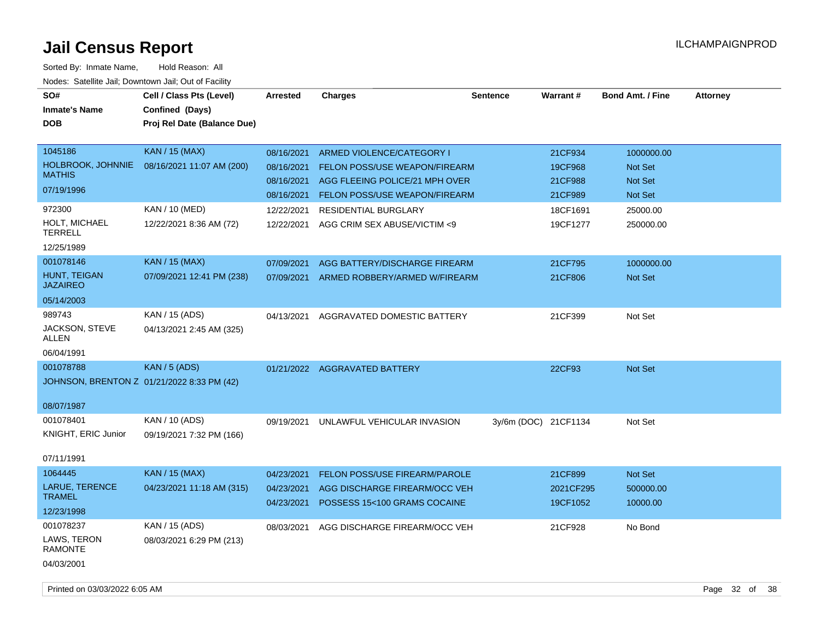| SO#<br><b>Inmate's Name</b><br><b>DOB</b>                   | Cell / Class Pts (Level)<br>Confined (Days)<br>Proj Rel Date (Balance Due) | <b>Arrested</b>                                      | <b>Charges</b>                                                                                                                | <b>Sentence</b>      | <b>Warrant#</b>                          | <b>Bond Amt. / Fine</b>                            | <b>Attorney</b> |
|-------------------------------------------------------------|----------------------------------------------------------------------------|------------------------------------------------------|-------------------------------------------------------------------------------------------------------------------------------|----------------------|------------------------------------------|----------------------------------------------------|-----------------|
| 1045186<br>HOLBROOK, JOHNNIE<br><b>MATHIS</b><br>07/19/1996 | <b>KAN / 15 (MAX)</b><br>08/16/2021 11:07 AM (200)                         | 08/16/2021<br>08/16/2021<br>08/16/2021<br>08/16/2021 | ARMED VIOLENCE/CATEGORY I<br>FELON POSS/USE WEAPON/FIREARM<br>AGG FLEEING POLICE/21 MPH OVER<br>FELON POSS/USE WEAPON/FIREARM |                      | 21CF934<br>19CF968<br>21CF988<br>21CF989 | 1000000.00<br>Not Set<br><b>Not Set</b><br>Not Set |                 |
| 972300<br>HOLT, MICHAEL<br><b>TERRELL</b><br>12/25/1989     | KAN / 10 (MED)<br>12/22/2021 8:36 AM (72)                                  | 12/22/2021<br>12/22/2021                             | <b>RESIDENTIAL BURGLARY</b><br>AGG CRIM SEX ABUSE/VICTIM <9                                                                   |                      | 18CF1691<br>19CF1277                     | 25000.00<br>250000.00                              |                 |
| 001078146<br>HUNT, TEIGAN<br><b>JAZAIREO</b><br>05/14/2003  | <b>KAN / 15 (MAX)</b><br>07/09/2021 12:41 PM (238)                         | 07/09/2021<br>07/09/2021                             | AGG BATTERY/DISCHARGE FIREARM<br>ARMED ROBBERY/ARMED W/FIREARM                                                                |                      | 21CF795<br>21CF806                       | 1000000.00<br>Not Set                              |                 |
| 989743<br>JACKSON, STEVE<br><b>ALLEN</b><br>06/04/1991      | KAN / 15 (ADS)<br>04/13/2021 2:45 AM (325)                                 | 04/13/2021                                           | AGGRAVATED DOMESTIC BATTERY                                                                                                   |                      | 21CF399                                  | Not Set                                            |                 |
| 001078788<br>08/07/1987                                     | KAN / 5 (ADS)<br>JOHNSON, BRENTON Z 01/21/2022 8:33 PM (42)                |                                                      | 01/21/2022 AGGRAVATED BATTERY                                                                                                 |                      | 22CF93                                   | <b>Not Set</b>                                     |                 |
| 001078401<br>KNIGHT, ERIC Junior<br>07/11/1991              | KAN / 10 (ADS)<br>09/19/2021 7:32 PM (166)                                 | 09/19/2021                                           | UNLAWFUL VEHICULAR INVASION                                                                                                   | 3y/6m (DOC) 21CF1134 |                                          | Not Set                                            |                 |
| 1064445<br>LARUE, TERENCE<br><b>TRAMEL</b><br>12/23/1998    | <b>KAN / 15 (MAX)</b><br>04/23/2021 11:18 AM (315)                         | 04/23/2021<br>04/23/2021<br>04/23/2021               | FELON POSS/USE FIREARM/PAROLE<br>AGG DISCHARGE FIREARM/OCC VEH<br>POSSESS 15<100 GRAMS COCAINE                                |                      | 21CF899<br>2021CF295<br>19CF1052         | Not Set<br>500000.00<br>10000.00                   |                 |
| 001078237<br>LAWS, TERON<br><b>RAMONTE</b><br>04/03/2001    | KAN / 15 (ADS)<br>08/03/2021 6:29 PM (213)                                 | 08/03/2021                                           | AGG DISCHARGE FIREARM/OCC VEH                                                                                                 |                      | 21CF928                                  | No Bond                                            |                 |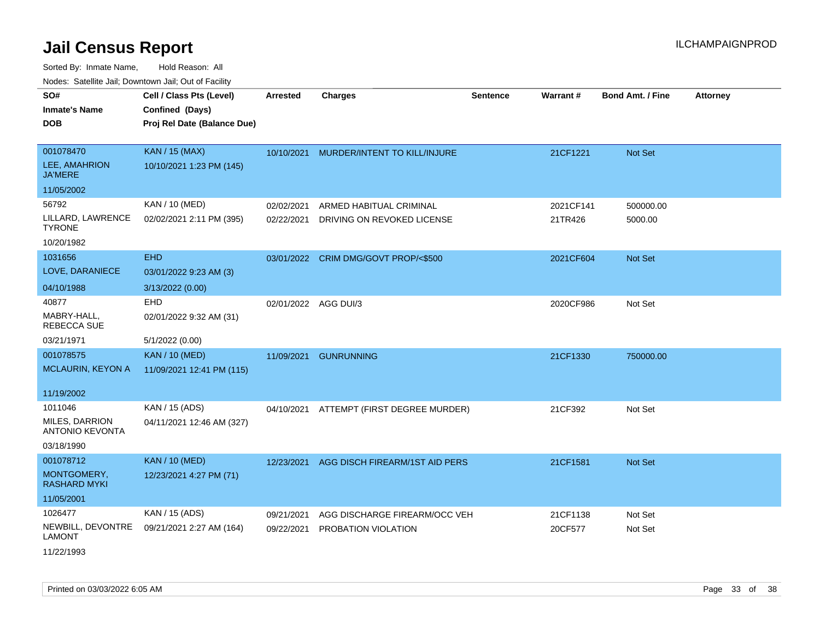Sorted By: Inmate Name, Hold Reason: All

| Nodes: Satellite Jail; Downtown Jail; Out of Facility |                             |            |                                |                 |           |                         |                 |
|-------------------------------------------------------|-----------------------------|------------|--------------------------------|-----------------|-----------|-------------------------|-----------------|
| SO#                                                   | Cell / Class Pts (Level)    | Arrested   | <b>Charges</b>                 | <b>Sentence</b> | Warrant#  | <b>Bond Amt. / Fine</b> | <b>Attorney</b> |
| <b>Inmate's Name</b>                                  | Confined (Days)             |            |                                |                 |           |                         |                 |
| <b>DOB</b>                                            | Proj Rel Date (Balance Due) |            |                                |                 |           |                         |                 |
|                                                       |                             |            |                                |                 |           |                         |                 |
| 001078470                                             | <b>KAN / 15 (MAX)</b>       | 10/10/2021 | MURDER/INTENT TO KILL/INJURE   |                 | 21CF1221  | Not Set                 |                 |
| LEE, AMAHRION<br><b>JA'MERE</b>                       | 10/10/2021 1:23 PM (145)    |            |                                |                 |           |                         |                 |
| 11/05/2002                                            |                             |            |                                |                 |           |                         |                 |
| 56792                                                 | KAN / 10 (MED)              | 02/02/2021 | ARMED HABITUAL CRIMINAL        |                 | 2021CF141 | 500000.00               |                 |
| LILLARD, LAWRENCE<br><b>TYRONE</b>                    | 02/02/2021 2:11 PM (395)    | 02/22/2021 | DRIVING ON REVOKED LICENSE     |                 | 21TR426   | 5000.00                 |                 |
| 10/20/1982                                            |                             |            |                                |                 |           |                         |                 |
| 1031656                                               | <b>EHD</b>                  | 03/01/2022 | CRIM DMG/GOVT PROP/<\$500      |                 | 2021CF604 | Not Set                 |                 |
| LOVE, DARANIECE                                       | 03/01/2022 9:23 AM (3)      |            |                                |                 |           |                         |                 |
| 04/10/1988                                            | 3/13/2022 (0.00)            |            |                                |                 |           |                         |                 |
| 40877                                                 | <b>EHD</b>                  |            | 02/01/2022 AGG DUI/3           |                 | 2020CF986 | Not Set                 |                 |
| MABRY-HALL,<br><b>REBECCA SUE</b>                     | 02/01/2022 9:32 AM (31)     |            |                                |                 |           |                         |                 |
| 03/21/1971                                            | 5/1/2022 (0.00)             |            |                                |                 |           |                         |                 |
| 001078575                                             | <b>KAN / 10 (MED)</b>       | 11/09/2021 | <b>GUNRUNNING</b>              |                 | 21CF1330  | 750000.00               |                 |
| MCLAURIN, KEYON A                                     | 11/09/2021 12:41 PM (115)   |            |                                |                 |           |                         |                 |
| 11/19/2002                                            |                             |            |                                |                 |           |                         |                 |
| 1011046                                               | KAN / 15 (ADS)              | 04/10/2021 | ATTEMPT (FIRST DEGREE MURDER)  |                 | 21CF392   | Not Set                 |                 |
| <b>MILES, DARRION</b><br><b>ANTONIO KEVONTA</b>       | 04/11/2021 12:46 AM (327)   |            |                                |                 |           |                         |                 |
| 03/18/1990                                            |                             |            |                                |                 |           |                         |                 |
| 001078712                                             | <b>KAN / 10 (MED)</b>       | 12/23/2021 | AGG DISCH FIREARM/1ST AID PERS |                 | 21CF1581  | Not Set                 |                 |
| MONTGOMERY,<br><b>RASHARD MYKI</b>                    | 12/23/2021 4:27 PM (71)     |            |                                |                 |           |                         |                 |
| 11/05/2001                                            |                             |            |                                |                 |           |                         |                 |
| 1026477                                               | KAN / 15 (ADS)              | 09/21/2021 | AGG DISCHARGE FIREARM/OCC VEH  |                 | 21CF1138  | Not Set                 |                 |
| NEWBILL, DEVONTRE<br><b>LAMONT</b>                    | 09/21/2021 2:27 AM (164)    | 09/22/2021 | PROBATION VIOLATION            |                 | 20CF577   | Not Set                 |                 |
| 11/22/1993                                            |                             |            |                                |                 |           |                         |                 |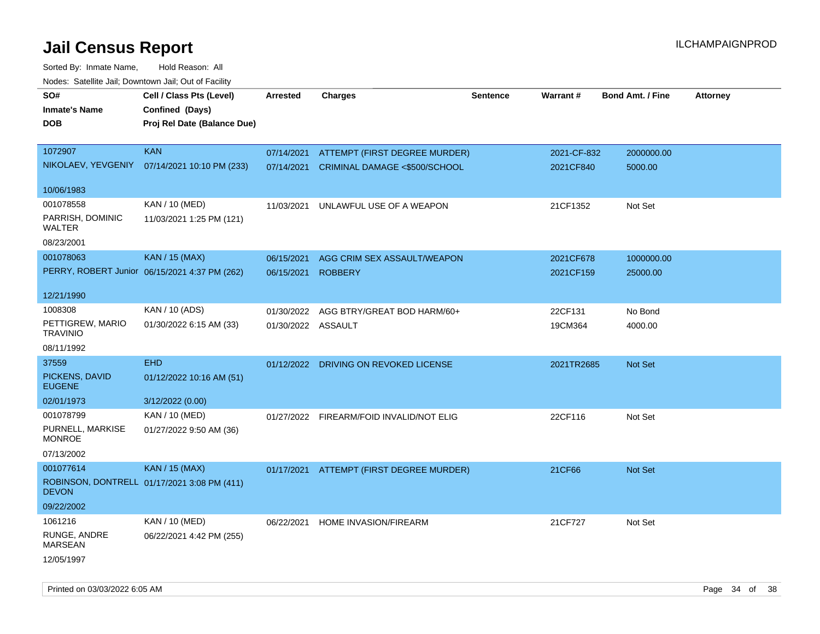| Noues. Salenne Jan, Downtown Jan, Out of Facility |                                               |                    |                                          |                 |             |                         |                 |
|---------------------------------------------------|-----------------------------------------------|--------------------|------------------------------------------|-----------------|-------------|-------------------------|-----------------|
| SO#                                               | Cell / Class Pts (Level)                      | <b>Arrested</b>    | <b>Charges</b>                           | <b>Sentence</b> | Warrant#    | <b>Bond Amt. / Fine</b> | <b>Attorney</b> |
| <b>Inmate's Name</b>                              | Confined (Days)                               |                    |                                          |                 |             |                         |                 |
| <b>DOB</b>                                        | Proj Rel Date (Balance Due)                   |                    |                                          |                 |             |                         |                 |
|                                                   |                                               |                    |                                          |                 |             |                         |                 |
| 1072907                                           | <b>KAN</b>                                    | 07/14/2021         | ATTEMPT (FIRST DEGREE MURDER)            |                 | 2021-CF-832 | 2000000.00              |                 |
|                                                   | NIKOLAEV, YEVGENIY 07/14/2021 10:10 PM (233)  | 07/14/2021         | CRIMINAL DAMAGE <\$500/SCHOOL            |                 | 2021CF840   | 5000.00                 |                 |
| 10/06/1983                                        |                                               |                    |                                          |                 |             |                         |                 |
| 001078558                                         | KAN / 10 (MED)                                | 11/03/2021         | UNLAWFUL USE OF A WEAPON                 |                 | 21CF1352    | Not Set                 |                 |
| PARRISH, DOMINIC<br>WALTER                        | 11/03/2021 1:25 PM (121)                      |                    |                                          |                 |             |                         |                 |
| 08/23/2001                                        |                                               |                    |                                          |                 |             |                         |                 |
| 001078063                                         | <b>KAN / 15 (MAX)</b>                         | 06/15/2021         | AGG CRIM SEX ASSAULT/WEAPON              |                 | 2021CF678   | 1000000.00              |                 |
|                                                   | PERRY, ROBERT Junior 06/15/2021 4:37 PM (262) | 06/15/2021         | <b>ROBBERY</b>                           |                 | 2021CF159   | 25000.00                |                 |
| 12/21/1990                                        |                                               |                    |                                          |                 |             |                         |                 |
| 1008308                                           | KAN / 10 (ADS)                                | 01/30/2022         | AGG BTRY/GREAT BOD HARM/60+              |                 | 22CF131     | No Bond                 |                 |
| PETTIGREW, MARIO<br><b>TRAVINIO</b>               | 01/30/2022 6:15 AM (33)                       | 01/30/2022 ASSAULT |                                          |                 | 19CM364     | 4000.00                 |                 |
| 08/11/1992                                        |                                               |                    |                                          |                 |             |                         |                 |
| 37559                                             | <b>EHD</b>                                    |                    | 01/12/2022 DRIVING ON REVOKED LICENSE    |                 | 2021TR2685  | <b>Not Set</b>          |                 |
| PICKENS, DAVID<br><b>EUGENE</b>                   | 01/12/2022 10:16 AM (51)                      |                    |                                          |                 |             |                         |                 |
| 02/01/1973                                        | 3/12/2022 (0.00)                              |                    |                                          |                 |             |                         |                 |
| 001078799                                         | KAN / 10 (MED)                                |                    | 01/27/2022 FIREARM/FOID INVALID/NOT ELIG |                 | 22CF116     | Not Set                 |                 |
| PURNELL, MARKISE<br><b>MONROE</b>                 | 01/27/2022 9:50 AM (36)                       |                    |                                          |                 |             |                         |                 |
| 07/13/2002                                        |                                               |                    |                                          |                 |             |                         |                 |
| 001077614                                         | <b>KAN / 15 (MAX)</b>                         |                    | 01/17/2021 ATTEMPT (FIRST DEGREE MURDER) |                 | 21CF66      | <b>Not Set</b>          |                 |
| <b>DEVON</b>                                      | ROBINSON, DONTRELL 01/17/2021 3:08 PM (411)   |                    |                                          |                 |             |                         |                 |
| 09/22/2002                                        |                                               |                    |                                          |                 |             |                         |                 |
| 1061216                                           | KAN / 10 (MED)                                | 06/22/2021         | <b>HOME INVASION/FIREARM</b>             |                 | 21CF727     | Not Set                 |                 |
| RUNGE, ANDRE<br>MARSEAN                           | 06/22/2021 4:42 PM (255)                      |                    |                                          |                 |             |                         |                 |
| 12/05/1997                                        |                                               |                    |                                          |                 |             |                         |                 |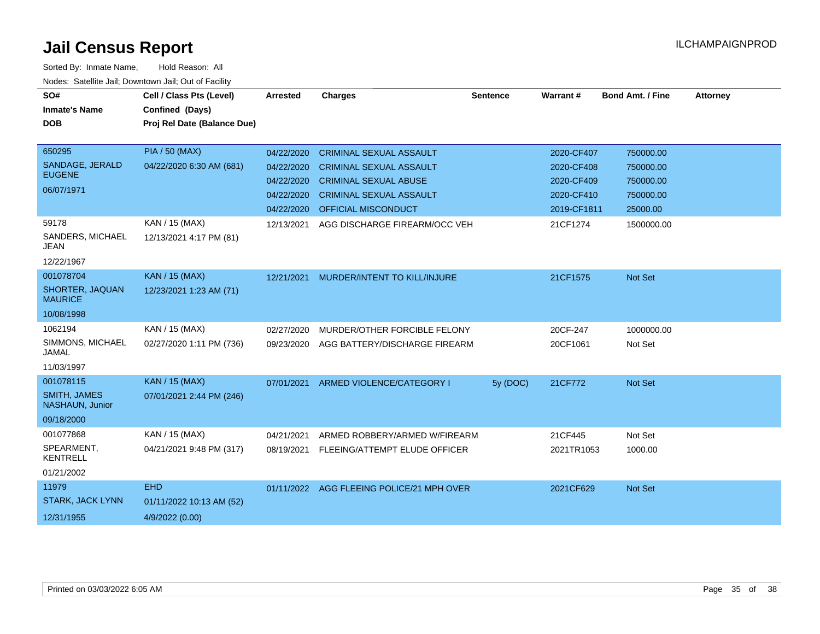| SO#<br><b>Inmate's Name</b><br><b>DOB</b> | Cell / Class Pts (Level)<br>Confined (Days)<br>Proj Rel Date (Balance Due) | <b>Arrested</b> | <b>Charges</b>                            | <b>Sentence</b> | Warrant#    | <b>Bond Amt. / Fine</b> | <b>Attorney</b> |
|-------------------------------------------|----------------------------------------------------------------------------|-----------------|-------------------------------------------|-----------------|-------------|-------------------------|-----------------|
|                                           |                                                                            |                 |                                           |                 |             |                         |                 |
| 650295                                    | <b>PIA / 50 (MAX)</b>                                                      | 04/22/2020      | <b>CRIMINAL SEXUAL ASSAULT</b>            |                 | 2020-CF407  | 750000.00               |                 |
| SANDAGE, JERALD                           | 04/22/2020 6:30 AM (681)                                                   | 04/22/2020      | <b>CRIMINAL SEXUAL ASSAULT</b>            |                 | 2020-CF408  | 750000.00               |                 |
| <b>EUGENE</b>                             |                                                                            | 04/22/2020      | <b>CRIMINAL SEXUAL ABUSE</b>              |                 | 2020-CF409  | 750000.00               |                 |
| 06/07/1971                                |                                                                            | 04/22/2020      | <b>CRIMINAL SEXUAL ASSAULT</b>            |                 | 2020-CF410  | 750000.00               |                 |
|                                           |                                                                            | 04/22/2020      | <b>OFFICIAL MISCONDUCT</b>                |                 | 2019-CF1811 | 25000.00                |                 |
| 59178                                     | KAN / 15 (MAX)                                                             | 12/13/2021      | AGG DISCHARGE FIREARM/OCC VEH             |                 | 21CF1274    | 1500000.00              |                 |
| SANDERS, MICHAEL<br><b>JEAN</b>           | 12/13/2021 4:17 PM (81)                                                    |                 |                                           |                 |             |                         |                 |
| 12/22/1967                                |                                                                            |                 |                                           |                 |             |                         |                 |
| 001078704                                 | KAN / 15 (MAX)                                                             | 12/21/2021      | MURDER/INTENT TO KILL/INJURE              |                 | 21CF1575    | Not Set                 |                 |
| SHORTER, JAQUAN<br><b>MAURICE</b>         | 12/23/2021 1:23 AM (71)                                                    |                 |                                           |                 |             |                         |                 |
| 10/08/1998                                |                                                                            |                 |                                           |                 |             |                         |                 |
| 1062194                                   | KAN / 15 (MAX)                                                             | 02/27/2020      | MURDER/OTHER FORCIBLE FELONY              |                 | 20CF-247    | 1000000.00              |                 |
| SIMMONS, MICHAEL<br><b>JAMAL</b>          | 02/27/2020 1:11 PM (736)                                                   | 09/23/2020      | AGG BATTERY/DISCHARGE FIREARM             |                 | 20CF1061    | Not Set                 |                 |
| 11/03/1997                                |                                                                            |                 |                                           |                 |             |                         |                 |
| 001078115                                 | KAN / 15 (MAX)                                                             | 07/01/2021      | ARMED VIOLENCE/CATEGORY I                 | 5y (DOC)        | 21CF772     | Not Set                 |                 |
| <b>SMITH, JAMES</b><br>NASHAUN, Junior    | 07/01/2021 2:44 PM (246)                                                   |                 |                                           |                 |             |                         |                 |
| 09/18/2000                                |                                                                            |                 |                                           |                 |             |                         |                 |
| 001077868                                 | KAN / 15 (MAX)                                                             | 04/21/2021      | ARMED ROBBERY/ARMED W/FIREARM             |                 | 21CF445     | Not Set                 |                 |
| SPEARMENT,<br><b>KENTRELL</b>             | 04/21/2021 9:48 PM (317)                                                   | 08/19/2021      | FLEEING/ATTEMPT ELUDE OFFICER             |                 | 2021TR1053  | 1000.00                 |                 |
| 01/21/2002                                |                                                                            |                 |                                           |                 |             |                         |                 |
| 11979                                     | <b>EHD</b>                                                                 |                 | 01/11/2022 AGG FLEEING POLICE/21 MPH OVER |                 | 2021CF629   | Not Set                 |                 |
| <b>STARK, JACK LYNN</b>                   | 01/11/2022 10:13 AM (52)                                                   |                 |                                           |                 |             |                         |                 |
| 12/31/1955                                | 4/9/2022 (0.00)                                                            |                 |                                           |                 |             |                         |                 |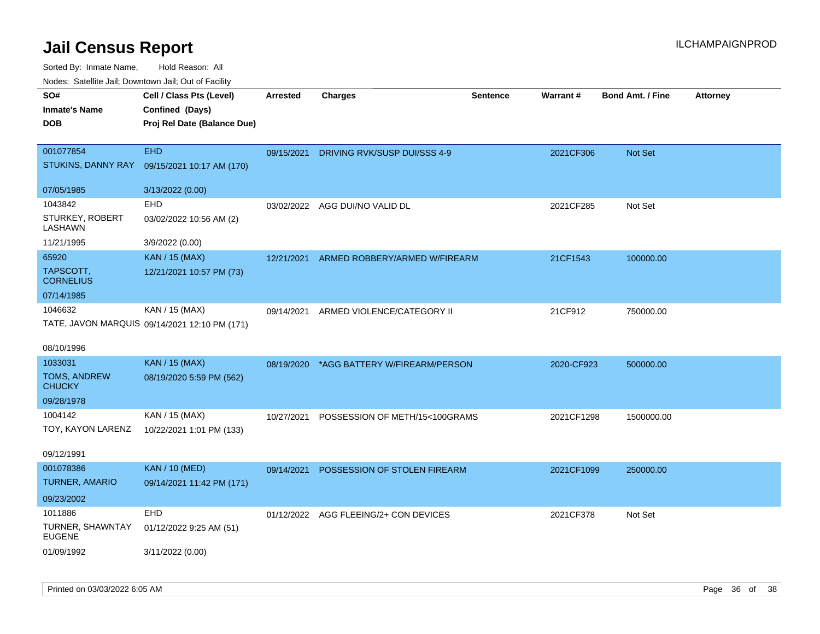| SO#<br><b>Inmate's Name</b><br><b>DOB</b>    | Cell / Class Pts (Level)<br>Confined (Days)<br>Proj Rel Date (Balance Due) | <b>Arrested</b> | <b>Charges</b>                            | <b>Sentence</b> | Warrant#   | <b>Bond Amt. / Fine</b> | Attorney |
|----------------------------------------------|----------------------------------------------------------------------------|-----------------|-------------------------------------------|-----------------|------------|-------------------------|----------|
| 001077854<br>STUKINS, DANNY RAY              | EHD<br>09/15/2021 10:17 AM (170)                                           | 09/15/2021      | DRIVING RVK/SUSP DUI/SSS 4-9              |                 | 2021CF306  | Not Set                 |          |
| 07/05/1985                                   | 3/13/2022 (0.00)                                                           |                 |                                           |                 |            |                         |          |
| 1043842<br>STURKEY, ROBERT<br>LASHAWN        | <b>EHD</b><br>03/02/2022 10:56 AM (2)                                      | 03/02/2022      | AGG DUI/NO VALID DL                       |                 | 2021CF285  | Not Set                 |          |
| 11/21/1995                                   | 3/9/2022 (0.00)                                                            |                 |                                           |                 |            |                         |          |
| 65920<br>TAPSCOTT,<br><b>CORNELIUS</b>       | <b>KAN / 15 (MAX)</b><br>12/21/2021 10:57 PM (73)                          | 12/21/2021      | ARMED ROBBERY/ARMED W/FIREARM             |                 | 21CF1543   | 100000.00               |          |
| 07/14/1985                                   |                                                                            |                 |                                           |                 |            |                         |          |
| 1046632<br>08/10/1996                        | KAN / 15 (MAX)<br>TATE, JAVON MARQUIS 09/14/2021 12:10 PM (171)            | 09/14/2021      | ARMED VIOLENCE/CATEGORY II                |                 | 21CF912    | 750000.00               |          |
| 1033031                                      | <b>KAN / 15 (MAX)</b>                                                      |                 | 08/19/2020 *AGG BATTERY W/FIREARM/PERSON  |                 | 2020-CF923 | 500000.00               |          |
| TOMS, ANDREW<br><b>CHUCKY</b><br>09/28/1978  | 08/19/2020 5:59 PM (562)                                                   |                 |                                           |                 |            |                         |          |
| 1004142                                      | KAN / 15 (MAX)                                                             |                 | 10/27/2021 POSSESSION OF METH/15<100GRAMS |                 | 2021CF1298 | 1500000.00              |          |
| TOY, KAYON LARENZ<br>09/12/1991              | 10/22/2021 1:01 PM (133)                                                   |                 |                                           |                 |            |                         |          |
| 001078386                                    | <b>KAN / 10 (MED)</b>                                                      | 09/14/2021      | POSSESSION OF STOLEN FIREARM              |                 | 2021CF1099 | 250000.00               |          |
| <b>TURNER, AMARIO</b>                        | 09/14/2021 11:42 PM (171)                                                  |                 |                                           |                 |            |                         |          |
| 09/23/2002                                   |                                                                            |                 |                                           |                 |            |                         |          |
| 1011886<br>TURNER, SHAWNTAY<br><b>EUGENE</b> | EHD<br>01/12/2022 9:25 AM (51)                                             |                 | 01/12/2022 AGG FLEEING/2+ CON DEVICES     |                 | 2021CF378  | Not Set                 |          |
| 01/09/1992                                   | 3/11/2022 (0.00)                                                           |                 |                                           |                 |            |                         |          |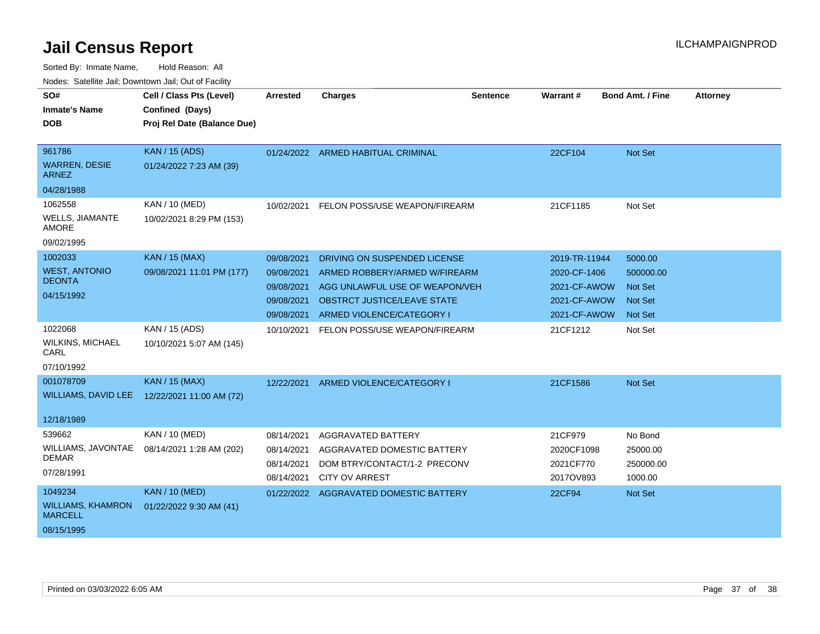| SO#                                                                 | Cell / Class Pts (Level)                           | <b>Arrested</b>                                                    | <b>Charges</b>                                                                                                                                                     | Sentence | Warrant#                                                                      | <b>Bond Amt. / Fine</b>                                                    | <b>Attorney</b> |
|---------------------------------------------------------------------|----------------------------------------------------|--------------------------------------------------------------------|--------------------------------------------------------------------------------------------------------------------------------------------------------------------|----------|-------------------------------------------------------------------------------|----------------------------------------------------------------------------|-----------------|
| <b>Inmate's Name</b><br><b>DOB</b>                                  | Confined (Days)<br>Proj Rel Date (Balance Due)     |                                                                    |                                                                                                                                                                    |          |                                                                               |                                                                            |                 |
| 961786<br><b>WARREN, DESIE</b><br><b>ARNEZ</b><br>04/28/1988        | <b>KAN / 15 (ADS)</b><br>01/24/2022 7:23 AM (39)   |                                                                    | 01/24/2022 ARMED HABITUAL CRIMINAL                                                                                                                                 |          | 22CF104                                                                       | <b>Not Set</b>                                                             |                 |
| 1062558<br><b>WELLS, JIAMANTE</b><br><b>AMORE</b><br>09/02/1995     | <b>KAN / 10 (MED)</b><br>10/02/2021 8:29 PM (153)  | 10/02/2021                                                         | FELON POSS/USE WEAPON/FIREARM                                                                                                                                      |          | 21CF1185                                                                      | Not Set                                                                    |                 |
| 1002033<br><b>WEST, ANTONIO</b><br><b>DEONTA</b><br>04/15/1992      | <b>KAN / 15 (MAX)</b><br>09/08/2021 11:01 PM (177) | 09/08/2021<br>09/08/2021<br>09/08/2021<br>09/08/2021<br>09/08/2021 | DRIVING ON SUSPENDED LICENSE<br>ARMED ROBBERY/ARMED W/FIREARM<br>AGG UNLAWFUL USE OF WEAPON/VEH<br><b>OBSTRCT JUSTICE/LEAVE STATE</b><br>ARMED VIOLENCE/CATEGORY I |          | 2019-TR-11944<br>2020-CF-1406<br>2021-CF-AWOW<br>2021-CF-AWOW<br>2021-CF-AWOW | 5000.00<br>500000.00<br><b>Not Set</b><br><b>Not Set</b><br><b>Not Set</b> |                 |
| 1022068<br><b>WILKINS, MICHAEL</b><br>CARL<br>07/10/1992            | KAN / 15 (ADS)<br>10/10/2021 5:07 AM (145)         | 10/10/2021                                                         | FELON POSS/USE WEAPON/FIREARM                                                                                                                                      |          | 21CF1212                                                                      | Not Set                                                                    |                 |
| 001078709<br>WILLIAMS, DAVID LEE<br>12/18/1989                      | <b>KAN / 15 (MAX)</b><br>12/22/2021 11:00 AM (72)  | 12/22/2021                                                         | ARMED VIOLENCE/CATEGORY I                                                                                                                                          |          | 21CF1586                                                                      | <b>Not Set</b>                                                             |                 |
| 539662<br>WILLIAMS, JAVONTAE<br><b>DEMAR</b><br>07/28/1991          | KAN / 10 (MED)<br>08/14/2021 1:28 AM (202)         | 08/14/2021<br>08/14/2021<br>08/14/2021<br>08/14/2021               | AGGRAVATED BATTERY<br>AGGRAVATED DOMESTIC BATTERY<br>DOM BTRY/CONTACT/1-2 PRECONV<br><b>CITY OV ARREST</b>                                                         |          | 21CF979<br>2020CF1098<br>2021CF770<br>2017OV893                               | No Bond<br>25000.00<br>250000.00<br>1000.00                                |                 |
| 1049234<br><b>WILLIAMS, KHAMRON</b><br><b>MARCELL</b><br>08/15/1995 | <b>KAN / 10 (MED)</b><br>01/22/2022 9:30 AM (41)   |                                                                    | 01/22/2022 AGGRAVATED DOMESTIC BATTERY                                                                                                                             |          | <b>22CF94</b>                                                                 | Not Set                                                                    |                 |